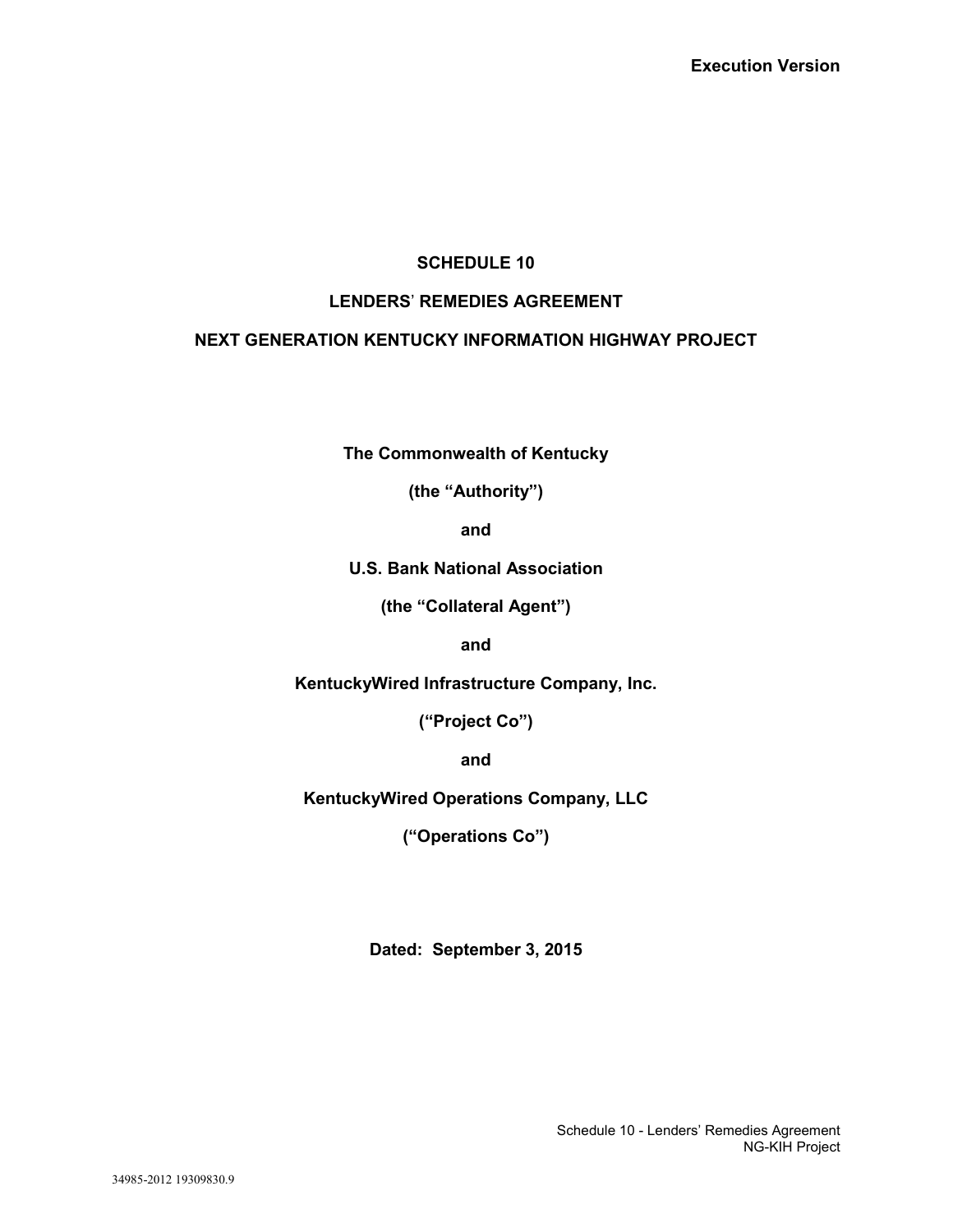# **SCHEDULE 10**

# **LENDERS**' **REMEDIES AGREEMENT**

# **NEXT GENERATION KENTUCKY INFORMATION HIGHWAY PROJECT**

**The Commonwealth of Kentucky**

**(the "Authority")**

**and**

**U.S. Bank National Association**

**(the "Collateral Agent")**

**and**

**KentuckyWired Infrastructure Company, Inc.**

**("Project Co")**

**and**

**KentuckyWired Operations Company, LLC**

**("Operations Co")**

**Dated: September 3, 2015**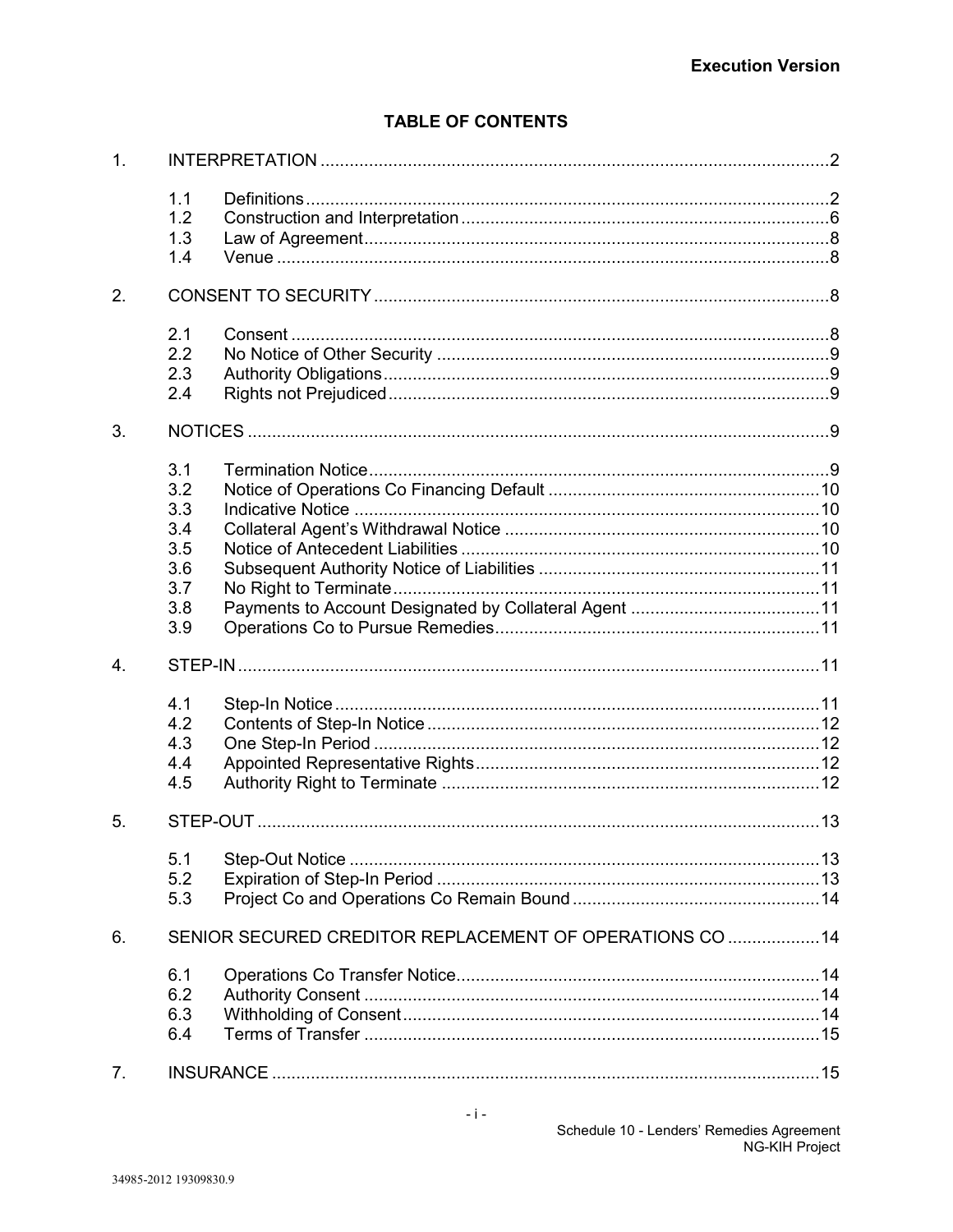# **TABLE OF CONTENTS**

| 1. |                                                             |                                                          |  |
|----|-------------------------------------------------------------|----------------------------------------------------------|--|
|    | 1.1<br>1.2<br>1.3<br>1.4                                    |                                                          |  |
| 2. |                                                             |                                                          |  |
|    | 2.1<br>2.2<br>2.3<br>2.4                                    |                                                          |  |
| 3. |                                                             |                                                          |  |
|    | 3.1<br>3.2<br>3.3<br>3.4<br>3.5<br>3.6<br>3.7<br>3.8<br>3.9 |                                                          |  |
| 4. |                                                             |                                                          |  |
|    | 4.1<br>4.2<br>4.3<br>4.4<br>4.5                             |                                                          |  |
| 5. |                                                             |                                                          |  |
|    | 5.1<br>5.2<br>5.3                                           |                                                          |  |
| 6. |                                                             | SENIOR SECURED CREDITOR REPLACEMENT OF OPERATIONS CO  14 |  |
|    | 6.1<br>6.2<br>6.3<br>6.4                                    |                                                          |  |
| 7. |                                                             |                                                          |  |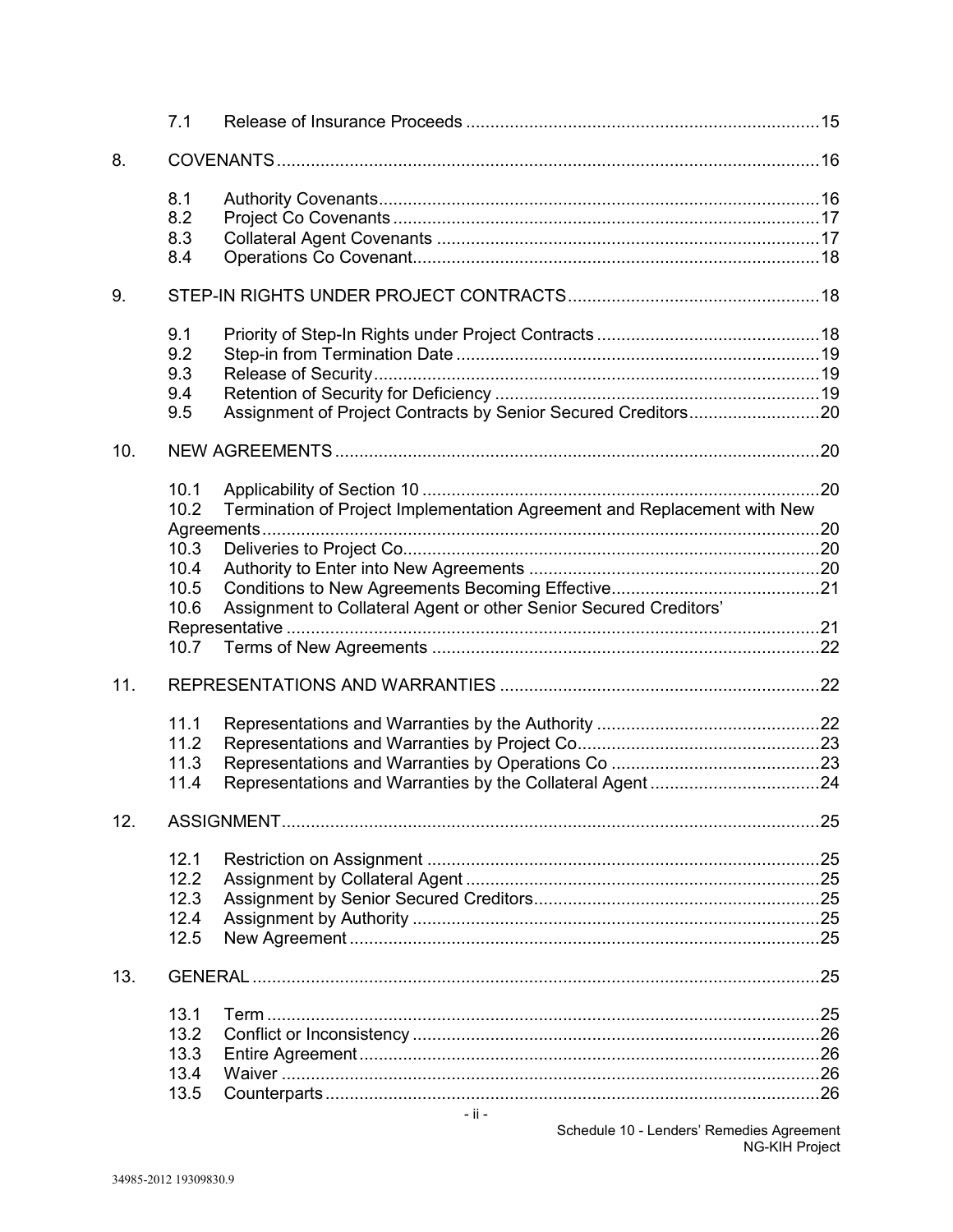|     | 7.1                                  |                                                                          |  |
|-----|--------------------------------------|--------------------------------------------------------------------------|--|
| 8.  |                                      |                                                                          |  |
|     | 8.1<br>8.2<br>8.3<br>8.4             |                                                                          |  |
| 9.  |                                      |                                                                          |  |
|     | 9.1<br>9.2<br>9.3<br>9.4<br>9.5      |                                                                          |  |
| 10. |                                      |                                                                          |  |
|     | 10.1<br>10.2                         | Termination of Project Implementation Agreement and Replacement with New |  |
|     | 10.3                                 |                                                                          |  |
|     | 10.4                                 |                                                                          |  |
|     | 10.5<br>10.6                         | Assignment to Collateral Agent or other Senior Secured Creditors'        |  |
|     | 10.7                                 |                                                                          |  |
| 11. |                                      |                                                                          |  |
|     | 11.1<br>11.2<br>11.3<br>11.4         |                                                                          |  |
| 12. |                                      |                                                                          |  |
|     | 12.1<br>12.2<br>12.3<br>12.4<br>12.5 |                                                                          |  |
| 13. |                                      |                                                                          |  |
|     | 13.1<br>13.2<br>13.3<br>13.4         |                                                                          |  |
|     | 13.5                                 |                                                                          |  |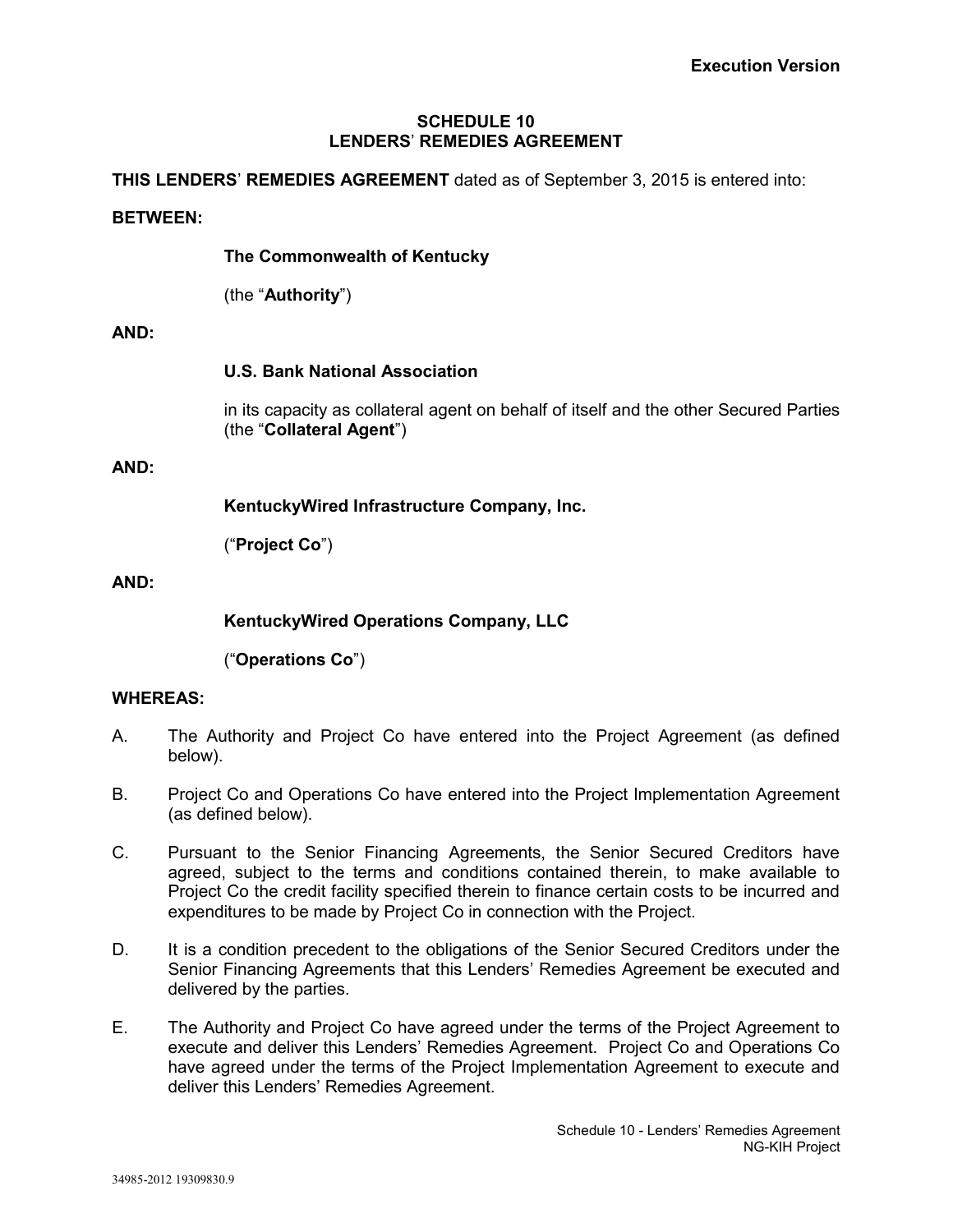### **SCHEDULE 10 LENDERS**' **REMEDIES AGREEMENT**

### **THIS LENDERS**' **REMEDIES AGREEMENT** dated as of September 3, 2015 is entered into:

### **BETWEEN:**

### **The Commonwealth of Kentucky**

(the "**Authority**")

### **AND:**

### **U.S. Bank National Association**

in its capacity as collateral agent on behalf of itself and the other Secured Parties (the "**Collateral Agent**")

### **AND:**

**KentuckyWired Infrastructure Company, Inc.**

("**Project Co**")

### **AND:**

**KentuckyWired Operations Company, LLC**

("**Operations Co**")

## **WHEREAS:**

- A. The Authority and Project Co have entered into the Project Agreement (as defined below).
- B. Project Co and Operations Co have entered into the Project Implementation Agreement (as defined below).
- C. Pursuant to the Senior Financing Agreements, the Senior Secured Creditors have agreed, subject to the terms and conditions contained therein, to make available to Project Co the credit facility specified therein to finance certain costs to be incurred and expenditures to be made by Project Co in connection with the Project.
- D. It is a condition precedent to the obligations of the Senior Secured Creditors under the Senior Financing Agreements that this Lenders' Remedies Agreement be executed and delivered by the parties.
- E. The Authority and Project Co have agreed under the terms of the Project Agreement to execute and deliver this Lenders' Remedies Agreement. Project Co and Operations Co have agreed under the terms of the Project Implementation Agreement to execute and deliver this Lenders' Remedies Agreement.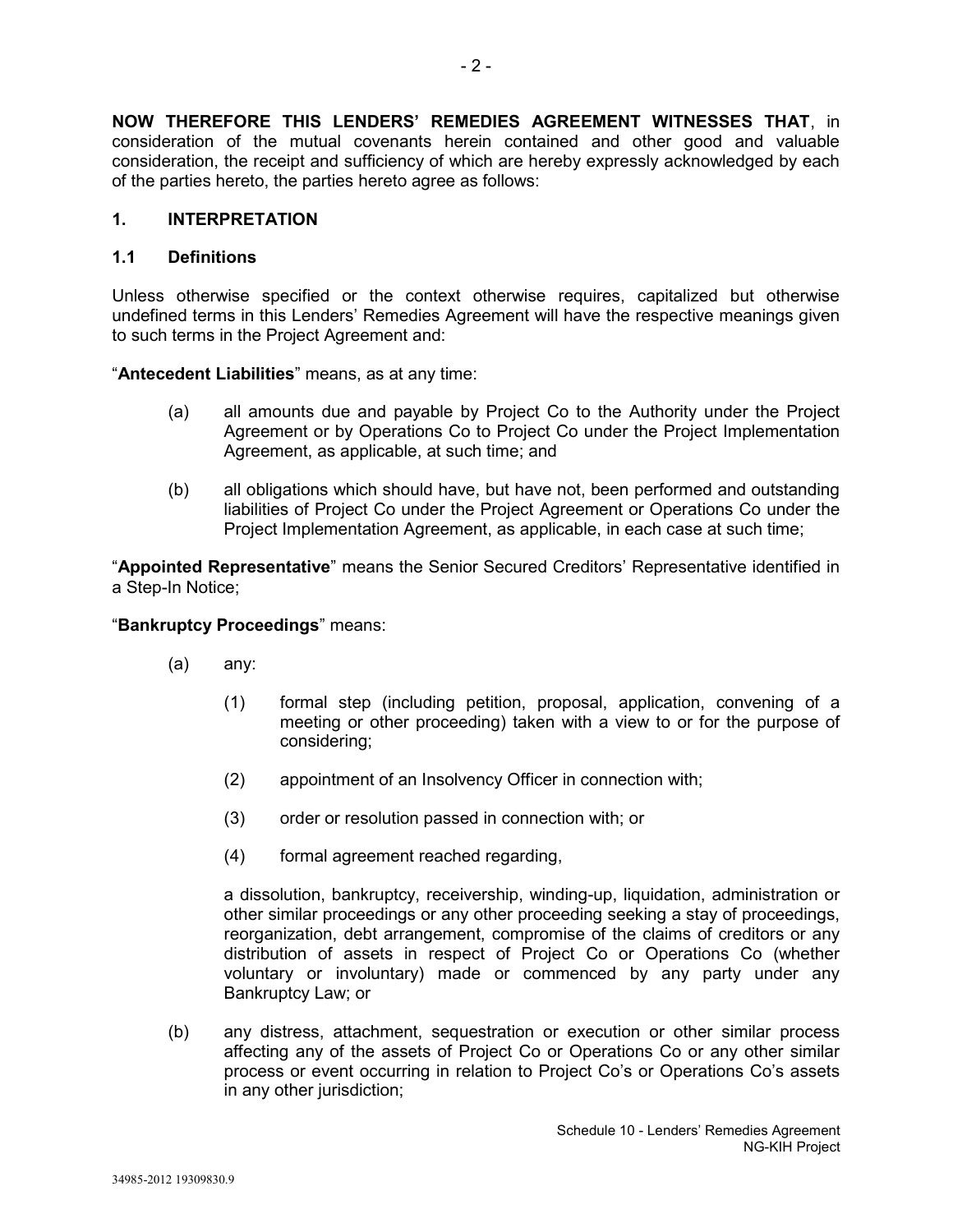**NOW THEREFORE THIS LENDERS' REMEDIES AGREEMENT WITNESSES THAT**, in consideration of the mutual covenants herein contained and other good and valuable consideration, the receipt and sufficiency of which are hereby expressly acknowledged by each of the parties hereto, the parties hereto agree as follows:

### **1. INTERPRETATION**

### **1.1 Definitions**

Unless otherwise specified or the context otherwise requires, capitalized but otherwise undefined terms in this Lenders' Remedies Agreement will have the respective meanings given to such terms in the Project Agreement and:

"**Antecedent Liabilities**" means, as at any time:

- (a) all amounts due and payable by Project Co to the Authority under the Project Agreement or by Operations Co to Project Co under the Project Implementation Agreement, as applicable, at such time; and
- (b) all obligations which should have, but have not, been performed and outstanding liabilities of Project Co under the Project Agreement or Operations Co under the Project Implementation Agreement, as applicable, in each case at such time;

"**Appointed Representative**" means the Senior Secured Creditors' Representative identified in a Step-In Notice;

### "**Bankruptcy Proceedings**" means:

- (a) any:
	- (1) formal step (including petition, proposal, application, convening of a meeting or other proceeding) taken with a view to or for the purpose of considering;
	- (2) appointment of an Insolvency Officer in connection with;
	- (3) order or resolution passed in connection with; or
	- (4) formal agreement reached regarding,

a dissolution, bankruptcy, receivership, winding-up, liquidation, administration or other similar proceedings or any other proceeding seeking a stay of proceedings, reorganization, debt arrangement, compromise of the claims of creditors or any distribution of assets in respect of Project Co or Operations Co (whether voluntary or involuntary) made or commenced by any party under any Bankruptcy Law; or

(b) any distress, attachment, sequestration or execution or other similar process affecting any of the assets of Project Co or Operations Co or any other similar process or event occurring in relation to Project Co's or Operations Co's assets in any other jurisdiction;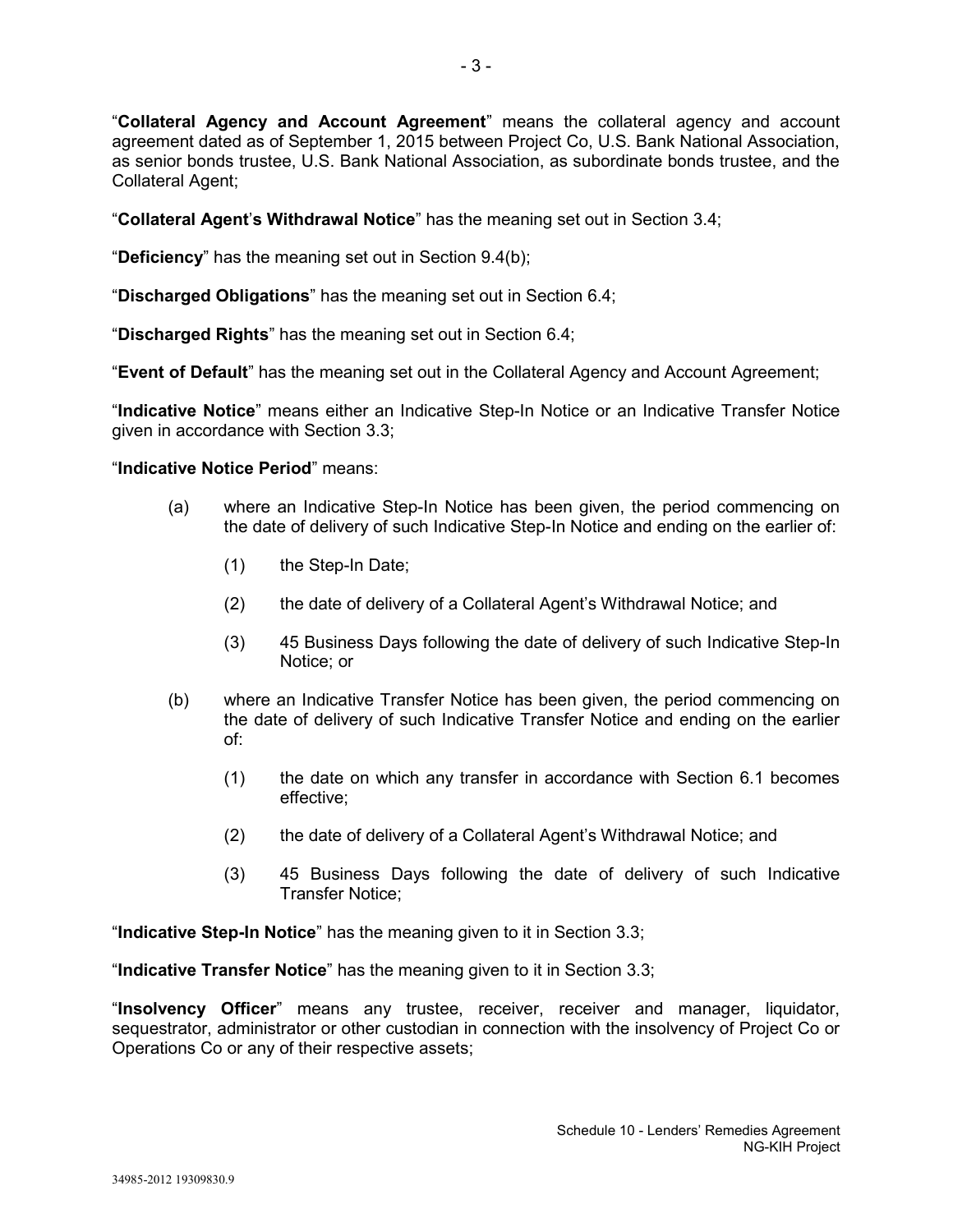"**Collateral Agency and Account Agreement**" means the collateral agency and account agreement dated as of September 1, 2015 between Project Co, U.S. Bank National Association, as senior bonds trustee, U.S. Bank National Association, as subordinate bonds trustee, and the Collateral Agent;

"**Collateral Agent**'**s Withdrawal Notice**" has the meaning set out in Section 3.4;

"**Deficiency**" has the meaning set out in Section 9.4(b);

"**Discharged Obligations**" has the meaning set out in Section 6.4;

"**Discharged Rights**" has the meaning set out in Section 6.4;

"**Event of Default**" has the meaning set out in the Collateral Agency and Account Agreement;

"**Indicative Notice**" means either an Indicative Step-In Notice or an Indicative Transfer Notice given in accordance with Section 3.3;

### "**Indicative Notice Period**" means:

- (a) where an Indicative Step-In Notice has been given, the period commencing on the date of delivery of such Indicative Step-In Notice and ending on the earlier of:
	- (1) the Step-In Date;
	- (2) the date of delivery of a Collateral Agent's Withdrawal Notice; and
	- (3) 45 Business Days following the date of delivery of such Indicative Step-In Notice; or
- (b) where an Indicative Transfer Notice has been given, the period commencing on the date of delivery of such Indicative Transfer Notice and ending on the earlier of:
	- (1) the date on which any transfer in accordance with Section 6.1 becomes effective;
	- (2) the date of delivery of a Collateral Agent's Withdrawal Notice; and
	- (3) 45 Business Days following the date of delivery of such Indicative Transfer Notice;

"**Indicative Step-In Notice**" has the meaning given to it in Section 3.3;

"**Indicative Transfer Notice**" has the meaning given to it in Section 3.3;

"**Insolvency Officer**" means any trustee, receiver, receiver and manager, liquidator, sequestrator, administrator or other custodian in connection with the insolvency of Project Co or Operations Co or any of their respective assets;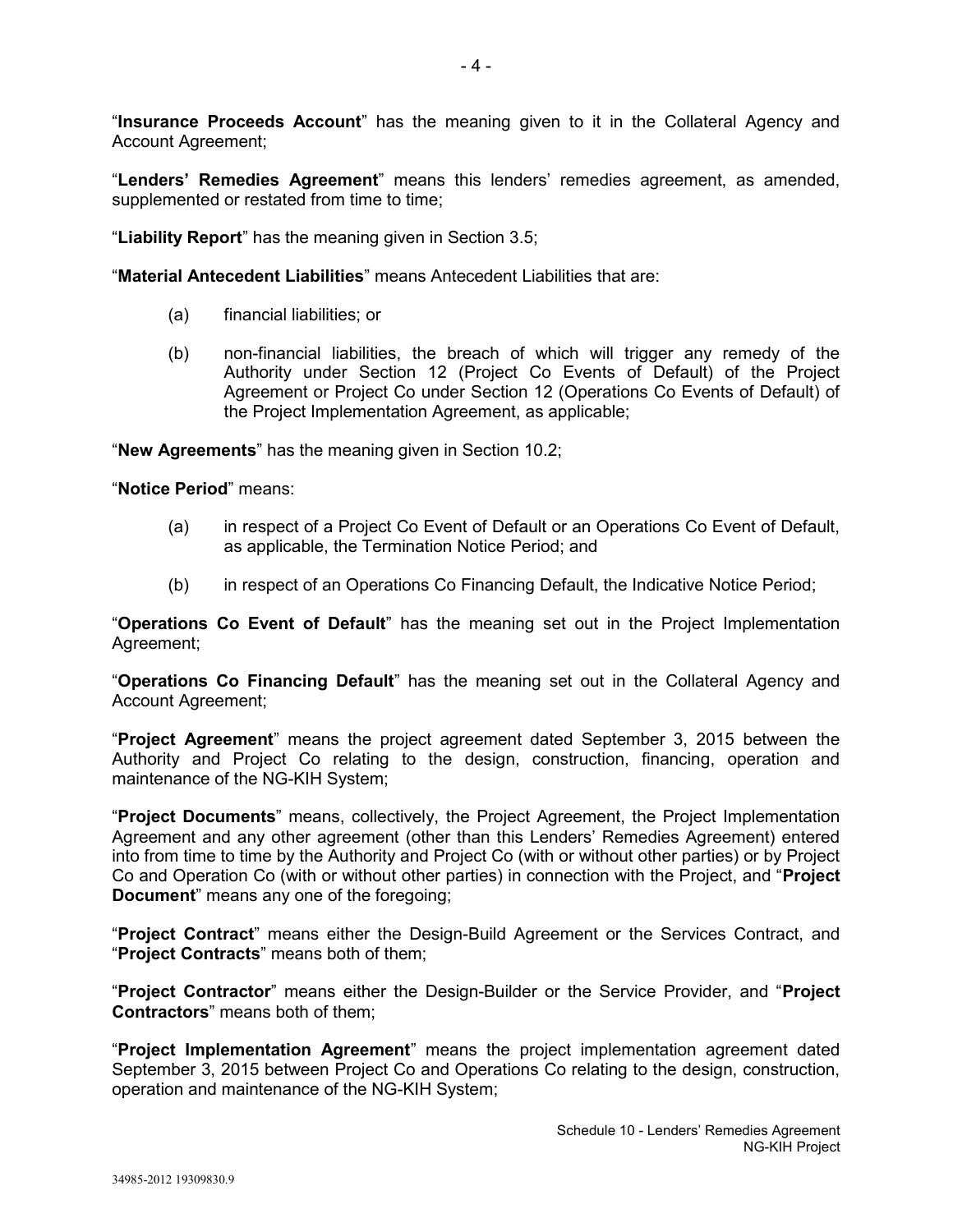"**Insurance Proceeds Account**" has the meaning given to it in the Collateral Agency and Account Agreement;

"**Lenders' Remedies Agreement**" means this lenders' remedies agreement, as amended, supplemented or restated from time to time;

"**Liability Report**" has the meaning given in Section 3.5;

"**Material Antecedent Liabilities**" means Antecedent Liabilities that are:

- (a) financial liabilities; or
- (b) non-financial liabilities, the breach of which will trigger any remedy of the Authority under Section 12 (Project Co Events of Default) of the Project Agreement or Project Co under Section 12 (Operations Co Events of Default) of the Project Implementation Agreement, as applicable;

"**New Agreements**" has the meaning given in Section 10.2;

"**Notice Period**" means:

- (a) in respect of a Project Co Event of Default or an Operations Co Event of Default, as applicable, the Termination Notice Period; and
- (b) in respect of an Operations Co Financing Default, the Indicative Notice Period;

"**Operations Co Event of Default**" has the meaning set out in the Project Implementation Agreement;

"**Operations Co Financing Default**" has the meaning set out in the Collateral Agency and Account Agreement;

"**Project Agreement**" means the project agreement dated September 3, 2015 between the Authority and Project Co relating to the design, construction, financing, operation and maintenance of the NG-KIH System;

"**Project Documents**" means, collectively, the Project Agreement, the Project Implementation Agreement and any other agreement (other than this Lenders' Remedies Agreement) entered into from time to time by the Authority and Project Co (with or without other parties) or by Project Co and Operation Co (with or without other parties) in connection with the Project, and "**Project Document**" means any one of the foregoing;

"**Project Contract**" means either the Design-Build Agreement or the Services Contract, and "**Project Contracts**" means both of them;

"**Project Contractor**" means either the Design-Builder or the Service Provider, and "**Project Contractors**" means both of them;

"**Project Implementation Agreement**" means the project implementation agreement dated September 3, 2015 between Project Co and Operations Co relating to the design, construction, operation and maintenance of the NG-KIH System;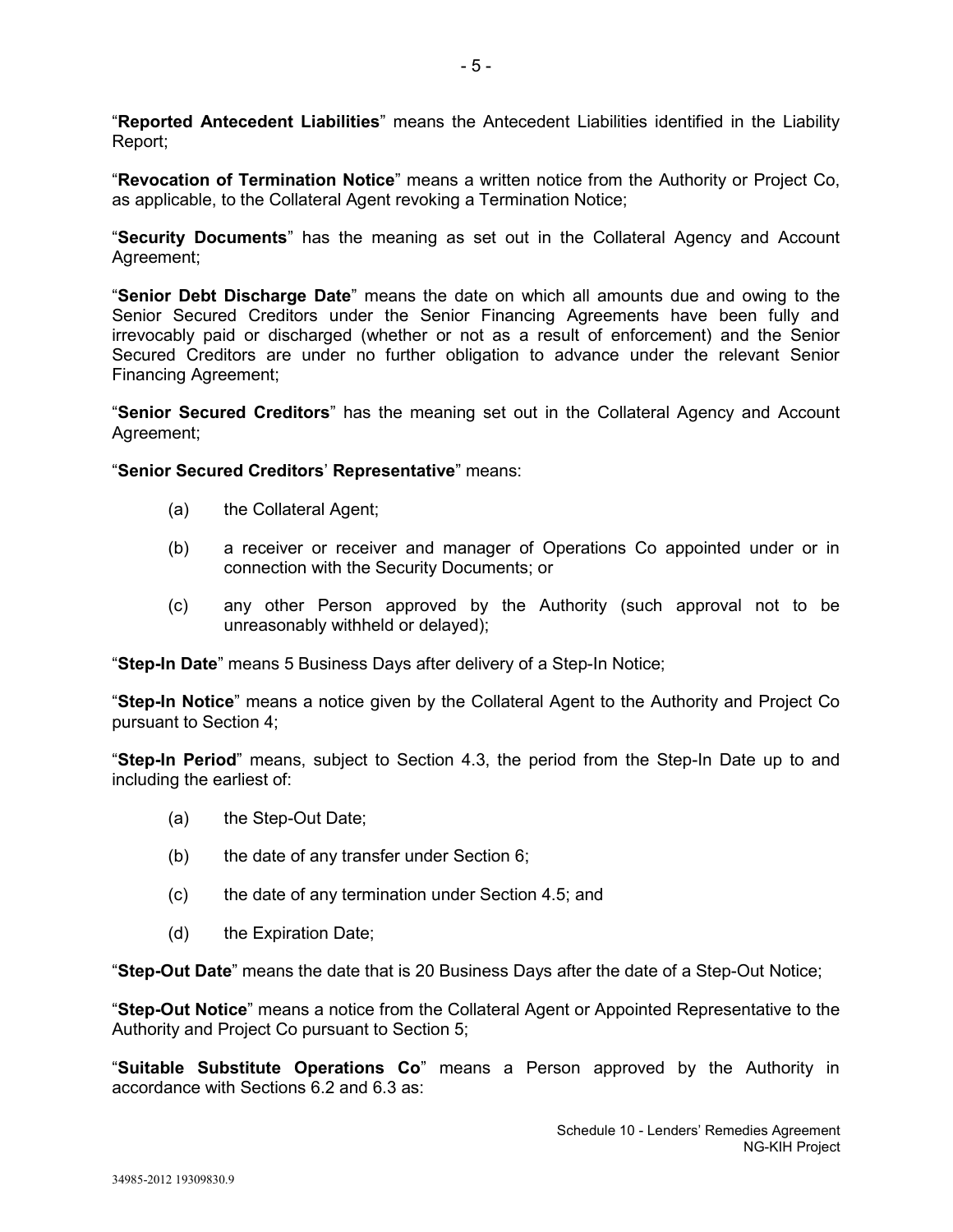"**Reported Antecedent Liabilities**" means the Antecedent Liabilities identified in the Liability Report;

"**Revocation of Termination Notice**" means a written notice from the Authority or Project Co, as applicable, to the Collateral Agent revoking a Termination Notice;

"**Security Documents**" has the meaning as set out in the Collateral Agency and Account Agreement;

"**Senior Debt Discharge Date**" means the date on which all amounts due and owing to the Senior Secured Creditors under the Senior Financing Agreements have been fully and irrevocably paid or discharged (whether or not as a result of enforcement) and the Senior Secured Creditors are under no further obligation to advance under the relevant Senior Financing Agreement;

"**Senior Secured Creditors**" has the meaning set out in the Collateral Agency and Account Agreement;

"**Senior Secured Creditors**' **Representative**" means:

- (a) the Collateral Agent;
- (b) a receiver or receiver and manager of Operations Co appointed under or in connection with the Security Documents; or
- (c) any other Person approved by the Authority (such approval not to be unreasonably withheld or delayed);

"**Step-In Date**" means 5 Business Days after delivery of a Step-In Notice;

"**Step-In Notice**" means a notice given by the Collateral Agent to the Authority and Project Co pursuant to Section 4;

"**Step-In Period**" means, subject to Section 4.3, the period from the Step-In Date up to and including the earliest of:

- (a) the Step-Out Date;
- (b) the date of any transfer under Section 6;
- (c) the date of any termination under Section 4.5; and
- (d) the Expiration Date;

"**Step-Out Date**" means the date that is 20 Business Days after the date of a Step-Out Notice;

"**Step-Out Notice**" means a notice from the Collateral Agent or Appointed Representative to the Authority and Project Co pursuant to Section 5;

"**Suitable Substitute Operations Co**" means a Person approved by the Authority in accordance with Sections 6.2 and 6.3 as: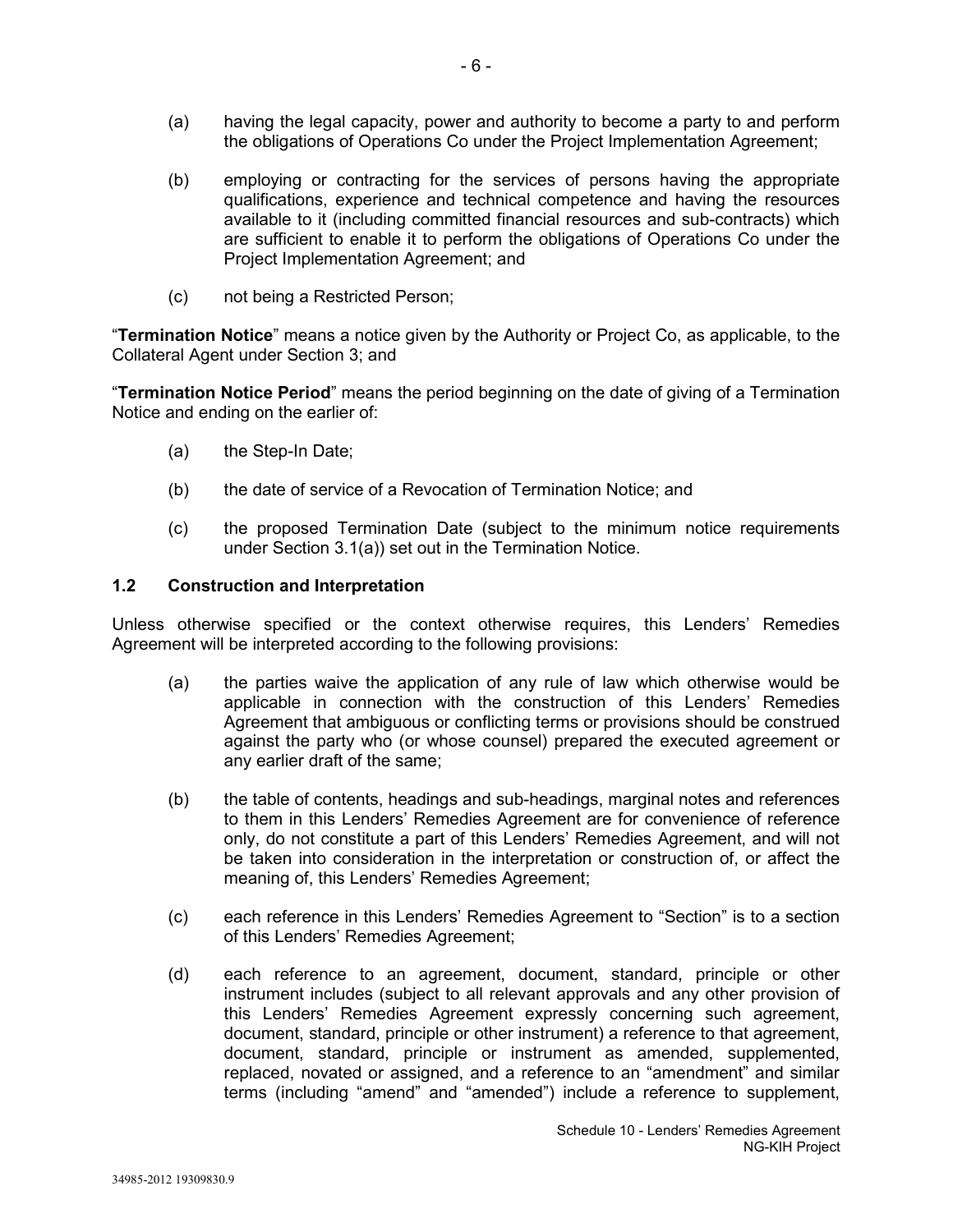- (a) having the legal capacity, power and authority to become a party to and perform the obligations of Operations Co under the Project Implementation Agreement;
- (b) employing or contracting for the services of persons having the appropriate qualifications, experience and technical competence and having the resources available to it (including committed financial resources and sub-contracts) which are sufficient to enable it to perform the obligations of Operations Co under the Project Implementation Agreement; and
- (c) not being a Restricted Person;

"**Termination Notice**" means a notice given by the Authority or Project Co, as applicable, to the Collateral Agent under Section 3; and

"**Termination Notice Period**" means the period beginning on the date of giving of a Termination Notice and ending on the earlier of:

- (a) the Step-In Date;
- (b) the date of service of a Revocation of Termination Notice; and
- (c) the proposed Termination Date (subject to the minimum notice requirements under Section 3.1(a)) set out in the Termination Notice.

### **1.2 Construction and Interpretation**

Unless otherwise specified or the context otherwise requires, this Lenders' Remedies Agreement will be interpreted according to the following provisions:

- (a) the parties waive the application of any rule of law which otherwise would be applicable in connection with the construction of this Lenders' Remedies Agreement that ambiguous or conflicting terms or provisions should be construed against the party who (or whose counsel) prepared the executed agreement or any earlier draft of the same;
- (b) the table of contents, headings and sub-headings, marginal notes and references to them in this Lenders' Remedies Agreement are for convenience of reference only, do not constitute a part of this Lenders' Remedies Agreement, and will not be taken into consideration in the interpretation or construction of, or affect the meaning of, this Lenders' Remedies Agreement;
- (c) each reference in this Lenders' Remedies Agreement to "Section" is to a section of this Lenders' Remedies Agreement;
- (d) each reference to an agreement, document, standard, principle or other instrument includes (subject to all relevant approvals and any other provision of this Lenders' Remedies Agreement expressly concerning such agreement, document, standard, principle or other instrument) a reference to that agreement, document, standard, principle or instrument as amended, supplemented, replaced, novated or assigned, and a reference to an "amendment" and similar terms (including "amend" and "amended") include a reference to supplement,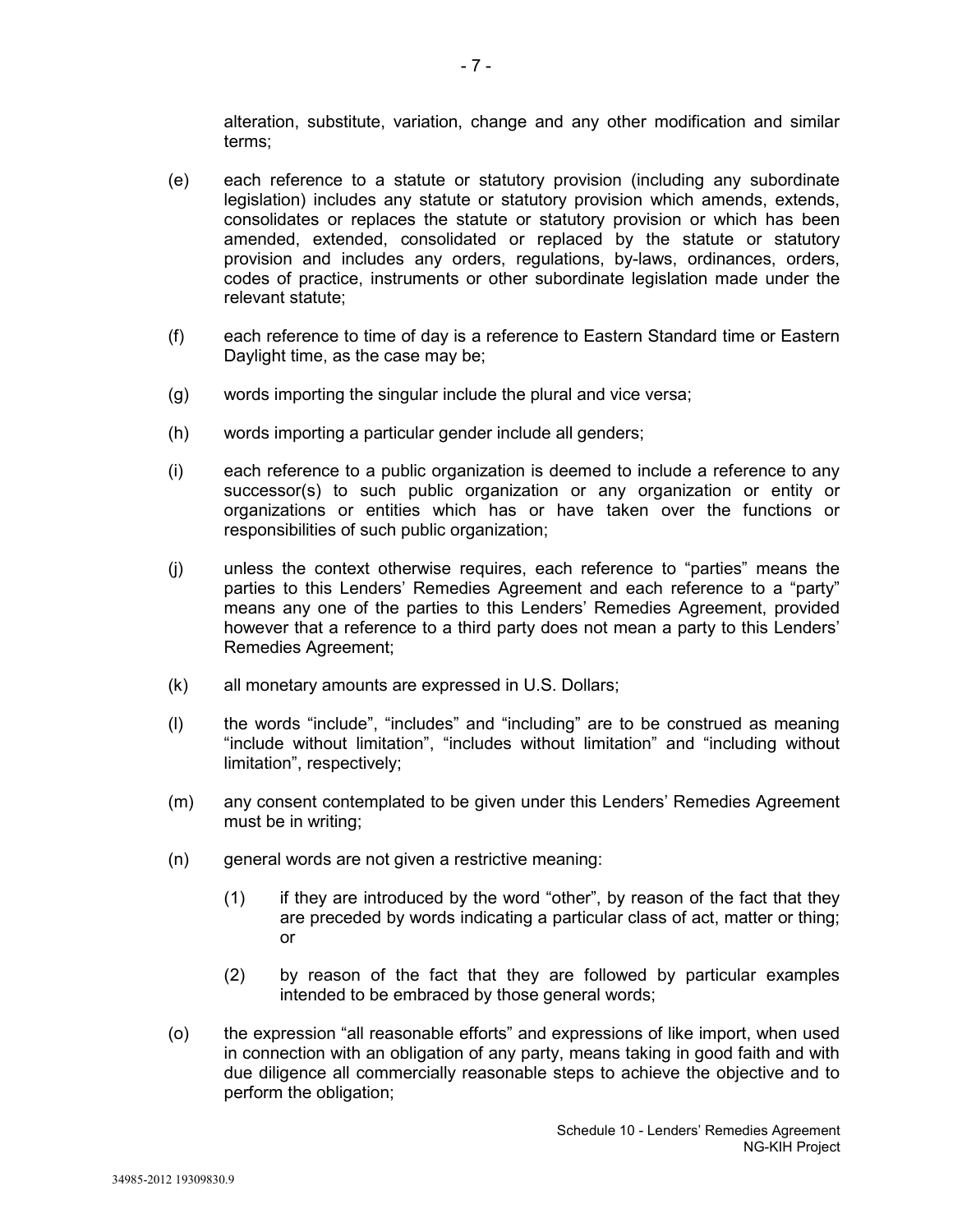alteration, substitute, variation, change and any other modification and similar terms;

- (e) each reference to a statute or statutory provision (including any subordinate legislation) includes any statute or statutory provision which amends, extends, consolidates or replaces the statute or statutory provision or which has been amended, extended, consolidated or replaced by the statute or statutory provision and includes any orders, regulations, by-laws, ordinances, orders, codes of practice, instruments or other subordinate legislation made under the relevant statute;
- (f) each reference to time of day is a reference to Eastern Standard time or Eastern Daylight time, as the case may be;
- (g) words importing the singular include the plural and vice versa;
- (h) words importing a particular gender include all genders;
- (i) each reference to a public organization is deemed to include a reference to any successor(s) to such public organization or any organization or entity or organizations or entities which has or have taken over the functions or responsibilities of such public organization;
- (j) unless the context otherwise requires, each reference to "parties" means the parties to this Lenders' Remedies Agreement and each reference to a "party" means any one of the parties to this Lenders' Remedies Agreement, provided however that a reference to a third party does not mean a party to this Lenders' Remedies Agreement;
- (k) all monetary amounts are expressed in U.S. Dollars;
- (l) the words "include", "includes" and "including" are to be construed as meaning "include without limitation", "includes without limitation" and "including without limitation", respectively;
- (m) any consent contemplated to be given under this Lenders' Remedies Agreement must be in writing;
- (n) general words are not given a restrictive meaning:
	- (1) if they are introduced by the word "other", by reason of the fact that they are preceded by words indicating a particular class of act, matter or thing; or
	- (2) by reason of the fact that they are followed by particular examples intended to be embraced by those general words;
- (o) the expression "all reasonable efforts" and expressions of like import, when used in connection with an obligation of any party, means taking in good faith and with due diligence all commercially reasonable steps to achieve the objective and to perform the obligation;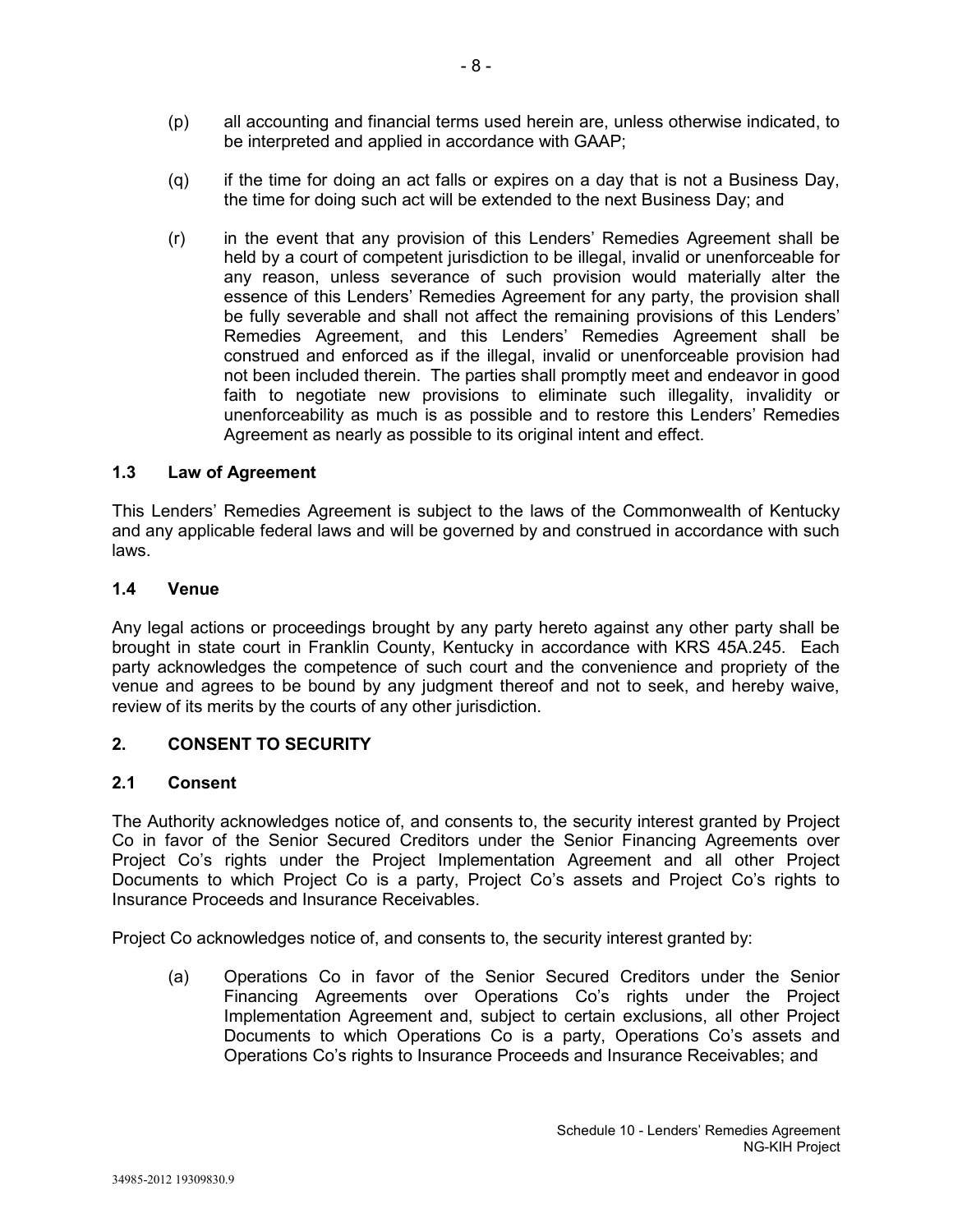- (p) all accounting and financial terms used herein are, unless otherwise indicated, to be interpreted and applied in accordance with GAAP;
- (q) if the time for doing an act falls or expires on a day that is not a Business Day, the time for doing such act will be extended to the next Business Day; and
- (r) in the event that any provision of this Lenders' Remedies Agreement shall be held by a court of competent jurisdiction to be illegal, invalid or unenforceable for any reason, unless severance of such provision would materially alter the essence of this Lenders' Remedies Agreement for any party, the provision shall be fully severable and shall not affect the remaining provisions of this Lenders' Remedies Agreement, and this Lenders' Remedies Agreement shall be construed and enforced as if the illegal, invalid or unenforceable provision had not been included therein. The parties shall promptly meet and endeavor in good faith to negotiate new provisions to eliminate such illegality, invalidity or unenforceability as much is as possible and to restore this Lenders' Remedies Agreement as nearly as possible to its original intent and effect.

# **1.3 Law of Agreement**

This Lenders' Remedies Agreement is subject to the laws of the Commonwealth of Kentucky and any applicable federal laws and will be governed by and construed in accordance with such laws.

### **1.4 Venue**

Any legal actions or proceedings brought by any party hereto against any other party shall be brought in state court in Franklin County, Kentucky in accordance with KRS 45A.245. Each party acknowledges the competence of such court and the convenience and propriety of the venue and agrees to be bound by any judgment thereof and not to seek, and hereby waive, review of its merits by the courts of any other jurisdiction.

# **2. CONSENT TO SECURITY**

### **2.1 Consent**

The Authority acknowledges notice of, and consents to, the security interest granted by Project Co in favor of the Senior Secured Creditors under the Senior Financing Agreements over Project Co's rights under the Project Implementation Agreement and all other Project Documents to which Project Co is a party, Project Co's assets and Project Co's rights to Insurance Proceeds and Insurance Receivables.

Project Co acknowledges notice of, and consents to, the security interest granted by:

(a) Operations Co in favor of the Senior Secured Creditors under the Senior Financing Agreements over Operations Co's rights under the Project Implementation Agreement and, subject to certain exclusions, all other Project Documents to which Operations Co is a party, Operations Co's assets and Operations Co's rights to Insurance Proceeds and Insurance Receivables; and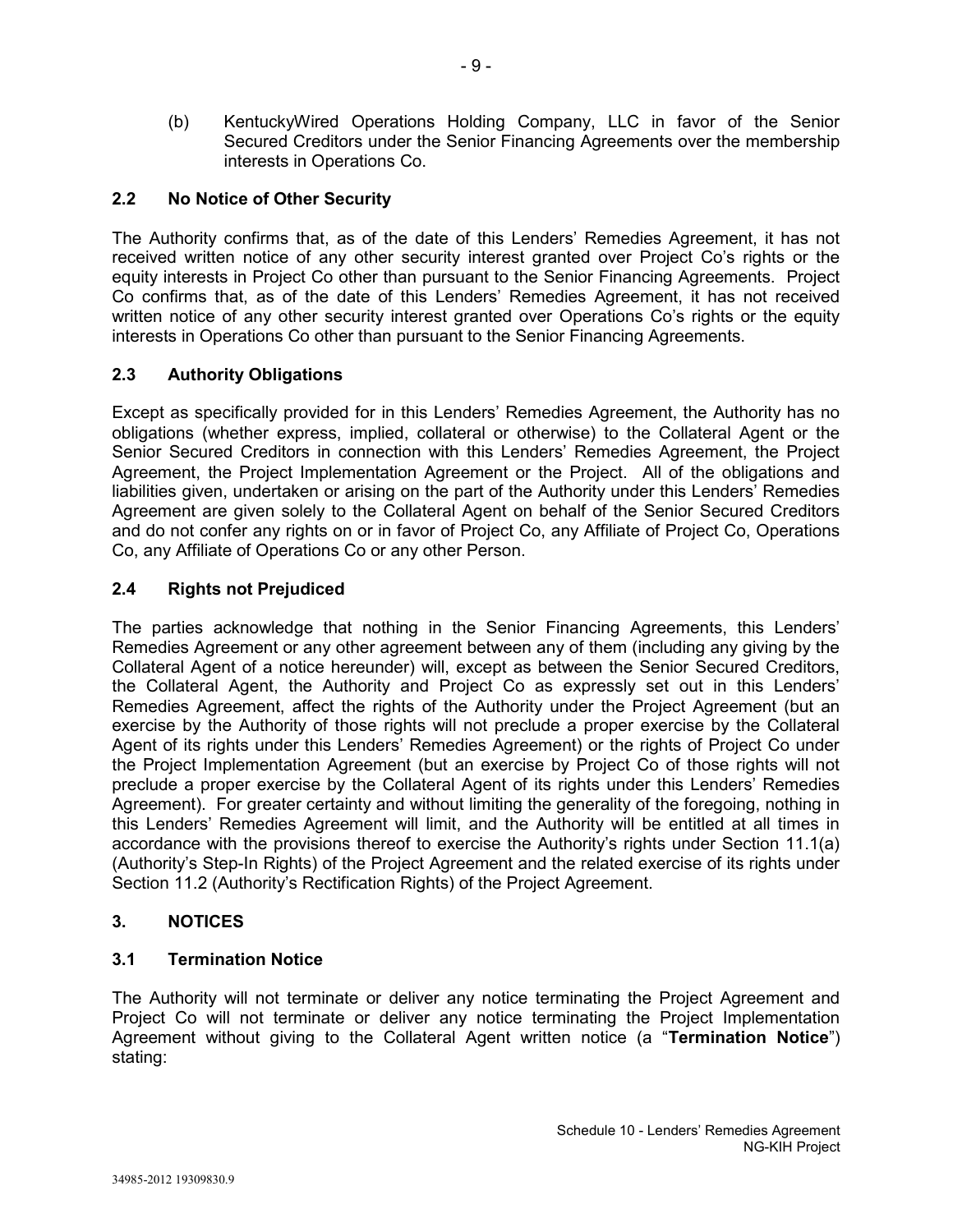(b) KentuckyWired Operations Holding Company, LLC in favor of the Senior Secured Creditors under the Senior Financing Agreements over the membership interests in Operations Co.

# **2.2 No Notice of Other Security**

The Authority confirms that, as of the date of this Lenders' Remedies Agreement, it has not received written notice of any other security interest granted over Project Co's rights or the equity interests in Project Co other than pursuant to the Senior Financing Agreements. Project Co confirms that, as of the date of this Lenders' Remedies Agreement, it has not received written notice of any other security interest granted over Operations Co's rights or the equity interests in Operations Co other than pursuant to the Senior Financing Agreements.

# **2.3 Authority Obligations**

Except as specifically provided for in this Lenders' Remedies Agreement, the Authority has no obligations (whether express, implied, collateral or otherwise) to the Collateral Agent or the Senior Secured Creditors in connection with this Lenders' Remedies Agreement, the Project Agreement, the Project Implementation Agreement or the Project. All of the obligations and liabilities given, undertaken or arising on the part of the Authority under this Lenders' Remedies Agreement are given solely to the Collateral Agent on behalf of the Senior Secured Creditors and do not confer any rights on or in favor of Project Co, any Affiliate of Project Co, Operations Co, any Affiliate of Operations Co or any other Person.

# **2.4 Rights not Prejudiced**

The parties acknowledge that nothing in the Senior Financing Agreements, this Lenders' Remedies Agreement or any other agreement between any of them (including any giving by the Collateral Agent of a notice hereunder) will, except as between the Senior Secured Creditors, the Collateral Agent, the Authority and Project Co as expressly set out in this Lenders' Remedies Agreement, affect the rights of the Authority under the Project Agreement (but an exercise by the Authority of those rights will not preclude a proper exercise by the Collateral Agent of its rights under this Lenders' Remedies Agreement) or the rights of Project Co under the Project Implementation Agreement (but an exercise by Project Co of those rights will not preclude a proper exercise by the Collateral Agent of its rights under this Lenders' Remedies Agreement). For greater certainty and without limiting the generality of the foregoing, nothing in this Lenders' Remedies Agreement will limit, and the Authority will be entitled at all times in accordance with the provisions thereof to exercise the Authority's rights under Section 11.1(a) (Authority's Step-In Rights) of the Project Agreement and the related exercise of its rights under Section 11.2 (Authority's Rectification Rights) of the Project Agreement.

# **3. NOTICES**

# **3.1 Termination Notice**

The Authority will not terminate or deliver any notice terminating the Project Agreement and Project Co will not terminate or deliver any notice terminating the Project Implementation Agreement without giving to the Collateral Agent written notice (a "**Termination Notice**") stating: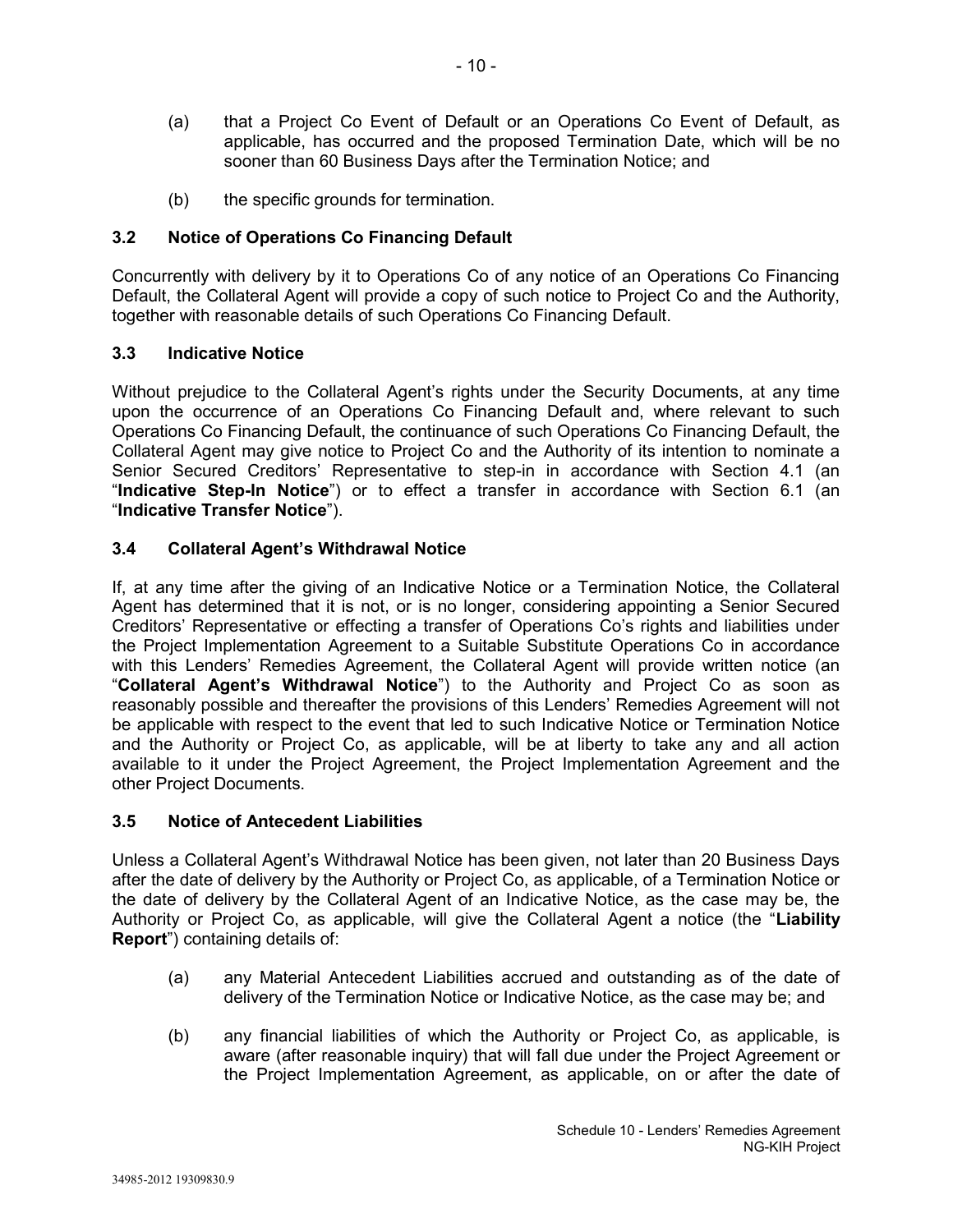- (a) that a Project Co Event of Default or an Operations Co Event of Default, as applicable, has occurred and the proposed Termination Date, which will be no sooner than 60 Business Days after the Termination Notice; and
- (b) the specific grounds for termination.

# **3.2 Notice of Operations Co Financing Default**

Concurrently with delivery by it to Operations Co of any notice of an Operations Co Financing Default, the Collateral Agent will provide a copy of such notice to Project Co and the Authority, together with reasonable details of such Operations Co Financing Default.

# **3.3 Indicative Notice**

Without prejudice to the Collateral Agent's rights under the Security Documents, at any time upon the occurrence of an Operations Co Financing Default and, where relevant to such Operations Co Financing Default, the continuance of such Operations Co Financing Default, the Collateral Agent may give notice to Project Co and the Authority of its intention to nominate a Senior Secured Creditors' Representative to step-in in accordance with Section 4.1 (an "**Indicative Step-In Notice**") or to effect a transfer in accordance with Section 6.1 (an "**Indicative Transfer Notice**").

# **3.4 Collateral Agent's Withdrawal Notice**

If, at any time after the giving of an Indicative Notice or a Termination Notice, the Collateral Agent has determined that it is not, or is no longer, considering appointing a Senior Secured Creditors' Representative or effecting a transfer of Operations Co's rights and liabilities under the Project Implementation Agreement to a Suitable Substitute Operations Co in accordance with this Lenders' Remedies Agreement, the Collateral Agent will provide written notice (an "**Collateral Agent's Withdrawal Notice**") to the Authority and Project Co as soon as reasonably possible and thereafter the provisions of this Lenders' Remedies Agreement will not be applicable with respect to the event that led to such Indicative Notice or Termination Notice and the Authority or Project Co, as applicable, will be at liberty to take any and all action available to it under the Project Agreement, the Project Implementation Agreement and the other Project Documents.

# **3.5 Notice of Antecedent Liabilities**

Unless a Collateral Agent's Withdrawal Notice has been given, not later than 20 Business Days after the date of delivery by the Authority or Project Co, as applicable, of a Termination Notice or the date of delivery by the Collateral Agent of an Indicative Notice, as the case may be, the Authority or Project Co, as applicable, will give the Collateral Agent a notice (the "**Liability Report**") containing details of:

- (a) any Material Antecedent Liabilities accrued and outstanding as of the date of delivery of the Termination Notice or Indicative Notice, as the case may be; and
- (b) any financial liabilities of which the Authority or Project Co, as applicable, is aware (after reasonable inquiry) that will fall due under the Project Agreement or the Project Implementation Agreement, as applicable, on or after the date of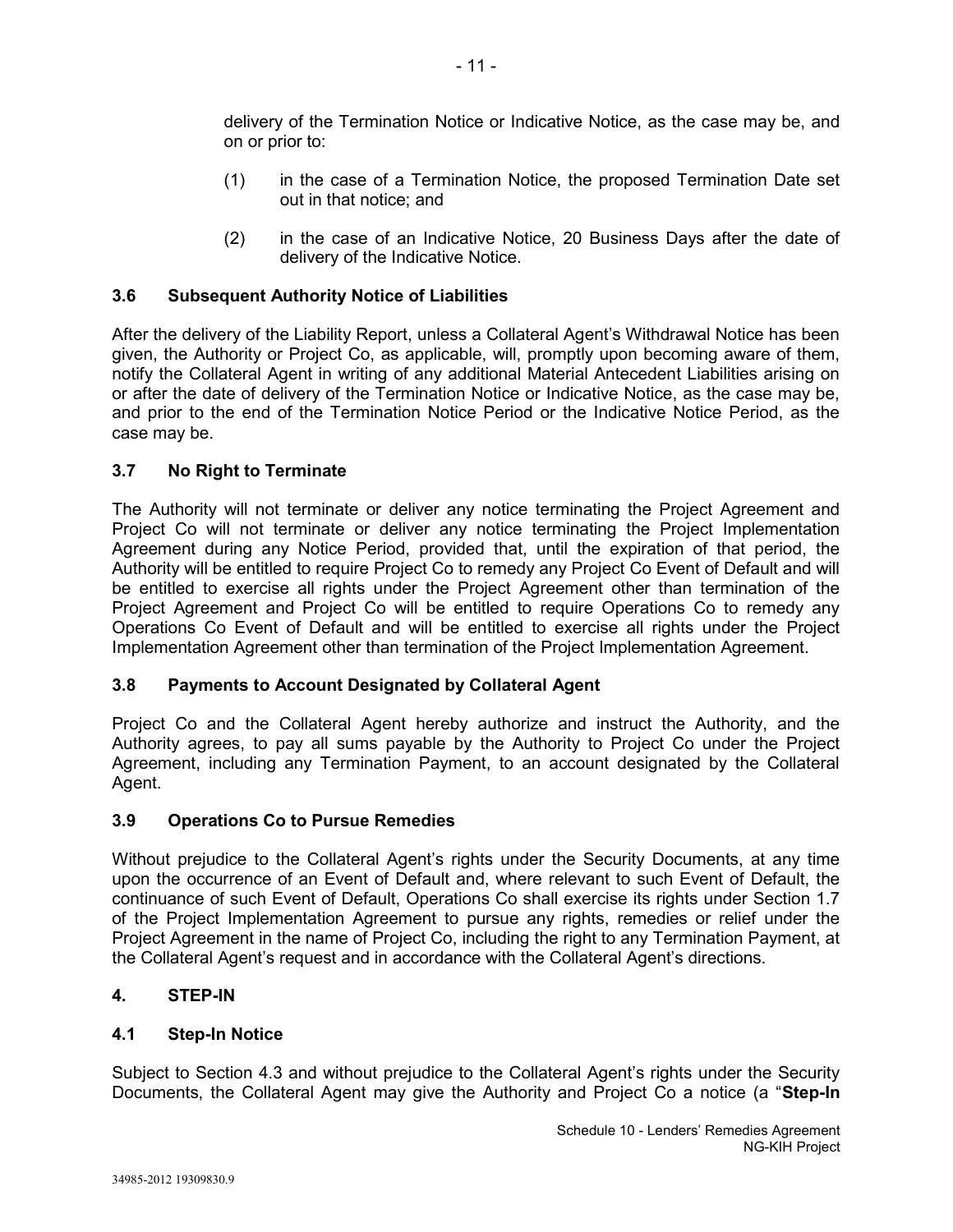delivery of the Termination Notice or Indicative Notice, as the case may be, and on or prior to:

- (1) in the case of a Termination Notice, the proposed Termination Date set out in that notice; and
- (2) in the case of an Indicative Notice, 20 Business Days after the date of delivery of the Indicative Notice.

# **3.6 Subsequent Authority Notice of Liabilities**

After the delivery of the Liability Report, unless a Collateral Agent's Withdrawal Notice has been given, the Authority or Project Co, as applicable, will, promptly upon becoming aware of them, notify the Collateral Agent in writing of any additional Material Antecedent Liabilities arising on or after the date of delivery of the Termination Notice or Indicative Notice, as the case may be, and prior to the end of the Termination Notice Period or the Indicative Notice Period, as the case may be.

### **3.7 No Right to Terminate**

The Authority will not terminate or deliver any notice terminating the Project Agreement and Project Co will not terminate or deliver any notice terminating the Project Implementation Agreement during any Notice Period, provided that, until the expiration of that period, the Authority will be entitled to require Project Co to remedy any Project Co Event of Default and will be entitled to exercise all rights under the Project Agreement other than termination of the Project Agreement and Project Co will be entitled to require Operations Co to remedy any Operations Co Event of Default and will be entitled to exercise all rights under the Project Implementation Agreement other than termination of the Project Implementation Agreement.

### **3.8 Payments to Account Designated by Collateral Agent**

Project Co and the Collateral Agent hereby authorize and instruct the Authority, and the Authority agrees, to pay all sums payable by the Authority to Project Co under the Project Agreement, including any Termination Payment, to an account designated by the Collateral Agent.

### **3.9 Operations Co to Pursue Remedies**

Without prejudice to the Collateral Agent's rights under the Security Documents, at any time upon the occurrence of an Event of Default and, where relevant to such Event of Default, the continuance of such Event of Default, Operations Co shall exercise its rights under Section 1.7 of the Project Implementation Agreement to pursue any rights, remedies or relief under the Project Agreement in the name of Project Co, including the right to any Termination Payment, at the Collateral Agent's request and in accordance with the Collateral Agent's directions.

### **4. STEP-IN**

### **4.1 Step-In Notice**

Subject to Section 4.3 and without prejudice to the Collateral Agent's rights under the Security Documents, the Collateral Agent may give the Authority and Project Co a notice (a "**Step-In**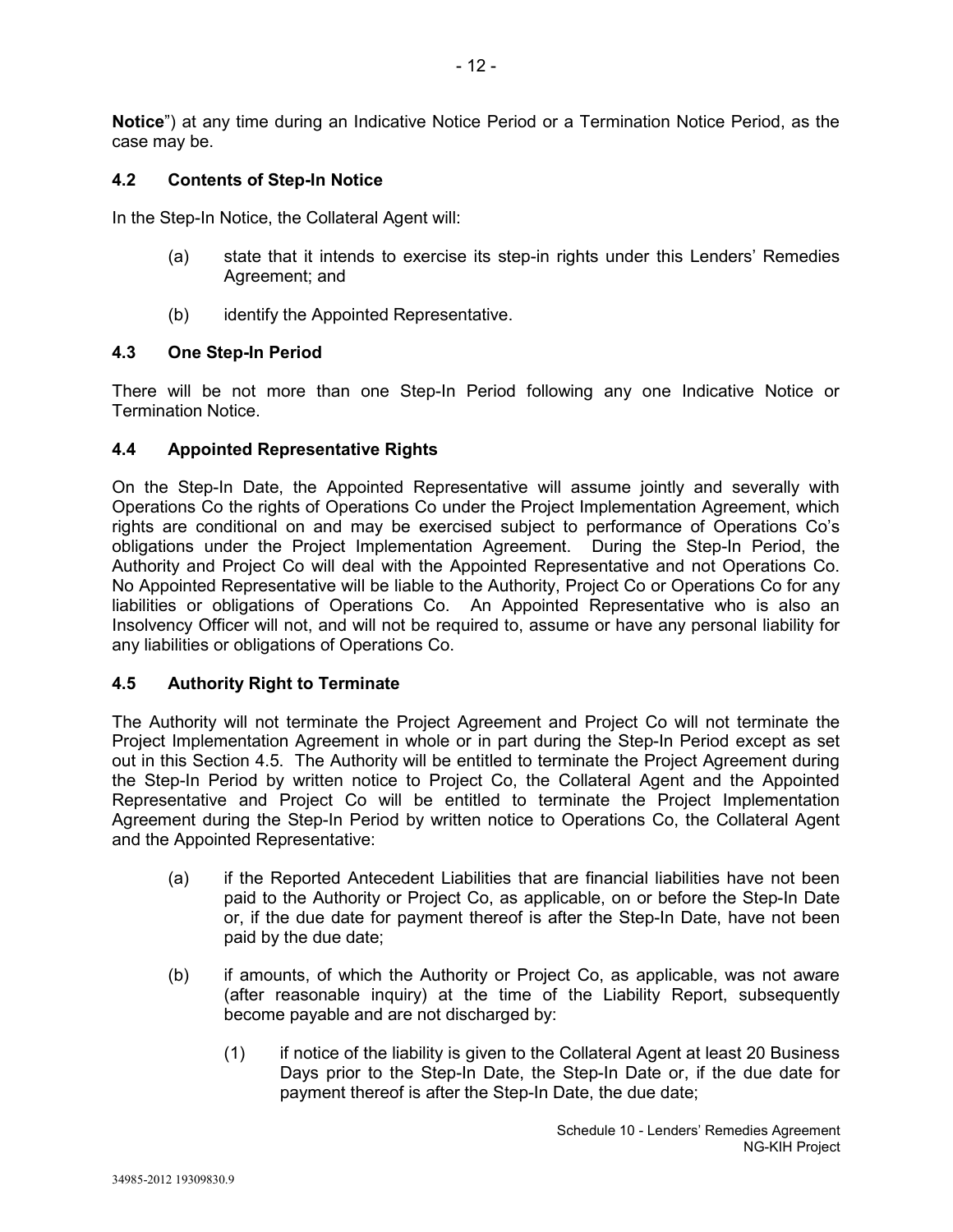**Notice**") at any time during an Indicative Notice Period or a Termination Notice Period, as the case may be.

# **4.2 Contents of Step-In Notice**

In the Step-In Notice, the Collateral Agent will:

- (a) state that it intends to exercise its step-in rights under this Lenders' Remedies Agreement; and
- (b) identify the Appointed Representative.

# **4.3 One Step-In Period**

There will be not more than one Step-In Period following any one Indicative Notice or Termination Notice.

# **4.4 Appointed Representative Rights**

On the Step-In Date, the Appointed Representative will assume jointly and severally with Operations Co the rights of Operations Co under the Project Implementation Agreement, which rights are conditional on and may be exercised subject to performance of Operations Co's obligations under the Project Implementation Agreement. During the Step-In Period, the Authority and Project Co will deal with the Appointed Representative and not Operations Co. No Appointed Representative will be liable to the Authority, Project Co or Operations Co for any liabilities or obligations of Operations Co. An Appointed Representative who is also an Insolvency Officer will not, and will not be required to, assume or have any personal liability for any liabilities or obligations of Operations Co.

# **4.5 Authority Right to Terminate**

The Authority will not terminate the Project Agreement and Project Co will not terminate the Project Implementation Agreement in whole or in part during the Step-In Period except as set out in this Section 4.5. The Authority will be entitled to terminate the Project Agreement during the Step-In Period by written notice to Project Co, the Collateral Agent and the Appointed Representative and Project Co will be entitled to terminate the Project Implementation Agreement during the Step-In Period by written notice to Operations Co, the Collateral Agent and the Appointed Representative:

- (a) if the Reported Antecedent Liabilities that are financial liabilities have not been paid to the Authority or Project Co, as applicable, on or before the Step-In Date or, if the due date for payment thereof is after the Step-In Date, have not been paid by the due date;
- (b) if amounts, of which the Authority or Project Co, as applicable, was not aware (after reasonable inquiry) at the time of the Liability Report, subsequently become payable and are not discharged by:
	- (1) if notice of the liability is given to the Collateral Agent at least 20 Business Days prior to the Step-In Date, the Step-In Date or, if the due date for payment thereof is after the Step-In Date, the due date;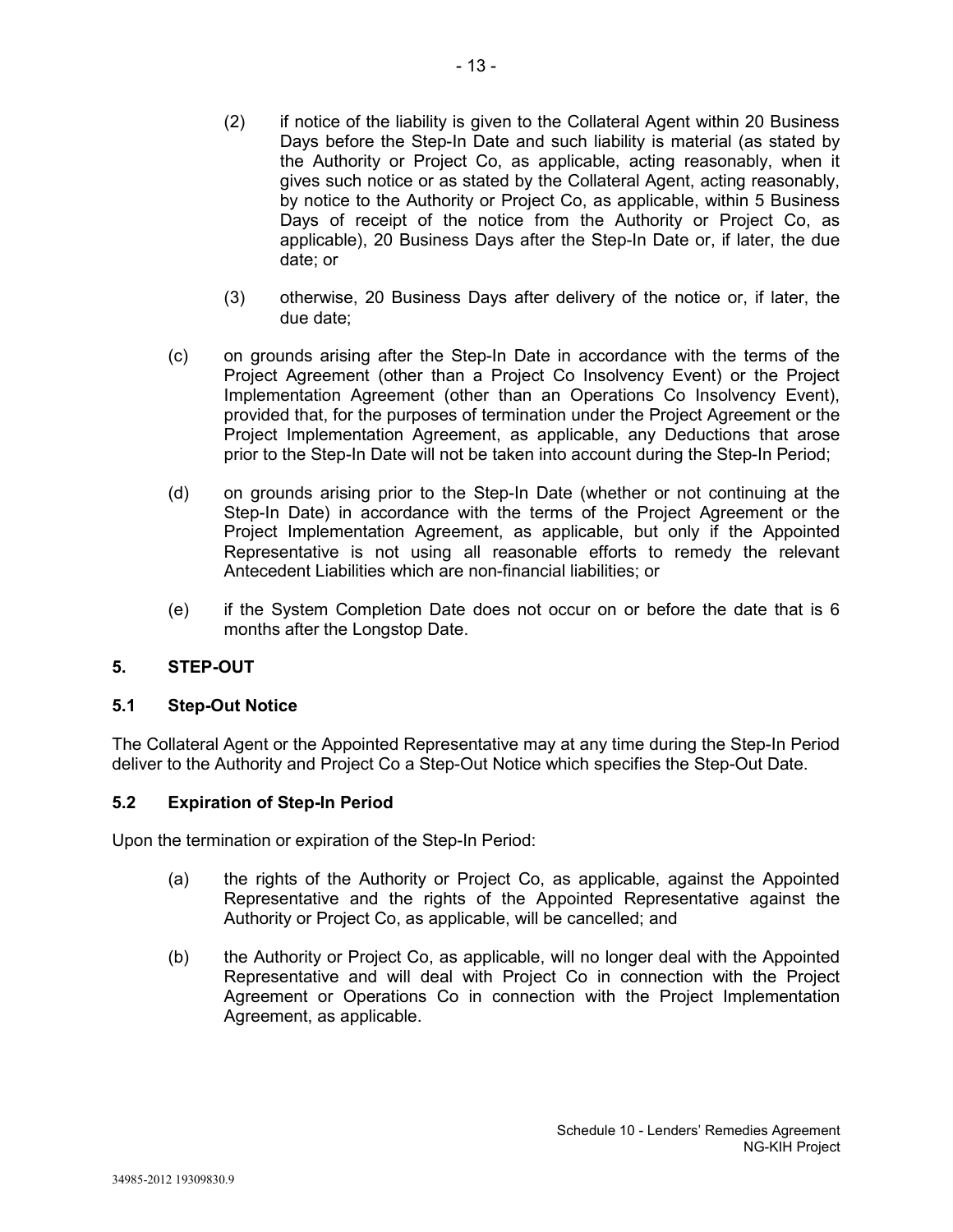- (2) if notice of the liability is given to the Collateral Agent within 20 Business Days before the Step-In Date and such liability is material (as stated by the Authority or Project Co, as applicable, acting reasonably, when it gives such notice or as stated by the Collateral Agent, acting reasonably, by notice to the Authority or Project Co, as applicable, within 5 Business Days of receipt of the notice from the Authority or Project Co, as applicable), 20 Business Days after the Step-In Date or, if later, the due date; or
- (3) otherwise, 20 Business Days after delivery of the notice or, if later, the due date;
- (c) on grounds arising after the Step-In Date in accordance with the terms of the Project Agreement (other than a Project Co Insolvency Event) or the Project Implementation Agreement (other than an Operations Co Insolvency Event), provided that, for the purposes of termination under the Project Agreement or the Project Implementation Agreement, as applicable, any Deductions that arose prior to the Step-In Date will not be taken into account during the Step-In Period;
- (d) on grounds arising prior to the Step-In Date (whether or not continuing at the Step-In Date) in accordance with the terms of the Project Agreement or the Project Implementation Agreement, as applicable, but only if the Appointed Representative is not using all reasonable efforts to remedy the relevant Antecedent Liabilities which are non-financial liabilities; or
- (e) if the System Completion Date does not occur on or before the date that is 6 months after the Longstop Date.

# **5. STEP-OUT**

# **5.1 Step-Out Notice**

The Collateral Agent or the Appointed Representative may at any time during the Step-In Period deliver to the Authority and Project Co a Step-Out Notice which specifies the Step-Out Date.

# **5.2 Expiration of Step-In Period**

Upon the termination or expiration of the Step-In Period:

- (a) the rights of the Authority or Project Co, as applicable, against the Appointed Representative and the rights of the Appointed Representative against the Authority or Project Co, as applicable, will be cancelled; and
- (b) the Authority or Project Co, as applicable, will no longer deal with the Appointed Representative and will deal with Project Co in connection with the Project Agreement or Operations Co in connection with the Project Implementation Agreement, as applicable.

Schedule 10 - Lenders' Remedies Agreement

NG-KIH Project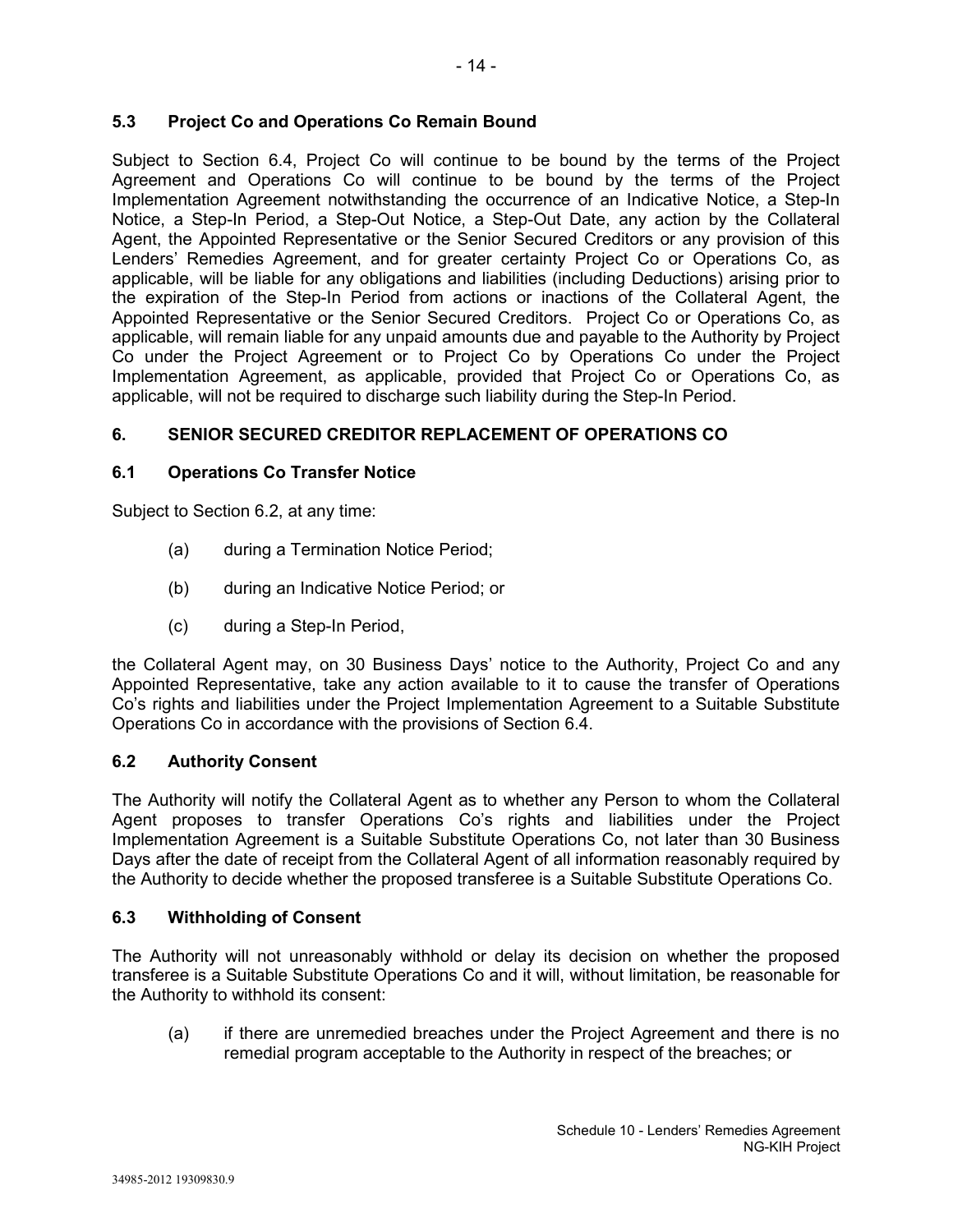# **5.3 Project Co and Operations Co Remain Bound**

Subject to Section 6.4, Project Co will continue to be bound by the terms of the Project Agreement and Operations Co will continue to be bound by the terms of the Project Implementation Agreement notwithstanding the occurrence of an Indicative Notice, a Step-In Notice, a Step-In Period, a Step-Out Notice, a Step-Out Date, any action by the Collateral Agent, the Appointed Representative or the Senior Secured Creditors or any provision of this Lenders' Remedies Agreement, and for greater certainty Project Co or Operations Co, as applicable, will be liable for any obligations and liabilities (including Deductions) arising prior to the expiration of the Step-In Period from actions or inactions of the Collateral Agent, the Appointed Representative or the Senior Secured Creditors. Project Co or Operations Co, as applicable, will remain liable for any unpaid amounts due and payable to the Authority by Project Co under the Project Agreement or to Project Co by Operations Co under the Project Implementation Agreement, as applicable, provided that Project Co or Operations Co, as applicable, will not be required to discharge such liability during the Step-In Period.

# **6. SENIOR SECURED CREDITOR REPLACEMENT OF OPERATIONS CO**

# **6.1 Operations Co Transfer Notice**

Subject to Section 6.2, at any time:

- (a) during a Termination Notice Period;
- (b) during an Indicative Notice Period; or
- (c) during a Step-In Period,

the Collateral Agent may, on 30 Business Days' notice to the Authority, Project Co and any Appointed Representative, take any action available to it to cause the transfer of Operations Co's rights and liabilities under the Project Implementation Agreement to a Suitable Substitute Operations Co in accordance with the provisions of Section 6.4.

# **6.2 Authority Consent**

The Authority will notify the Collateral Agent as to whether any Person to whom the Collateral Agent proposes to transfer Operations Co's rights and liabilities under the Project Implementation Agreement is a Suitable Substitute Operations Co, not later than 30 Business Days after the date of receipt from the Collateral Agent of all information reasonably required by the Authority to decide whether the proposed transferee is a Suitable Substitute Operations Co.

# **6.3 Withholding of Consent**

The Authority will not unreasonably withhold or delay its decision on whether the proposed transferee is a Suitable Substitute Operations Co and it will, without limitation, be reasonable for the Authority to withhold its consent:

(a) if there are unremedied breaches under the Project Agreement and there is no remedial program acceptable to the Authority in respect of the breaches; or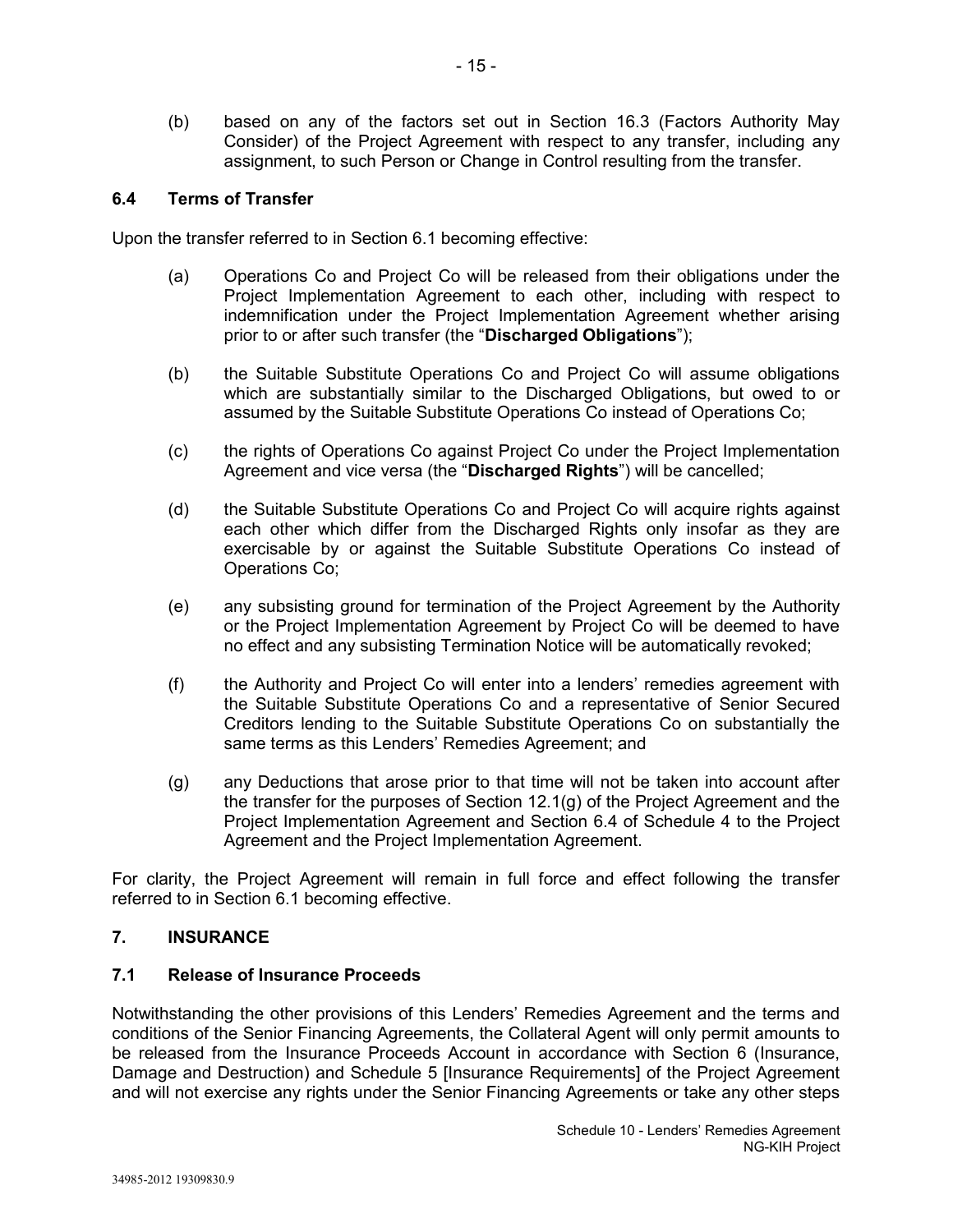(b) based on any of the factors set out in Section 16.3 (Factors Authority May Consider) of the Project Agreement with respect to any transfer, including any assignment, to such Person or Change in Control resulting from the transfer.

### **6.4 Terms of Transfer**

Upon the transfer referred to in Section 6.1 becoming effective:

- (a) Operations Co and Project Co will be released from their obligations under the Project Implementation Agreement to each other, including with respect to indemnification under the Project Implementation Agreement whether arising prior to or after such transfer (the "**Discharged Obligations**");
- (b) the Suitable Substitute Operations Co and Project Co will assume obligations which are substantially similar to the Discharged Obligations, but owed to or assumed by the Suitable Substitute Operations Co instead of Operations Co;
- (c) the rights of Operations Co against Project Co under the Project Implementation Agreement and vice versa (the "**Discharged Rights**") will be cancelled;
- (d) the Suitable Substitute Operations Co and Project Co will acquire rights against each other which differ from the Discharged Rights only insofar as they are exercisable by or against the Suitable Substitute Operations Co instead of Operations Co;
- (e) any subsisting ground for termination of the Project Agreement by the Authority or the Project Implementation Agreement by Project Co will be deemed to have no effect and any subsisting Termination Notice will be automatically revoked;
- (f) the Authority and Project Co will enter into a lenders' remedies agreement with the Suitable Substitute Operations Co and a representative of Senior Secured Creditors lending to the Suitable Substitute Operations Co on substantially the same terms as this Lenders' Remedies Agreement; and
- (g) any Deductions that arose prior to that time will not be taken into account after the transfer for the purposes of Section 12.1(g) of the Project Agreement and the Project Implementation Agreement and Section 6.4 of Schedule 4 to the Project Agreement and the Project Implementation Agreement.

For clarity, the Project Agreement will remain in full force and effect following the transfer referred to in Section 6.1 becoming effective.

### **7. INSURANCE**

### **7.1 Release of Insurance Proceeds**

Notwithstanding the other provisions of this Lenders' Remedies Agreement and the terms and conditions of the Senior Financing Agreements, the Collateral Agent will only permit amounts to be released from the Insurance Proceeds Account in accordance with Section 6 (Insurance, Damage and Destruction) and Schedule 5 [Insurance Requirements] of the Project Agreement and will not exercise any rights under the Senior Financing Agreements or take any other steps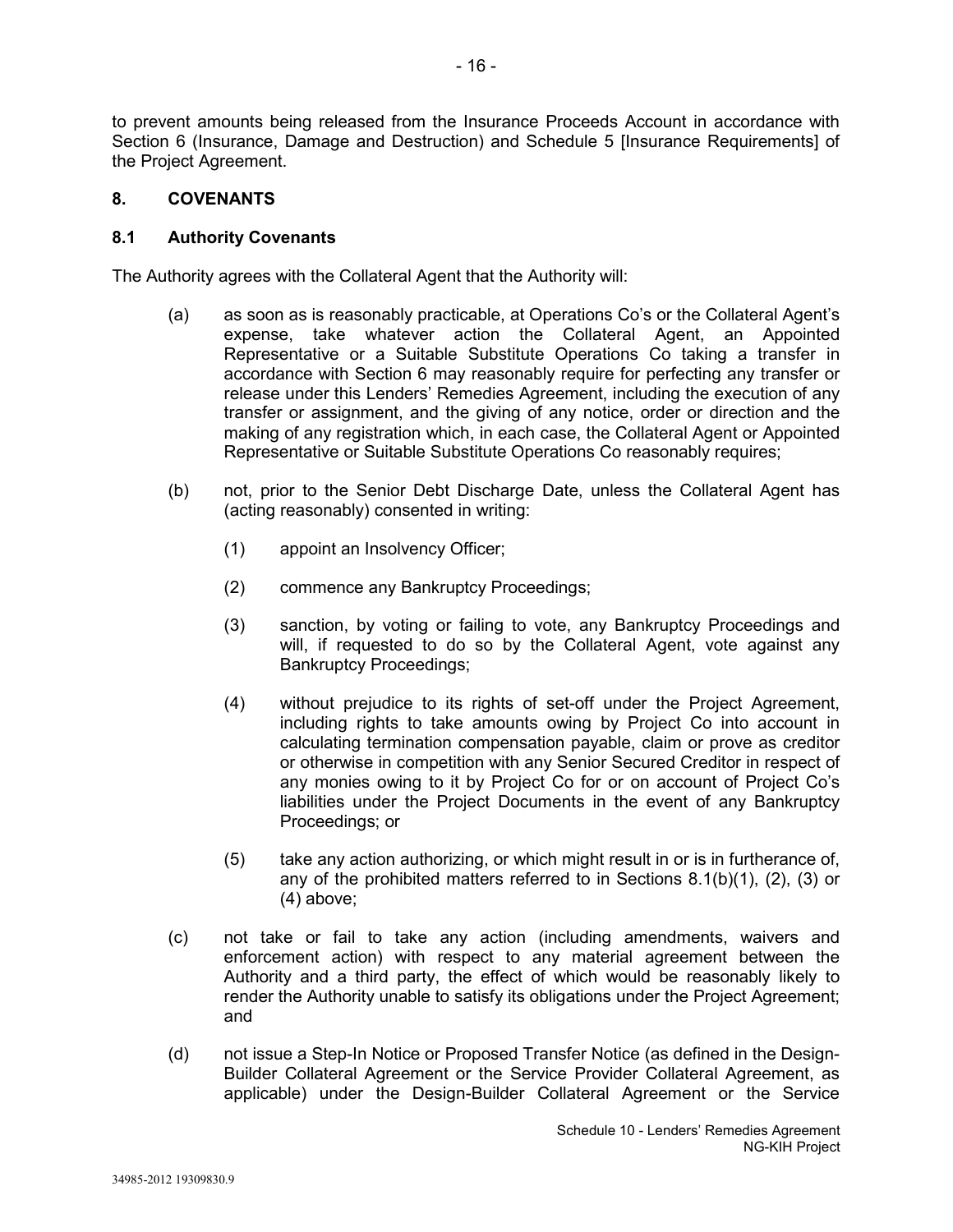to prevent amounts being released from the Insurance Proceeds Account in accordance with Section 6 (Insurance, Damage and Destruction) and Schedule 5 [Insurance Requirements] of the Project Agreement.

### **8. COVENANTS**

### **8.1 Authority Covenants**

The Authority agrees with the Collateral Agent that the Authority will:

- (a) as soon as is reasonably practicable, at Operations Co's or the Collateral Agent's expense, take whatever action the Collateral Agent, an Appointed Representative or a Suitable Substitute Operations Co taking a transfer in accordance with Section 6 may reasonably require for perfecting any transfer or release under this Lenders' Remedies Agreement, including the execution of any transfer or assignment, and the giving of any notice, order or direction and the making of any registration which, in each case, the Collateral Agent or Appointed Representative or Suitable Substitute Operations Co reasonably requires;
- (b) not, prior to the Senior Debt Discharge Date, unless the Collateral Agent has (acting reasonably) consented in writing:
	- (1) appoint an Insolvency Officer;
	- (2) commence any Bankruptcy Proceedings;
	- (3) sanction, by voting or failing to vote, any Bankruptcy Proceedings and will, if requested to do so by the Collateral Agent, vote against any Bankruptcy Proceedings;
	- (4) without prejudice to its rights of set-off under the Project Agreement, including rights to take amounts owing by Project Co into account in calculating termination compensation payable, claim or prove as creditor or otherwise in competition with any Senior Secured Creditor in respect of any monies owing to it by Project Co for or on account of Project Co's liabilities under the Project Documents in the event of any Bankruptcy Proceedings; or
	- (5) take any action authorizing, or which might result in or is in furtherance of, any of the prohibited matters referred to in Sections  $8.1(b)(1)$ ,  $(2)$ ,  $(3)$  or (4) above;
- (c) not take or fail to take any action (including amendments, waivers and enforcement action) with respect to any material agreement between the Authority and a third party, the effect of which would be reasonably likely to render the Authority unable to satisfy its obligations under the Project Agreement; and
- (d) not issue a Step-In Notice or Proposed Transfer Notice (as defined in the Design-Builder Collateral Agreement or the Service Provider Collateral Agreement, as applicable) under the Design-Builder Collateral Agreement or the Service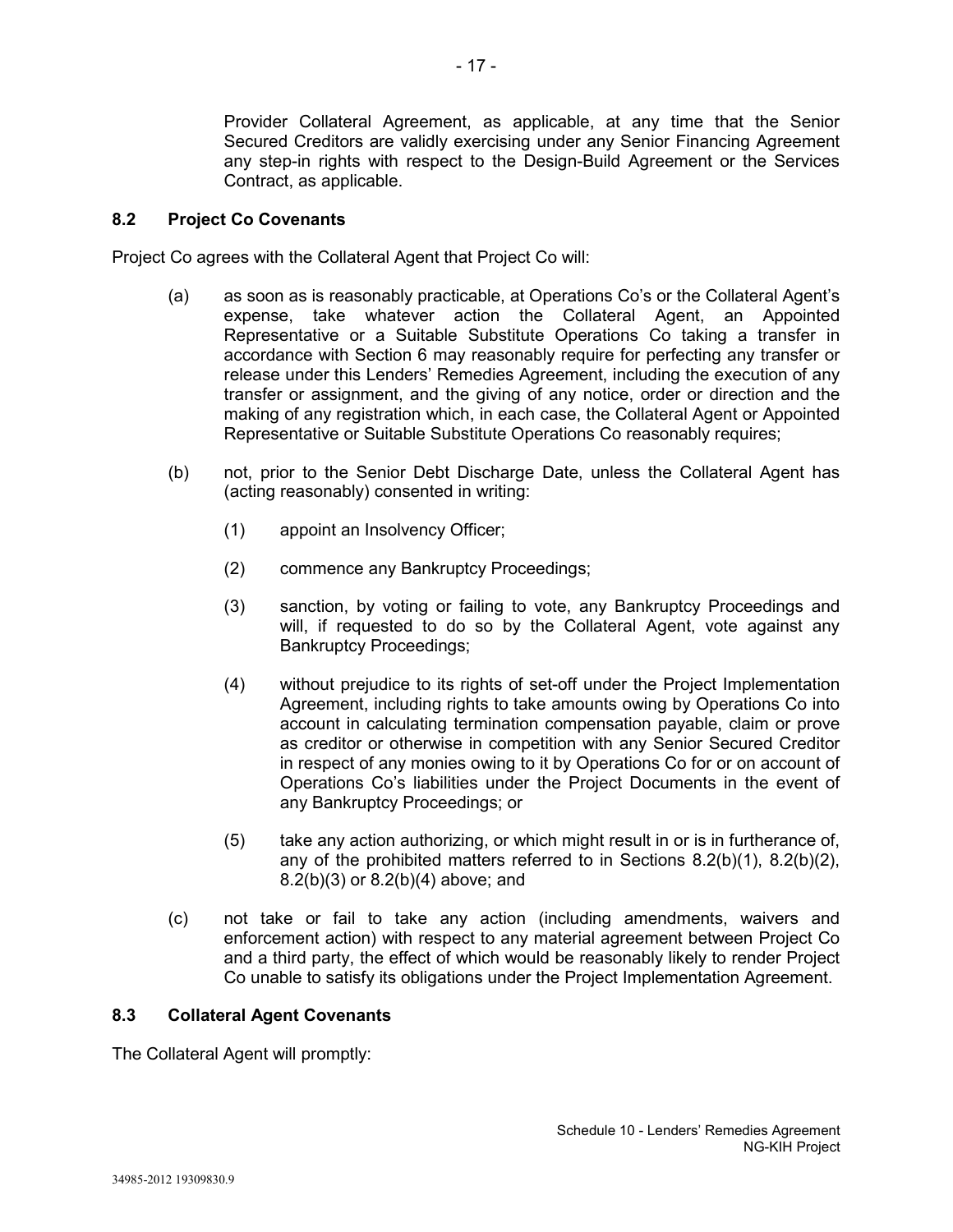Provider Collateral Agreement, as applicable, at any time that the Senior Secured Creditors are validly exercising under any Senior Financing Agreement any step-in rights with respect to the Design-Build Agreement or the Services Contract, as applicable.

### **8.2 Project Co Covenants**

Project Co agrees with the Collateral Agent that Project Co will:

- (a) as soon as is reasonably practicable, at Operations Co's or the Collateral Agent's expense, take whatever action the Collateral Agent, an Appointed Representative or a Suitable Substitute Operations Co taking a transfer in accordance with Section 6 may reasonably require for perfecting any transfer or release under this Lenders' Remedies Agreement, including the execution of any transfer or assignment, and the giving of any notice, order or direction and the making of any registration which, in each case, the Collateral Agent or Appointed Representative or Suitable Substitute Operations Co reasonably requires;
- (b) not, prior to the Senior Debt Discharge Date, unless the Collateral Agent has (acting reasonably) consented in writing:
	- (1) appoint an Insolvency Officer;
	- (2) commence any Bankruptcy Proceedings;
	- (3) sanction, by voting or failing to vote, any Bankruptcy Proceedings and will, if requested to do so by the Collateral Agent, vote against any Bankruptcy Proceedings;
	- (4) without prejudice to its rights of set-off under the Project Implementation Agreement, including rights to take amounts owing by Operations Co into account in calculating termination compensation payable, claim or prove as creditor or otherwise in competition with any Senior Secured Creditor in respect of any monies owing to it by Operations Co for or on account of Operations Co's liabilities under the Project Documents in the event of any Bankruptcy Proceedings; or
	- (5) take any action authorizing, or which might result in or is in furtherance of, any of the prohibited matters referred to in Sections 8.2(b)(1), 8.2(b)(2), 8.2(b)(3) or 8.2(b)(4) above; and
- (c) not take or fail to take any action (including amendments, waivers and enforcement action) with respect to any material agreement between Project Co and a third party, the effect of which would be reasonably likely to render Project Co unable to satisfy its obligations under the Project Implementation Agreement.

### **8.3 Collateral Agent Covenants**

The Collateral Agent will promptly: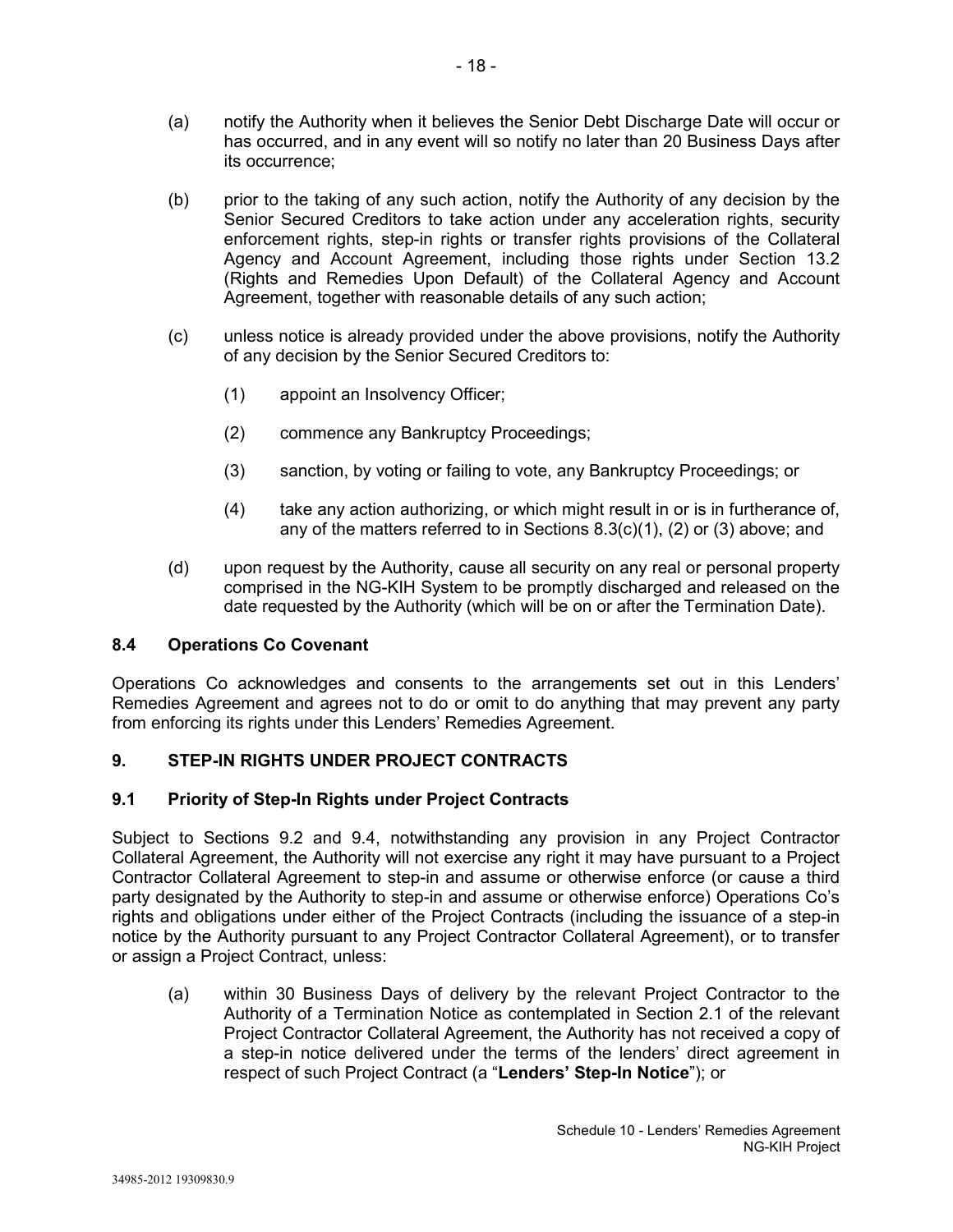- (a) notify the Authority when it believes the Senior Debt Discharge Date will occur or has occurred, and in any event will so notify no later than 20 Business Days after its occurrence;
- (b) prior to the taking of any such action, notify the Authority of any decision by the Senior Secured Creditors to take action under any acceleration rights, security enforcement rights, step-in rights or transfer rights provisions of the Collateral Agency and Account Agreement, including those rights under Section 13.2 (Rights and Remedies Upon Default) of the Collateral Agency and Account Agreement, together with reasonable details of any such action;
- (c) unless notice is already provided under the above provisions, notify the Authority of any decision by the Senior Secured Creditors to:
	- (1) appoint an Insolvency Officer;
	- (2) commence any Bankruptcy Proceedings;
	- (3) sanction, by voting or failing to vote, any Bankruptcy Proceedings; or
	- (4) take any action authorizing, or which might result in or is in furtherance of, any of the matters referred to in Sections 8.3(c)(1), (2) or (3) above; and
- (d) upon request by the Authority, cause all security on any real or personal property comprised in the NG-KIH System to be promptly discharged and released on the date requested by the Authority (which will be on or after the Termination Date).

# **8.4 Operations Co Covenant**

Operations Co acknowledges and consents to the arrangements set out in this Lenders' Remedies Agreement and agrees not to do or omit to do anything that may prevent any party from enforcing its rights under this Lenders' Remedies Agreement.

# **9. STEP-IN RIGHTS UNDER PROJECT CONTRACTS**

# **9.1 Priority of Step-In Rights under Project Contracts**

Subject to Sections 9.2 and 9.4, notwithstanding any provision in any Project Contractor Collateral Agreement, the Authority will not exercise any right it may have pursuant to a Project Contractor Collateral Agreement to step-in and assume or otherwise enforce (or cause a third party designated by the Authority to step-in and assume or otherwise enforce) Operations Co's rights and obligations under either of the Project Contracts (including the issuance of a step-in notice by the Authority pursuant to any Project Contractor Collateral Agreement), or to transfer or assign a Project Contract, unless:

(a) within 30 Business Days of delivery by the relevant Project Contractor to the Authority of a Termination Notice as contemplated in Section 2.1 of the relevant Project Contractor Collateral Agreement, the Authority has not received a copy of a step-in notice delivered under the terms of the lenders' direct agreement in respect of such Project Contract (a "**Lenders' Step-In Notice**"); or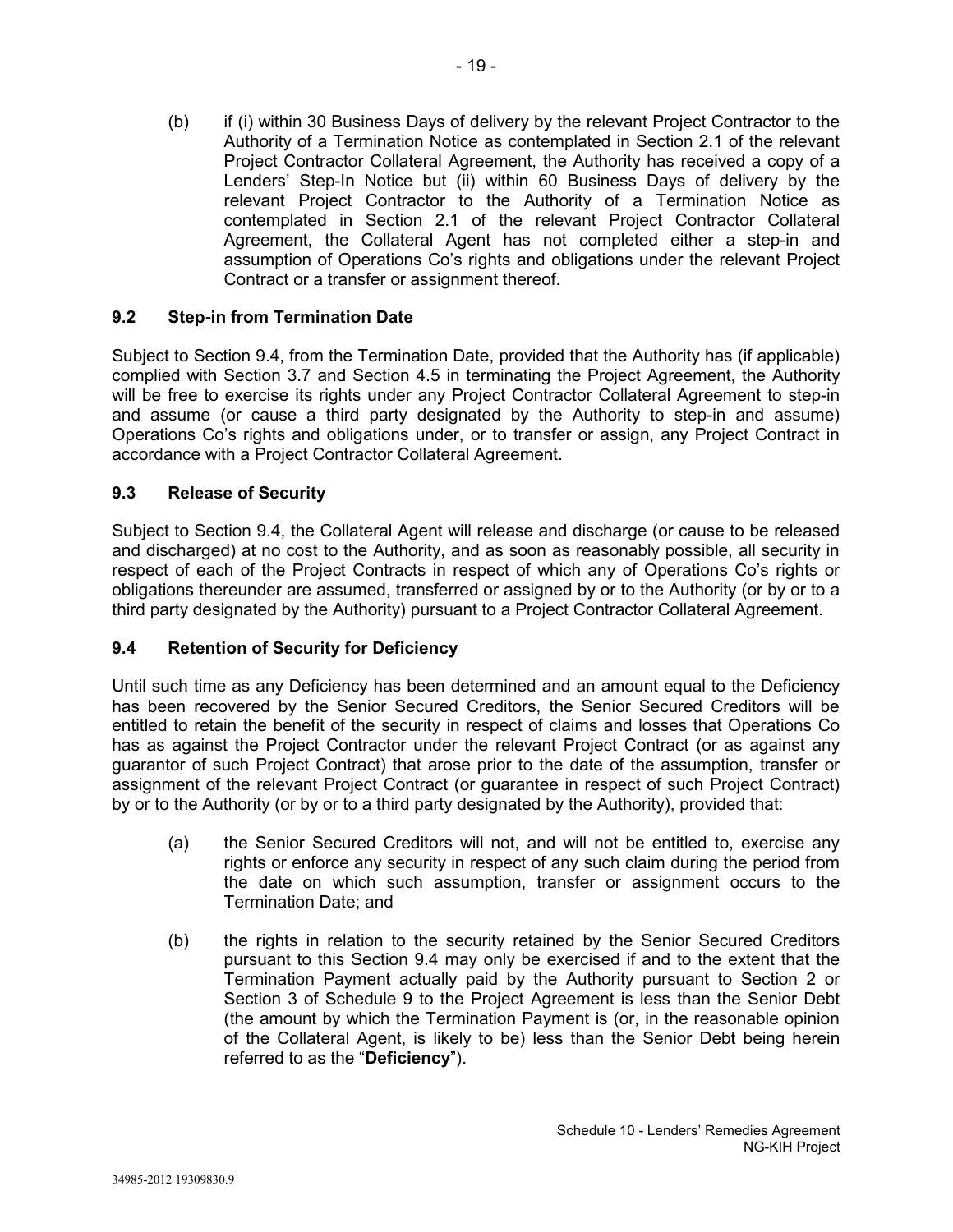(b) if (i) within 30 Business Days of delivery by the relevant Project Contractor to the Authority of a Termination Notice as contemplated in Section 2.1 of the relevant Project Contractor Collateral Agreement, the Authority has received a copy of a Lenders' Step-In Notice but (ii) within 60 Business Days of delivery by the relevant Project Contractor to the Authority of a Termination Notice as contemplated in Section 2.1 of the relevant Project Contractor Collateral Agreement, the Collateral Agent has not completed either a step-in and assumption of Operations Co's rights and obligations under the relevant Project Contract or a transfer or assignment thereof.

# **9.2 Step-in from Termination Date**

Subject to Section 9.4, from the Termination Date, provided that the Authority has (if applicable) complied with Section 3.7 and Section 4.5 in terminating the Project Agreement, the Authority will be free to exercise its rights under any Project Contractor Collateral Agreement to step-in and assume (or cause a third party designated by the Authority to step-in and assume) Operations Co's rights and obligations under, or to transfer or assign, any Project Contract in accordance with a Project Contractor Collateral Agreement.

### **9.3 Release of Security**

Subject to Section 9.4, the Collateral Agent will release and discharge (or cause to be released and discharged) at no cost to the Authority, and as soon as reasonably possible, all security in respect of each of the Project Contracts in respect of which any of Operations Co's rights or obligations thereunder are assumed, transferred or assigned by or to the Authority (or by or to a third party designated by the Authority) pursuant to a Project Contractor Collateral Agreement.

# **9.4 Retention of Security for Deficiency**

Until such time as any Deficiency has been determined and an amount equal to the Deficiency has been recovered by the Senior Secured Creditors, the Senior Secured Creditors will be entitled to retain the benefit of the security in respect of claims and losses that Operations Co has as against the Project Contractor under the relevant Project Contract (or as against any guarantor of such Project Contract) that arose prior to the date of the assumption, transfer or assignment of the relevant Project Contract (or guarantee in respect of such Project Contract) by or to the Authority (or by or to a third party designated by the Authority), provided that:

- (a) the Senior Secured Creditors will not, and will not be entitled to, exercise any rights or enforce any security in respect of any such claim during the period from the date on which such assumption, transfer or assignment occurs to the Termination Date; and
- (b) the rights in relation to the security retained by the Senior Secured Creditors pursuant to this Section 9.4 may only be exercised if and to the extent that the Termination Payment actually paid by the Authority pursuant to Section 2 or Section 3 of Schedule 9 to the Project Agreement is less than the Senior Debt (the amount by which the Termination Payment is (or, in the reasonable opinion of the Collateral Agent, is likely to be) less than the Senior Debt being herein referred to as the "**Deficiency**").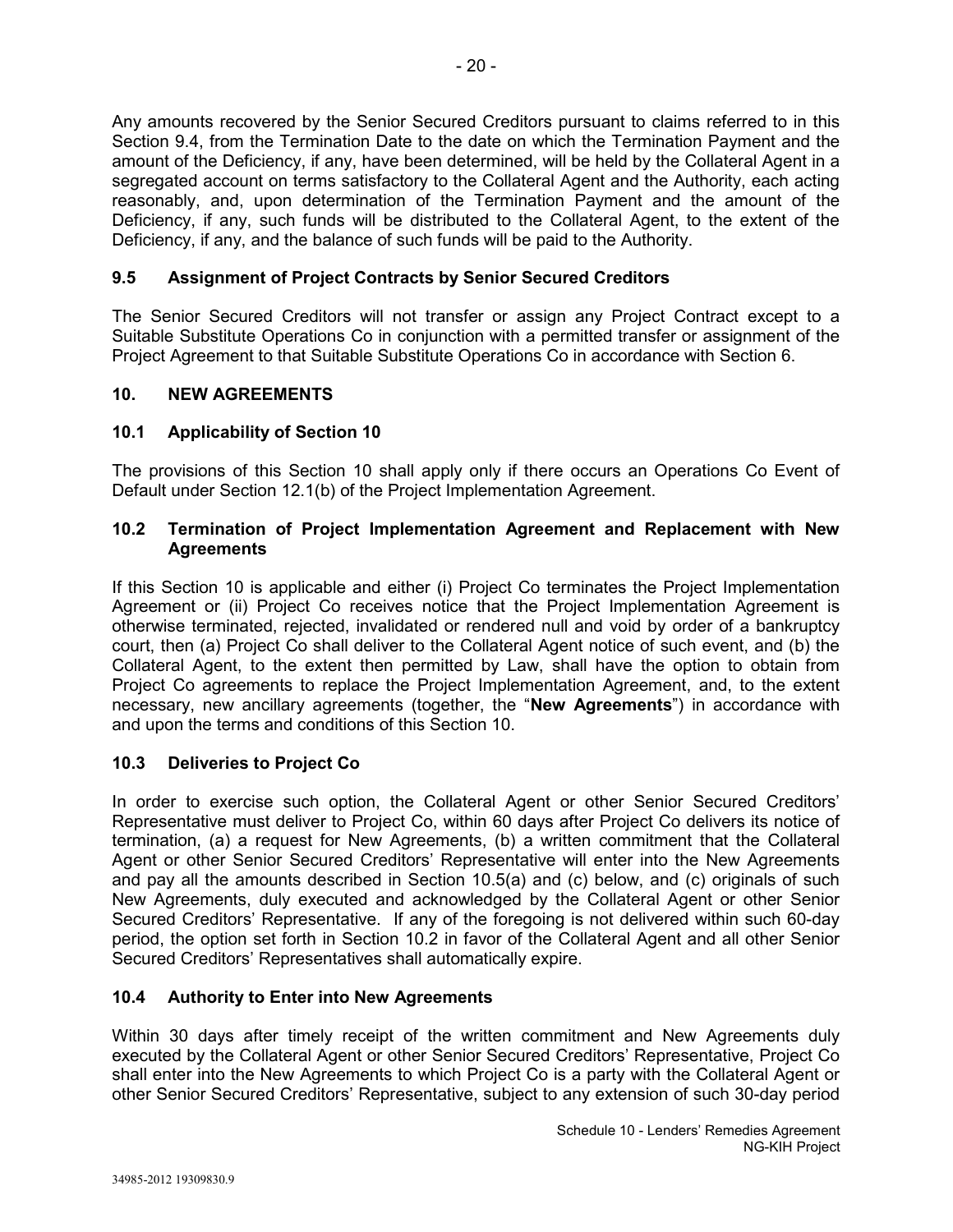Any amounts recovered by the Senior Secured Creditors pursuant to claims referred to in this Section 9.4, from the Termination Date to the date on which the Termination Payment and the amount of the Deficiency, if any, have been determined, will be held by the Collateral Agent in a segregated account on terms satisfactory to the Collateral Agent and the Authority, each acting reasonably, and, upon determination of the Termination Payment and the amount of the Deficiency, if any, such funds will be distributed to the Collateral Agent, to the extent of the Deficiency, if any, and the balance of such funds will be paid to the Authority.

# **9.5 Assignment of Project Contracts by Senior Secured Creditors**

The Senior Secured Creditors will not transfer or assign any Project Contract except to a Suitable Substitute Operations Co in conjunction with a permitted transfer or assignment of the Project Agreement to that Suitable Substitute Operations Co in accordance with Section 6.

# **10. NEW AGREEMENTS**

# **10.1 Applicability of Section 10**

The provisions of this Section 10 shall apply only if there occurs an Operations Co Event of Default under Section 12.1(b) of the Project Implementation Agreement.

### **10.2 Termination of Project Implementation Agreement and Replacement with New Agreements**

If this Section 10 is applicable and either (i) Project Co terminates the Project Implementation Agreement or (ii) Project Co receives notice that the Project Implementation Agreement is otherwise terminated, rejected, invalidated or rendered null and void by order of a bankruptcy court, then (a) Project Co shall deliver to the Collateral Agent notice of such event, and (b) the Collateral Agent, to the extent then permitted by Law, shall have the option to obtain from Project Co agreements to replace the Project Implementation Agreement, and, to the extent necessary, new ancillary agreements (together, the "**New Agreements**") in accordance with and upon the terms and conditions of this Section 10.

# **10.3 Deliveries to Project Co**

In order to exercise such option, the Collateral Agent or other Senior Secured Creditors' Representative must deliver to Project Co, within 60 days after Project Co delivers its notice of termination, (a) a request for New Agreements, (b) a written commitment that the Collateral Agent or other Senior Secured Creditors' Representative will enter into the New Agreements and pay all the amounts described in Section 10.5(a) and (c) below, and (c) originals of such New Agreements, duly executed and acknowledged by the Collateral Agent or other Senior Secured Creditors' Representative. If any of the foregoing is not delivered within such 60-day period, the option set forth in Section 10.2 in favor of the Collateral Agent and all other Senior Secured Creditors' Representatives shall automatically expire.

# **10.4 Authority to Enter into New Agreements**

Within 30 days after timely receipt of the written commitment and New Agreements duly executed by the Collateral Agent or other Senior Secured Creditors' Representative, Project Co shall enter into the New Agreements to which Project Co is a party with the Collateral Agent or other Senior Secured Creditors' Representative, subject to any extension of such 30-day period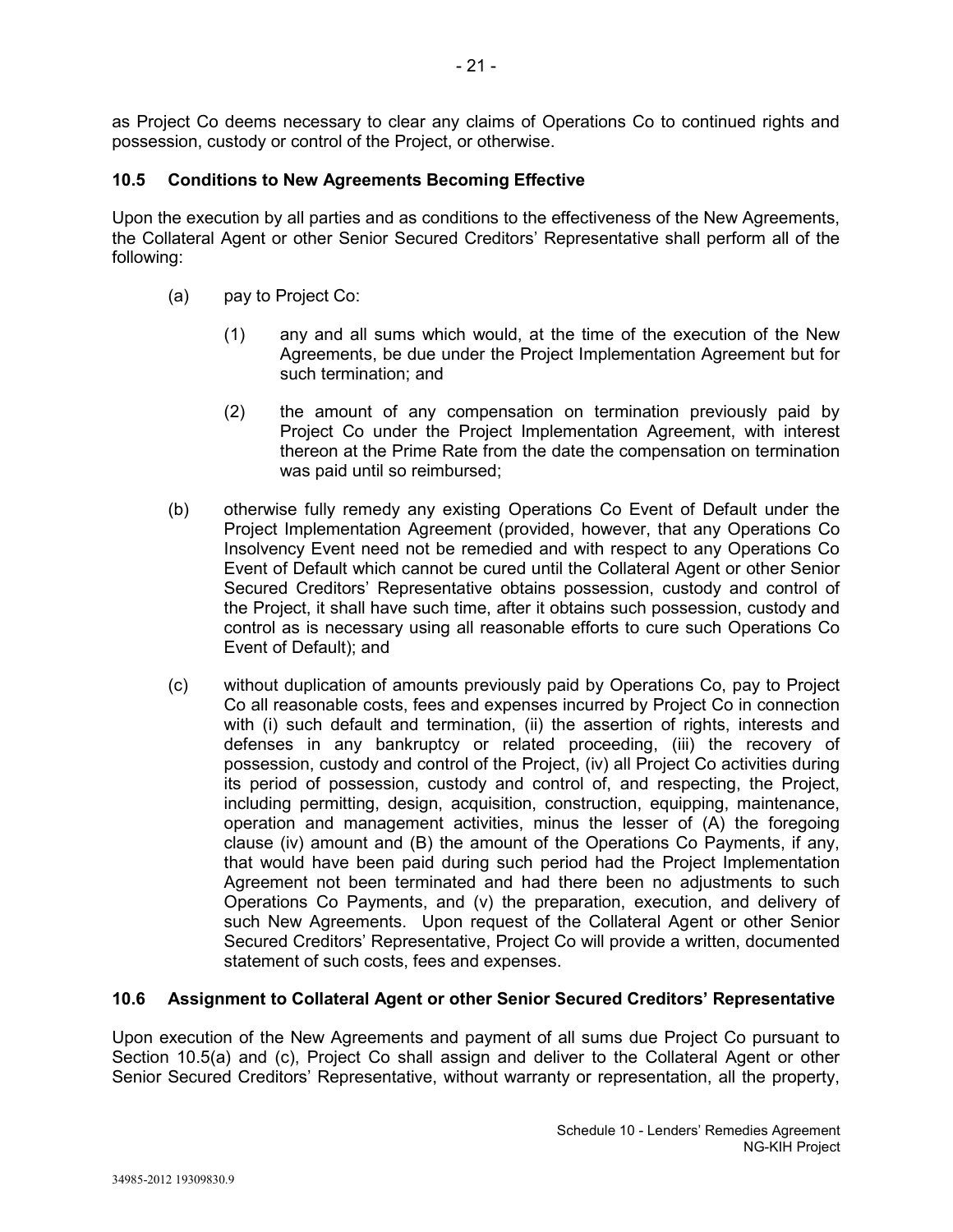as Project Co deems necessary to clear any claims of Operations Co to continued rights and possession, custody or control of the Project, or otherwise.

# **10.5 Conditions to New Agreements Becoming Effective**

Upon the execution by all parties and as conditions to the effectiveness of the New Agreements, the Collateral Agent or other Senior Secured Creditors' Representative shall perform all of the following:

- (a) pay to Project Co:
	- (1) any and all sums which would, at the time of the execution of the New Agreements, be due under the Project Implementation Agreement but for such termination; and
	- (2) the amount of any compensation on termination previously paid by Project Co under the Project Implementation Agreement, with interest thereon at the Prime Rate from the date the compensation on termination was paid until so reimbursed;
- (b) otherwise fully remedy any existing Operations Co Event of Default under the Project Implementation Agreement (provided, however, that any Operations Co Insolvency Event need not be remedied and with respect to any Operations Co Event of Default which cannot be cured until the Collateral Agent or other Senior Secured Creditors' Representative obtains possession, custody and control of the Project, it shall have such time, after it obtains such possession, custody and control as is necessary using all reasonable efforts to cure such Operations Co Event of Default); and
- (c) without duplication of amounts previously paid by Operations Co, pay to Project Co all reasonable costs, fees and expenses incurred by Project Co in connection with (i) such default and termination, (ii) the assertion of rights, interests and defenses in any bankruptcy or related proceeding, (iii) the recovery of possession, custody and control of the Project, (iv) all Project Co activities during its period of possession, custody and control of, and respecting, the Project, including permitting, design, acquisition, construction, equipping, maintenance, operation and management activities, minus the lesser of (A) the foregoing clause (iv) amount and (B) the amount of the Operations Co Payments, if any, that would have been paid during such period had the Project Implementation Agreement not been terminated and had there been no adjustments to such Operations Co Payments, and (v) the preparation, execution, and delivery of such New Agreements. Upon request of the Collateral Agent or other Senior Secured Creditors' Representative, Project Co will provide a written, documented statement of such costs, fees and expenses.

# **10.6 Assignment to Collateral Agent or other Senior Secured Creditors' Representative**

Upon execution of the New Agreements and payment of all sums due Project Co pursuant to Section 10.5(a) and (c), Project Co shall assign and deliver to the Collateral Agent or other Senior Secured Creditors' Representative, without warranty or representation, all the property,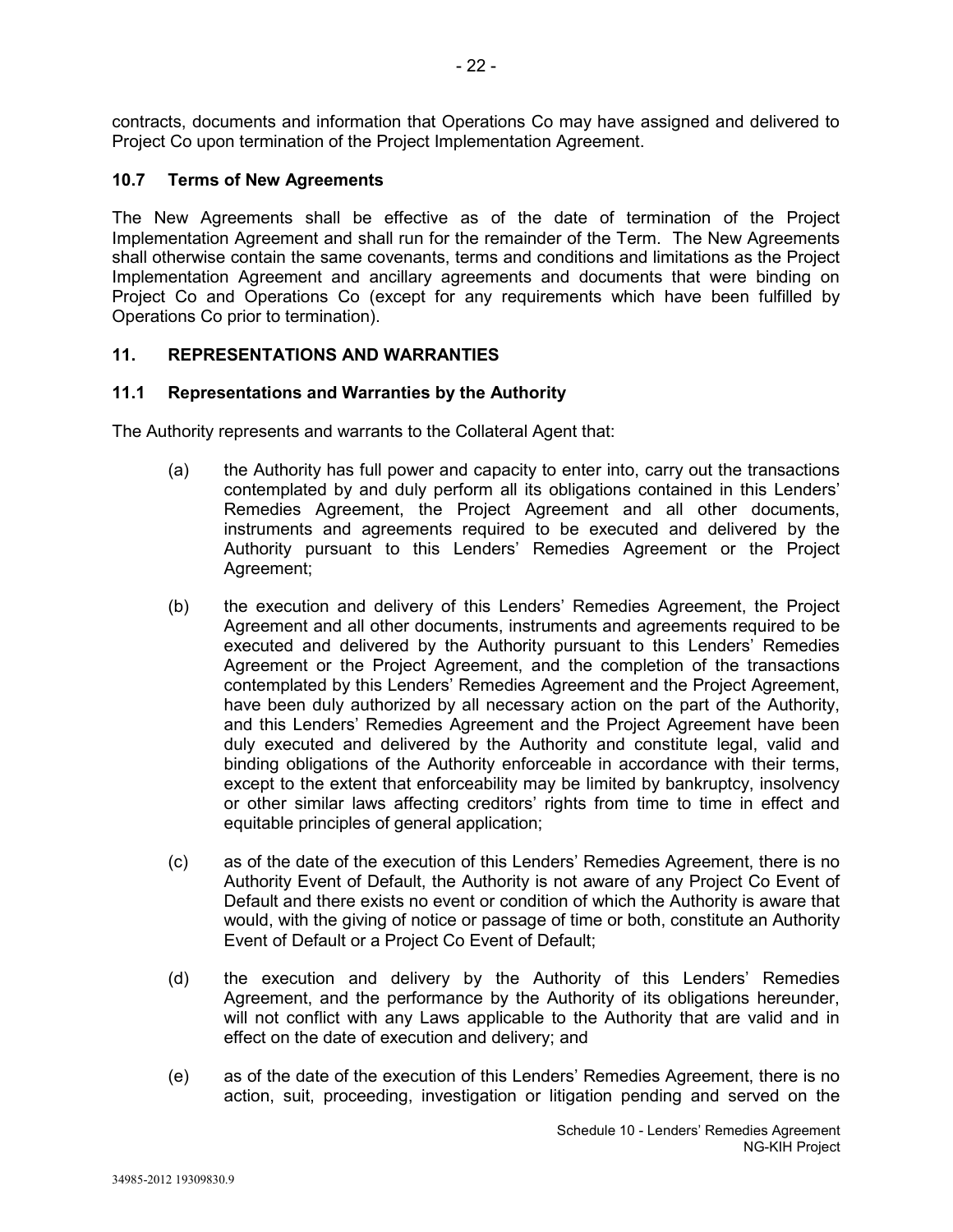contracts, documents and information that Operations Co may have assigned and delivered to Project Co upon termination of the Project Implementation Agreement.

# **10.7 Terms of New Agreements**

The New Agreements shall be effective as of the date of termination of the Project Implementation Agreement and shall run for the remainder of the Term. The New Agreements shall otherwise contain the same covenants, terms and conditions and limitations as the Project Implementation Agreement and ancillary agreements and documents that were binding on Project Co and Operations Co (except for any requirements which have been fulfilled by Operations Co prior to termination).

# **11. REPRESENTATIONS AND WARRANTIES**

### **11.1 Representations and Warranties by the Authority**

The Authority represents and warrants to the Collateral Agent that:

- (a) the Authority has full power and capacity to enter into, carry out the transactions contemplated by and duly perform all its obligations contained in this Lenders' Remedies Agreement, the Project Agreement and all other documents, instruments and agreements required to be executed and delivered by the Authority pursuant to this Lenders' Remedies Agreement or the Project Agreement;
- (b) the execution and delivery of this Lenders' Remedies Agreement, the Project Agreement and all other documents, instruments and agreements required to be executed and delivered by the Authority pursuant to this Lenders' Remedies Agreement or the Project Agreement, and the completion of the transactions contemplated by this Lenders' Remedies Agreement and the Project Agreement, have been duly authorized by all necessary action on the part of the Authority, and this Lenders' Remedies Agreement and the Project Agreement have been duly executed and delivered by the Authority and constitute legal, valid and binding obligations of the Authority enforceable in accordance with their terms, except to the extent that enforceability may be limited by bankruptcy, insolvency or other similar laws affecting creditors' rights from time to time in effect and equitable principles of general application;
- (c) as of the date of the execution of this Lenders' Remedies Agreement, there is no Authority Event of Default, the Authority is not aware of any Project Co Event of Default and there exists no event or condition of which the Authority is aware that would, with the giving of notice or passage of time or both, constitute an Authority Event of Default or a Project Co Event of Default;
- (d) the execution and delivery by the Authority of this Lenders' Remedies Agreement, and the performance by the Authority of its obligations hereunder, will not conflict with any Laws applicable to the Authority that are valid and in effect on the date of execution and delivery; and
- (e) as of the date of the execution of this Lenders' Remedies Agreement, there is no action, suit, proceeding, investigation or litigation pending and served on the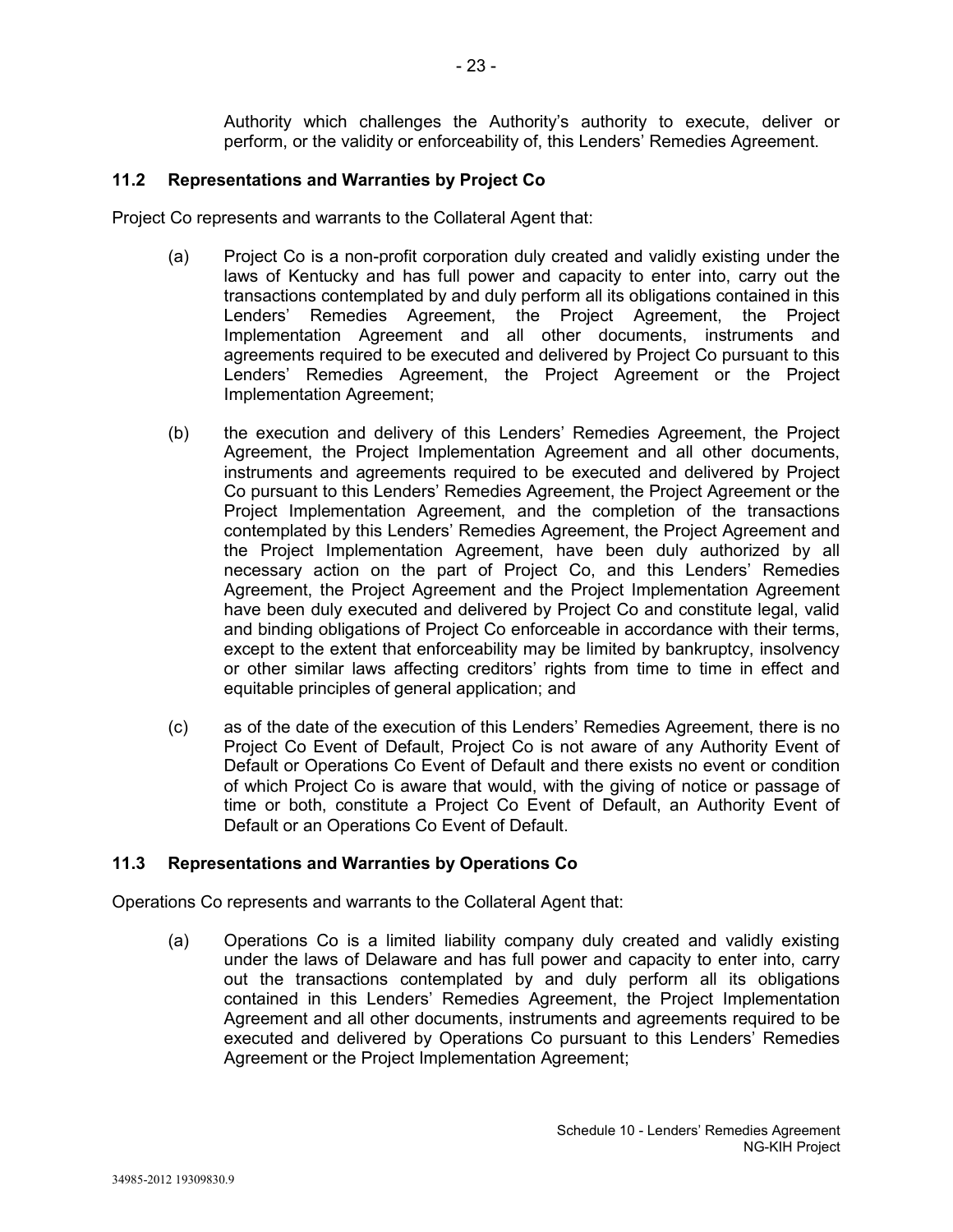Authority which challenges the Authority's authority to execute, deliver or perform, or the validity or enforceability of, this Lenders' Remedies Agreement.

### **11.2 Representations and Warranties by Project Co**

Project Co represents and warrants to the Collateral Agent that:

- (a) Project Co is a non-profit corporation duly created and validly existing under the laws of Kentucky and has full power and capacity to enter into, carry out the transactions contemplated by and duly perform all its obligations contained in this Lenders' Remedies Agreement, the Project Agreement, the Project Implementation Agreement and all other documents, instruments and agreements required to be executed and delivered by Project Co pursuant to this Lenders' Remedies Agreement, the Project Agreement or the Project Implementation Agreement;
- (b) the execution and delivery of this Lenders' Remedies Agreement, the Project Agreement, the Project Implementation Agreement and all other documents, instruments and agreements required to be executed and delivered by Project Co pursuant to this Lenders' Remedies Agreement, the Project Agreement or the Project Implementation Agreement, and the completion of the transactions contemplated by this Lenders' Remedies Agreement, the Project Agreement and the Project Implementation Agreement, have been duly authorized by all necessary action on the part of Project Co, and this Lenders' Remedies Agreement, the Project Agreement and the Project Implementation Agreement have been duly executed and delivered by Project Co and constitute legal, valid and binding obligations of Project Co enforceable in accordance with their terms, except to the extent that enforceability may be limited by bankruptcy, insolvency or other similar laws affecting creditors' rights from time to time in effect and equitable principles of general application; and
- (c) as of the date of the execution of this Lenders' Remedies Agreement, there is no Project Co Event of Default, Project Co is not aware of any Authority Event of Default or Operations Co Event of Default and there exists no event or condition of which Project Co is aware that would, with the giving of notice or passage of time or both, constitute a Project Co Event of Default, an Authority Event of Default or an Operations Co Event of Default.

### **11.3 Representations and Warranties by Operations Co**

Operations Co represents and warrants to the Collateral Agent that:

(a) Operations Co is a limited liability company duly created and validly existing under the laws of Delaware and has full power and capacity to enter into, carry out the transactions contemplated by and duly perform all its obligations contained in this Lenders' Remedies Agreement, the Project Implementation Agreement and all other documents, instruments and agreements required to be executed and delivered by Operations Co pursuant to this Lenders' Remedies Agreement or the Project Implementation Agreement;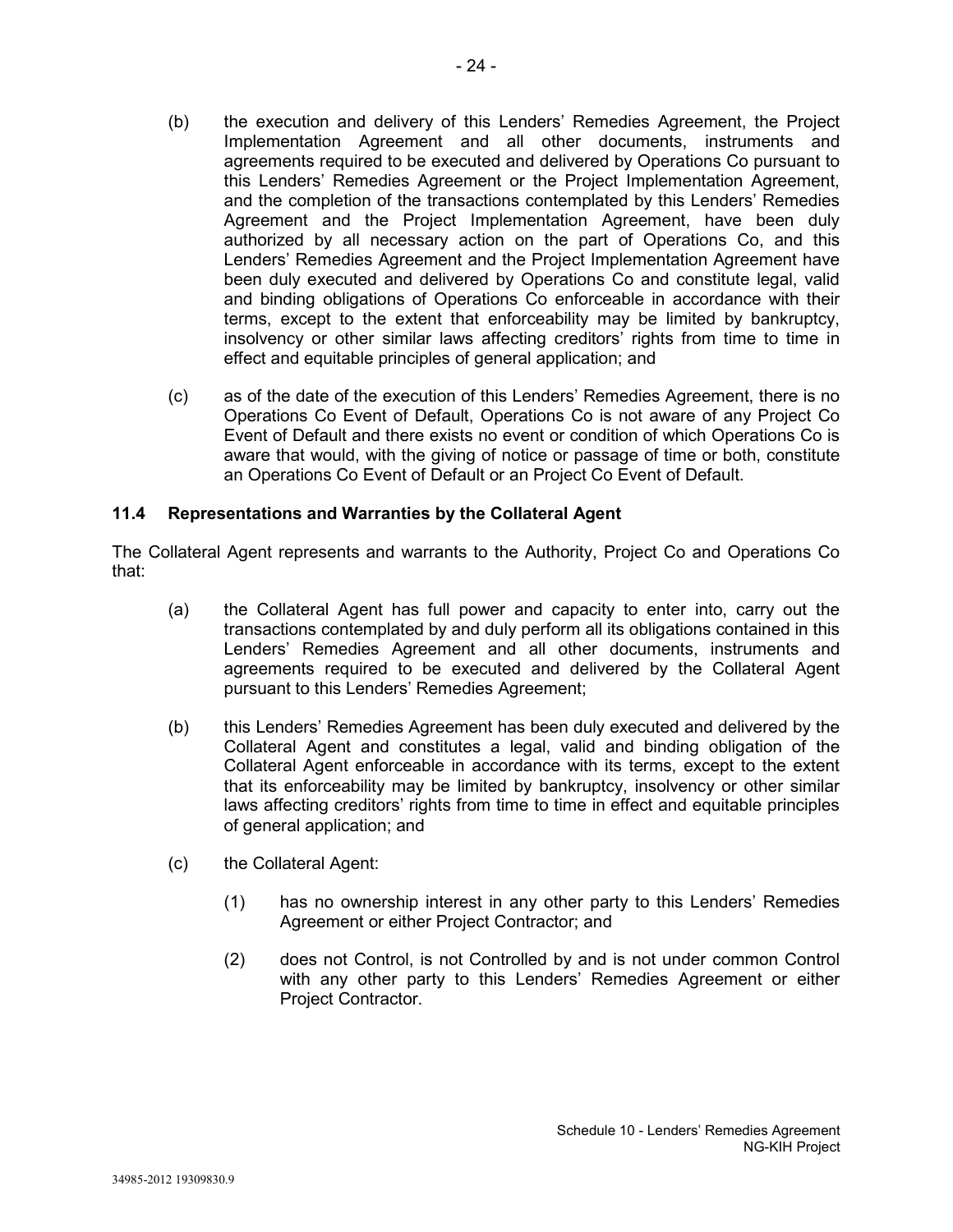- (b) the execution and delivery of this Lenders' Remedies Agreement, the Project Implementation Agreement and all other documents, instruments and agreements required to be executed and delivered by Operations Co pursuant to this Lenders' Remedies Agreement or the Project Implementation Agreement, and the completion of the transactions contemplated by this Lenders' Remedies Agreement and the Project Implementation Agreement, have been duly authorized by all necessary action on the part of Operations Co, and this Lenders' Remedies Agreement and the Project Implementation Agreement have been duly executed and delivered by Operations Co and constitute legal, valid and binding obligations of Operations Co enforceable in accordance with their terms, except to the extent that enforceability may be limited by bankruptcy, insolvency or other similar laws affecting creditors' rights from time to time in effect and equitable principles of general application; and
- (c) as of the date of the execution of this Lenders' Remedies Agreement, there is no Operations Co Event of Default, Operations Co is not aware of any Project Co Event of Default and there exists no event or condition of which Operations Co is aware that would, with the giving of notice or passage of time or both, constitute an Operations Co Event of Default or an Project Co Event of Default.

### **11.4 Representations and Warranties by the Collateral Agent**

The Collateral Agent represents and warrants to the Authority, Project Co and Operations Co that:

- (a) the Collateral Agent has full power and capacity to enter into, carry out the transactions contemplated by and duly perform all its obligations contained in this Lenders' Remedies Agreement and all other documents, instruments and agreements required to be executed and delivered by the Collateral Agent pursuant to this Lenders' Remedies Agreement;
- (b) this Lenders' Remedies Agreement has been duly executed and delivered by the Collateral Agent and constitutes a legal, valid and binding obligation of the Collateral Agent enforceable in accordance with its terms, except to the extent that its enforceability may be limited by bankruptcy, insolvency or other similar laws affecting creditors' rights from time to time in effect and equitable principles of general application; and
- (c) the Collateral Agent:
	- (1) has no ownership interest in any other party to this Lenders' Remedies Agreement or either Project Contractor; and
	- (2) does not Control, is not Controlled by and is not under common Control with any other party to this Lenders' Remedies Agreement or either Project Contractor.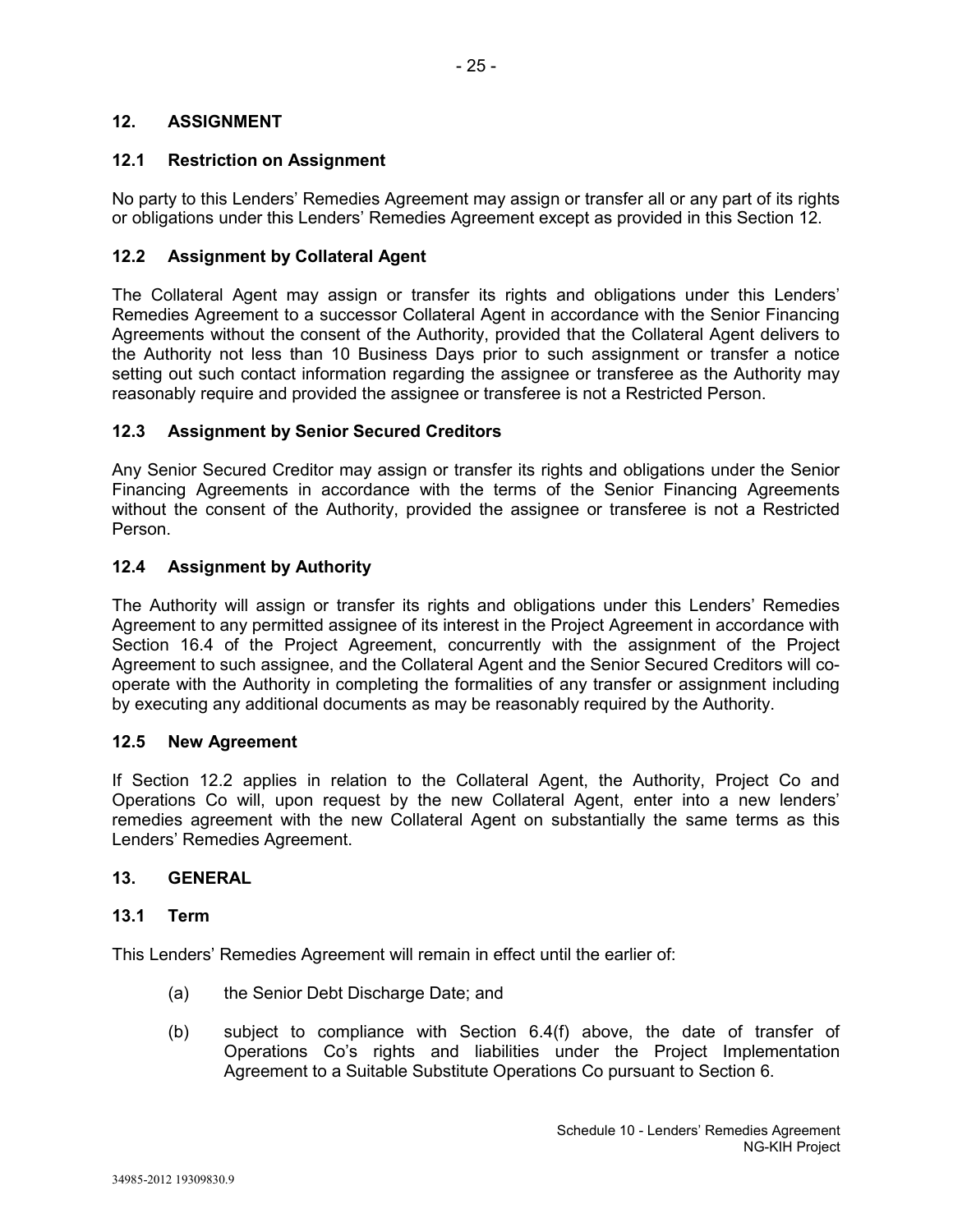# **12.1 Restriction on Assignment**

No party to this Lenders' Remedies Agreement may assign or transfer all or any part of its rights or obligations under this Lenders' Remedies Agreement except as provided in this Section 12.

# **12.2 Assignment by Collateral Agent**

The Collateral Agent may assign or transfer its rights and obligations under this Lenders' Remedies Agreement to a successor Collateral Agent in accordance with the Senior Financing Agreements without the consent of the Authority, provided that the Collateral Agent delivers to the Authority not less than 10 Business Days prior to such assignment or transfer a notice setting out such contact information regarding the assignee or transferee as the Authority may reasonably require and provided the assignee or transferee is not a Restricted Person.

# **12.3 Assignment by Senior Secured Creditors**

Any Senior Secured Creditor may assign or transfer its rights and obligations under the Senior Financing Agreements in accordance with the terms of the Senior Financing Agreements without the consent of the Authority, provided the assignee or transferee is not a Restricted Person.

# **12.4 Assignment by Authority**

The Authority will assign or transfer its rights and obligations under this Lenders' Remedies Agreement to any permitted assignee of its interest in the Project Agreement in accordance with Section 16.4 of the Project Agreement, concurrently with the assignment of the Project Agreement to such assignee, and the Collateral Agent and the Senior Secured Creditors will cooperate with the Authority in completing the formalities of any transfer or assignment including by executing any additional documents as may be reasonably required by the Authority.

### **12.5 New Agreement**

If Section 12.2 applies in relation to the Collateral Agent, the Authority, Project Co and Operations Co will, upon request by the new Collateral Agent, enter into a new lenders' remedies agreement with the new Collateral Agent on substantially the same terms as this Lenders' Remedies Agreement.

### **13. GENERAL**

### **13.1 Term**

This Lenders' Remedies Agreement will remain in effect until the earlier of:

- (a) the Senior Debt Discharge Date; and
- (b) subject to compliance with Section 6.4(f) above, the date of transfer of Operations Co's rights and liabilities under the Project Implementation Agreement to a Suitable Substitute Operations Co pursuant to Section 6.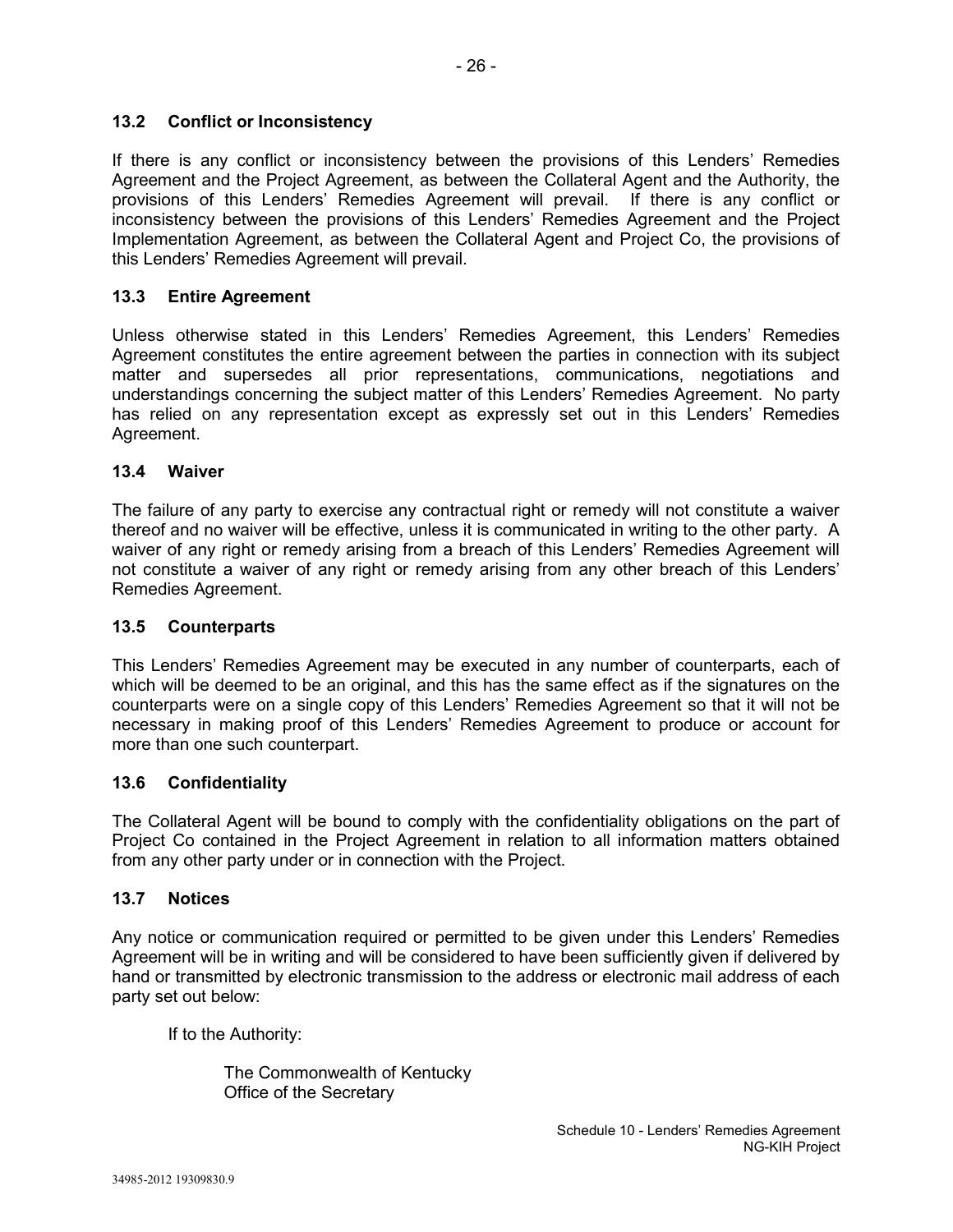# **13.2 Conflict or Inconsistency**

If there is any conflict or inconsistency between the provisions of this Lenders' Remedies Agreement and the Project Agreement, as between the Collateral Agent and the Authority, the provisions of this Lenders' Remedies Agreement will prevail. If there is any conflict or inconsistency between the provisions of this Lenders' Remedies Agreement and the Project Implementation Agreement, as between the Collateral Agent and Project Co, the provisions of this Lenders' Remedies Agreement will prevail.

# **13.3 Entire Agreement**

Unless otherwise stated in this Lenders' Remedies Agreement, this Lenders' Remedies Agreement constitutes the entire agreement between the parties in connection with its subject matter and supersedes all prior representations, communications, negotiations and understandings concerning the subject matter of this Lenders' Remedies Agreement. No party has relied on any representation except as expressly set out in this Lenders' Remedies Agreement.

### **13.4 Waiver**

The failure of any party to exercise any contractual right or remedy will not constitute a waiver thereof and no waiver will be effective, unless it is communicated in writing to the other party. A waiver of any right or remedy arising from a breach of this Lenders' Remedies Agreement will not constitute a waiver of any right or remedy arising from any other breach of this Lenders' Remedies Agreement.

# **13.5 Counterparts**

This Lenders' Remedies Agreement may be executed in any number of counterparts, each of which will be deemed to be an original, and this has the same effect as if the signatures on the counterparts were on a single copy of this Lenders' Remedies Agreement so that it will not be necessary in making proof of this Lenders' Remedies Agreement to produce or account for more than one such counterpart.

# **13.6 Confidentiality**

The Collateral Agent will be bound to comply with the confidentiality obligations on the part of Project Co contained in the Project Agreement in relation to all information matters obtained from any other party under or in connection with the Project.

# **13.7 Notices**

Any notice or communication required or permitted to be given under this Lenders' Remedies Agreement will be in writing and will be considered to have been sufficiently given if delivered by hand or transmitted by electronic transmission to the address or electronic mail address of each party set out below:

If to the Authority:

The Commonwealth of Kentucky Office of the Secretary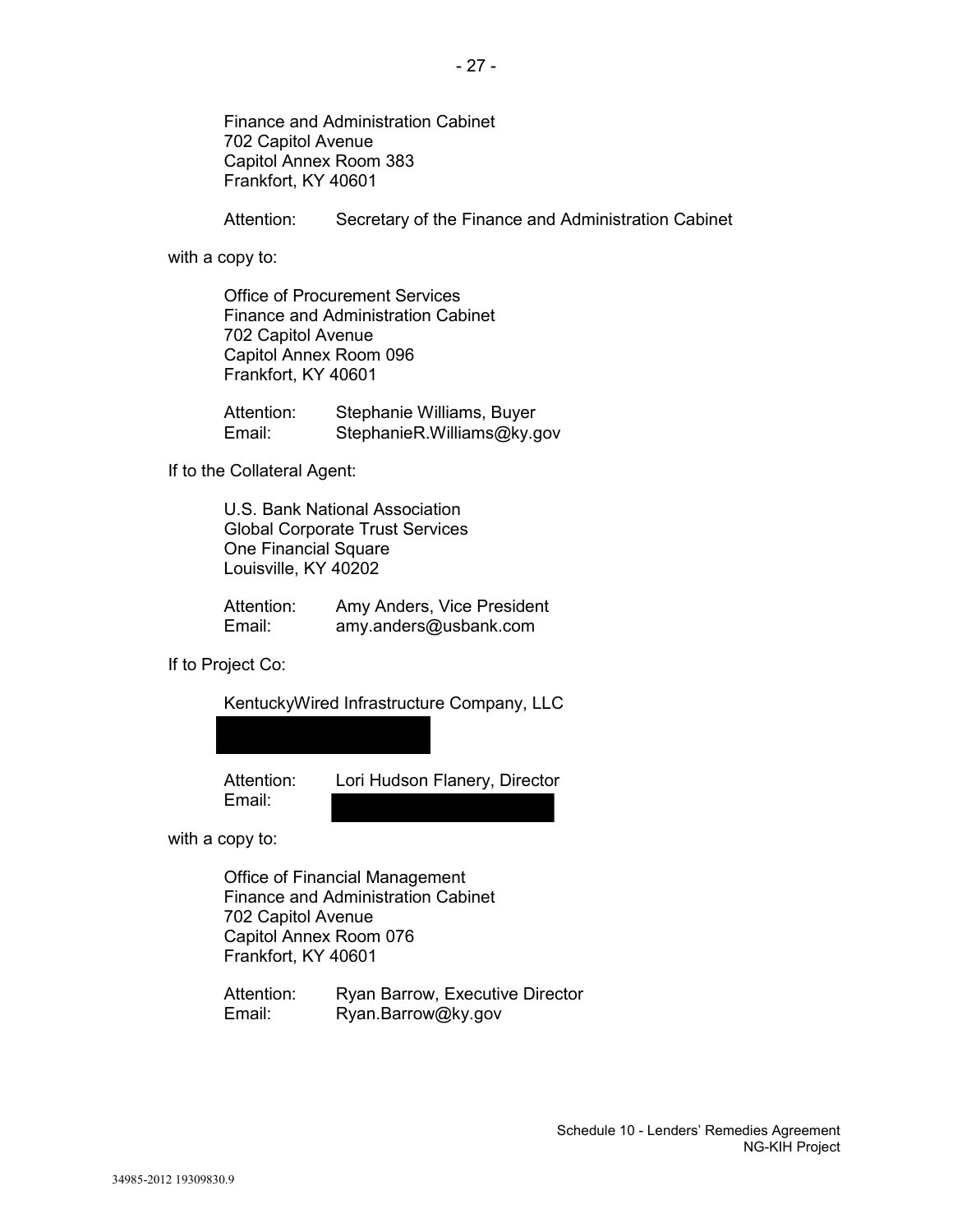Finance and Administration Cabinet 702 Capitol Avenue Capitol Annex Room 383 Frankfort, KY 40601

Attention: Secretary of the Finance and Administration Cabinet

with a copy to:

Office of Procurement Services Finance and Administration Cabinet 702 Capitol Avenue Capitol Annex Room 096 Frankfort, KY 40601

Attention: Stephanie Williams, Buyer Email: StephanieR.Williams@ky.gov

If to the Collateral Agent:

U.S. Bank National Association Global Corporate Trust Services One Financial Square Louisville, KY 40202

| Attention: | Amy Anders, Vice President |
|------------|----------------------------|
| Email:     | amy.anders@usbank.com      |

If to Project Co:

KentuckyWired Infrastructure Company, LLC

Email:

Attention: Lori Hudson Flanery, Director

with a copy to:

Office of Financial Management Finance and Administration Cabinet 702 Capitol Avenue Capitol Annex Room 076 Frankfort, KY 40601

Attention: Ryan Barrow, Executive Director Email: Ryan.Barrow@ky.gov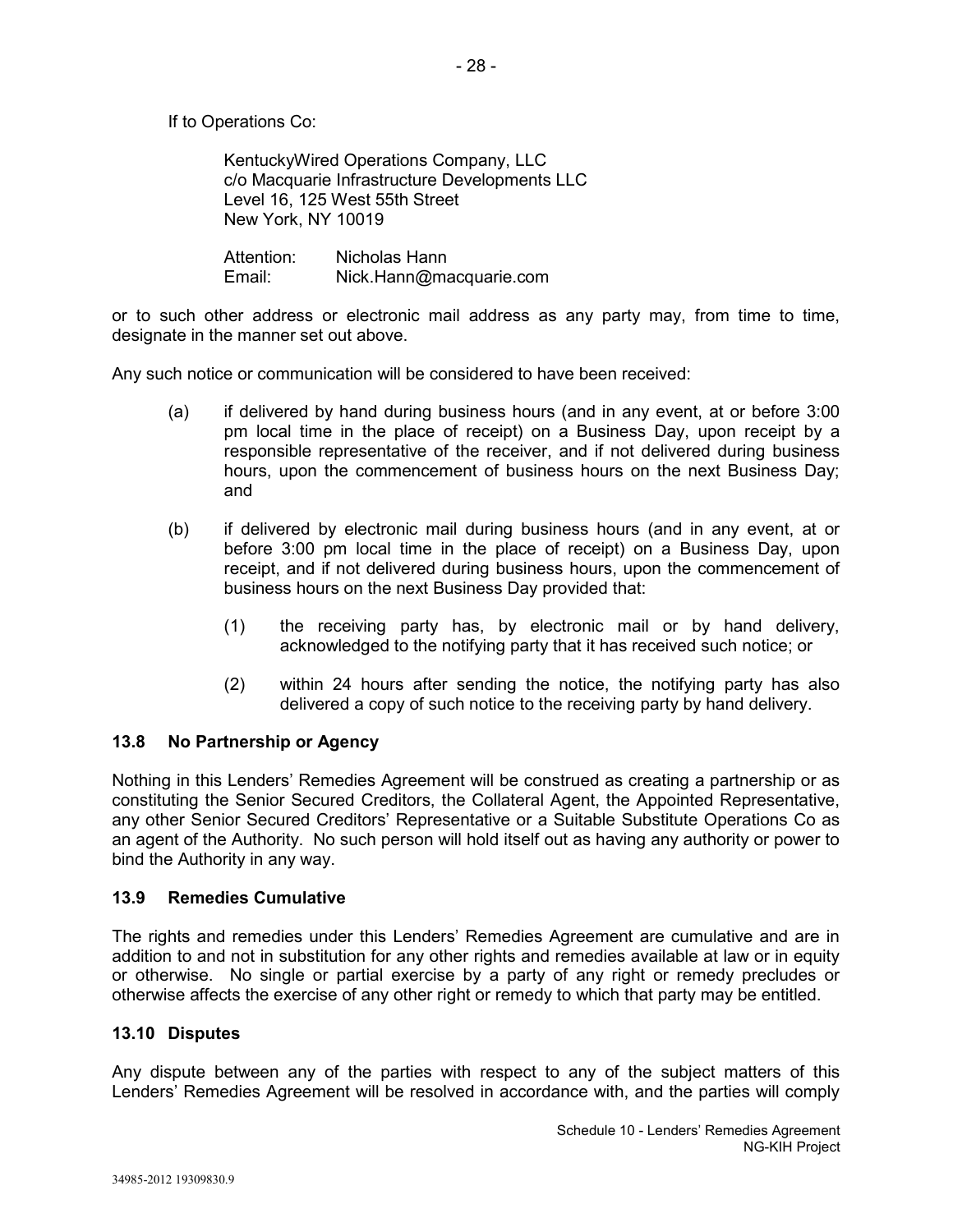KentuckyWired Operations Company, LLC c/o Macquarie Infrastructure Developments LLC Level 16, 125 West 55th Street New York, NY 10019

Attention: Nicholas Hann Email: Nick.Hann@macquarie.com

or to such other address or electronic mail address as any party may, from time to time, designate in the manner set out above.

Any such notice or communication will be considered to have been received:

- (a) if delivered by hand during business hours (and in any event, at or before 3:00 pm local time in the place of receipt) on a Business Day, upon receipt by a responsible representative of the receiver, and if not delivered during business hours, upon the commencement of business hours on the next Business Day; and
- (b) if delivered by electronic mail during business hours (and in any event, at or before 3:00 pm local time in the place of receipt) on a Business Day, upon receipt, and if not delivered during business hours, upon the commencement of business hours on the next Business Day provided that:
	- (1) the receiving party has, by electronic mail or by hand delivery, acknowledged to the notifying party that it has received such notice; or
	- (2) within 24 hours after sending the notice, the notifying party has also delivered a copy of such notice to the receiving party by hand delivery.

# **13.8 No Partnership or Agency**

Nothing in this Lenders' Remedies Agreement will be construed as creating a partnership or as constituting the Senior Secured Creditors, the Collateral Agent, the Appointed Representative, any other Senior Secured Creditors' Representative or a Suitable Substitute Operations Co as an agent of the Authority. No such person will hold itself out as having any authority or power to bind the Authority in any way.

# **13.9 Remedies Cumulative**

The rights and remedies under this Lenders' Remedies Agreement are cumulative and are in addition to and not in substitution for any other rights and remedies available at law or in equity or otherwise. No single or partial exercise by a party of any right or remedy precludes or otherwise affects the exercise of any other right or remedy to which that party may be entitled.

### **13.10 Disputes**

Any dispute between any of the parties with respect to any of the subject matters of this Lenders' Remedies Agreement will be resolved in accordance with, and the parties will comply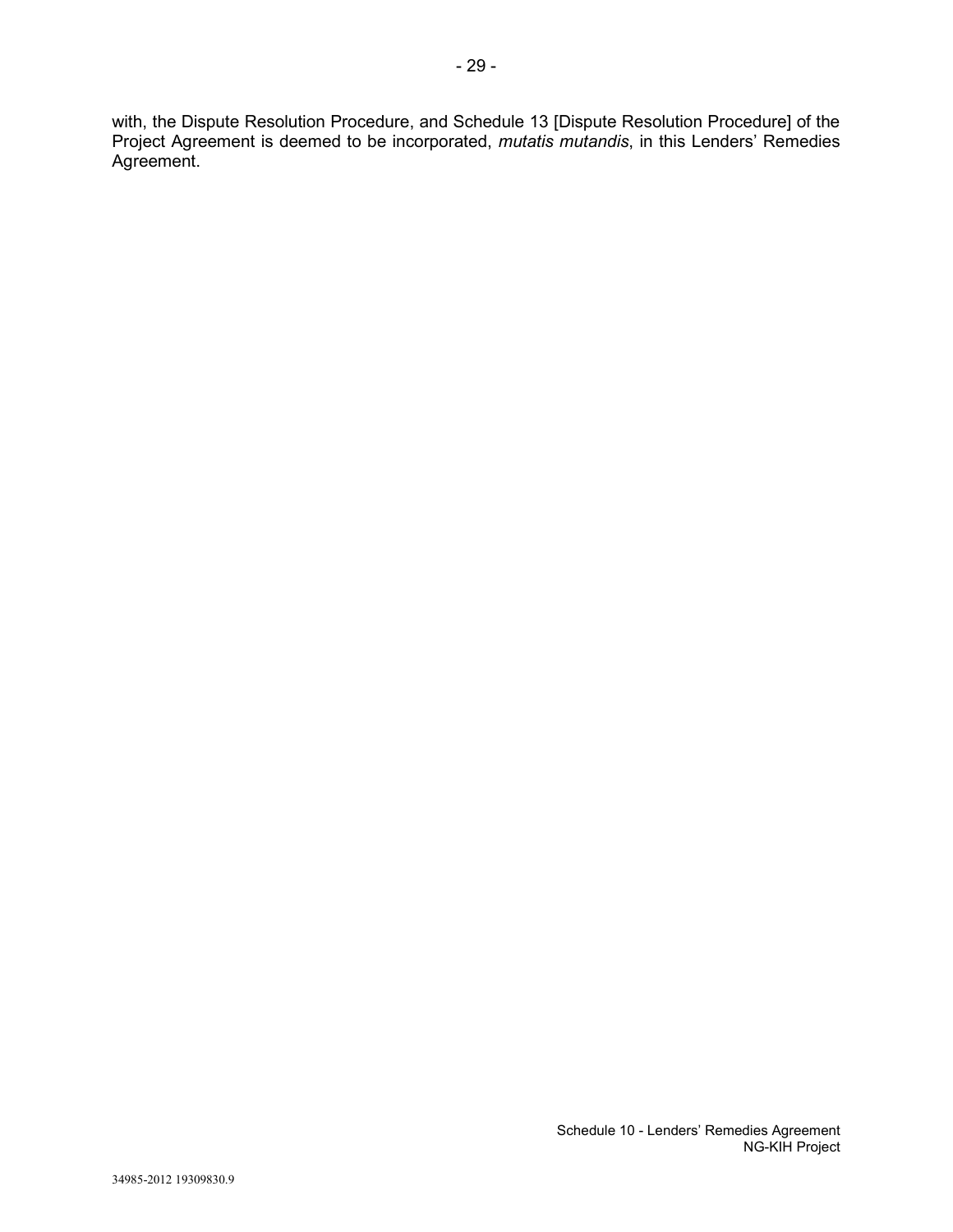with, the Dispute Resolution Procedure, and Schedule 13 [Dispute Resolution Procedure] of the Project Agreement is deemed to be incorporated, *mutatis mutandis*, in this Lenders' Remedies Agreement.

- 29 -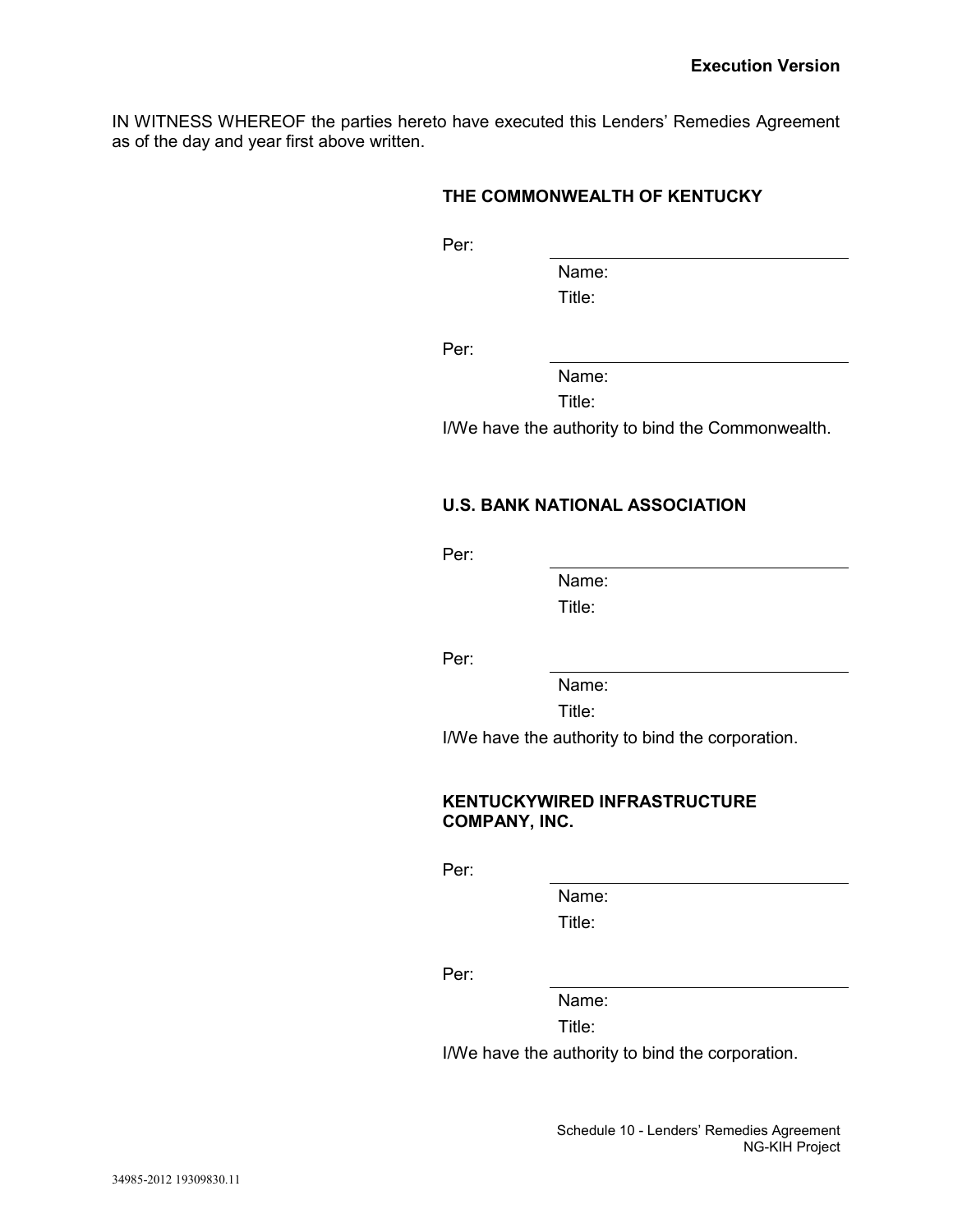IN WITNESS WHEREOF the parties hereto have executed this Lenders' Remedies Agreement as of the day and year first above written.

### **THE COMMONWEALTH OF KENTUCKY**

Per:

Name: Title:

Per:

Name:

Title:

I/We have the authority to bind the Commonwealth.

# **U.S. BANK NATIONAL ASSOCIATION**

Per:

Name: Title:

Per:

Name:

Title:

I/We have the authority to bind the corporation.

### **KENTUCKYWIRED INFRASTRUCTURE COMPANY, INC.**

Per:

Name: Title:

Per:

Name:

Title:

I/We have the authority to bind the corporation.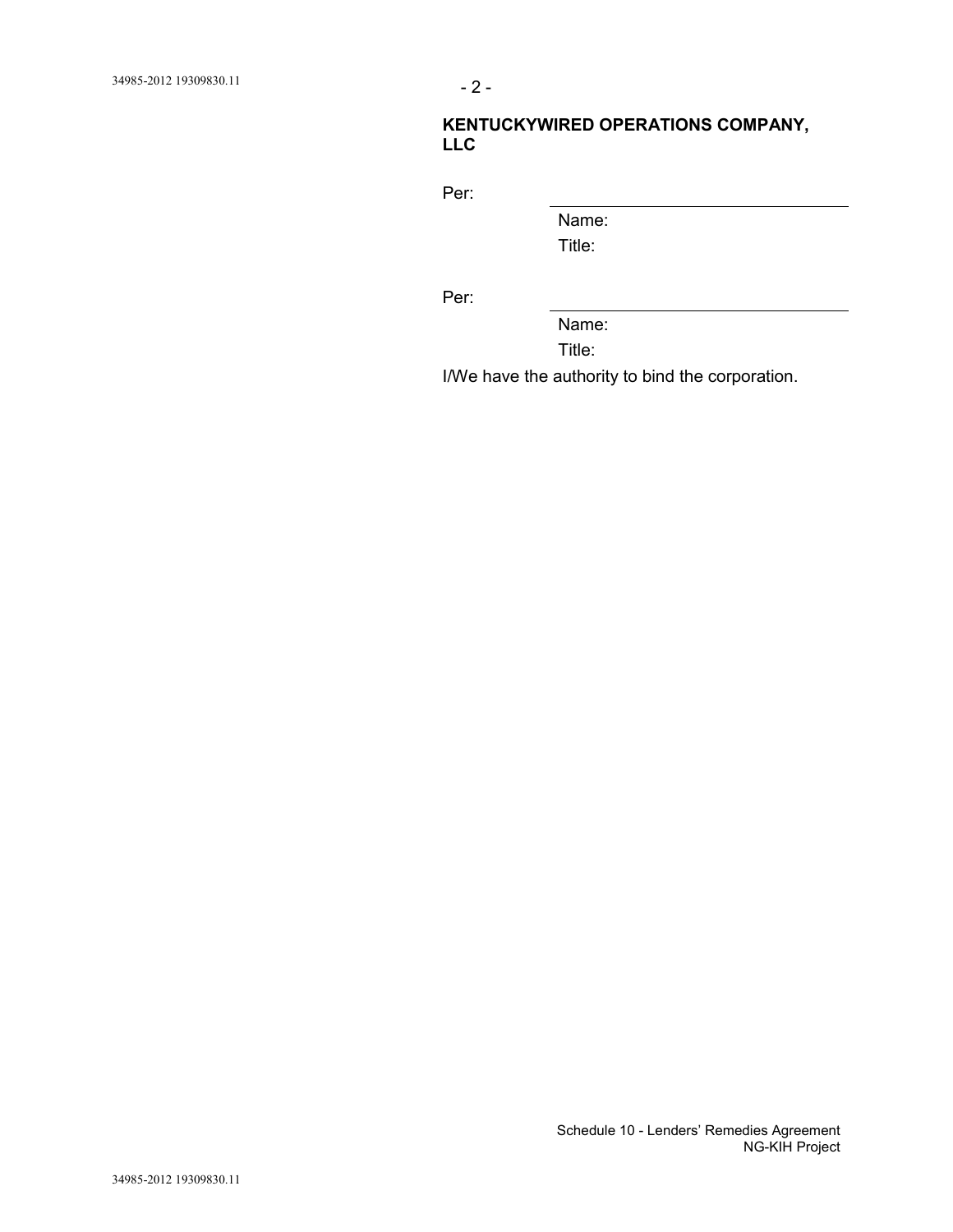# **KENTUCKYWIRED OPERATIONS COMPANY, LLC**

Per:

Name:

Title:

Per:

Name:

Title:

I/We have the authority to bind the corporation.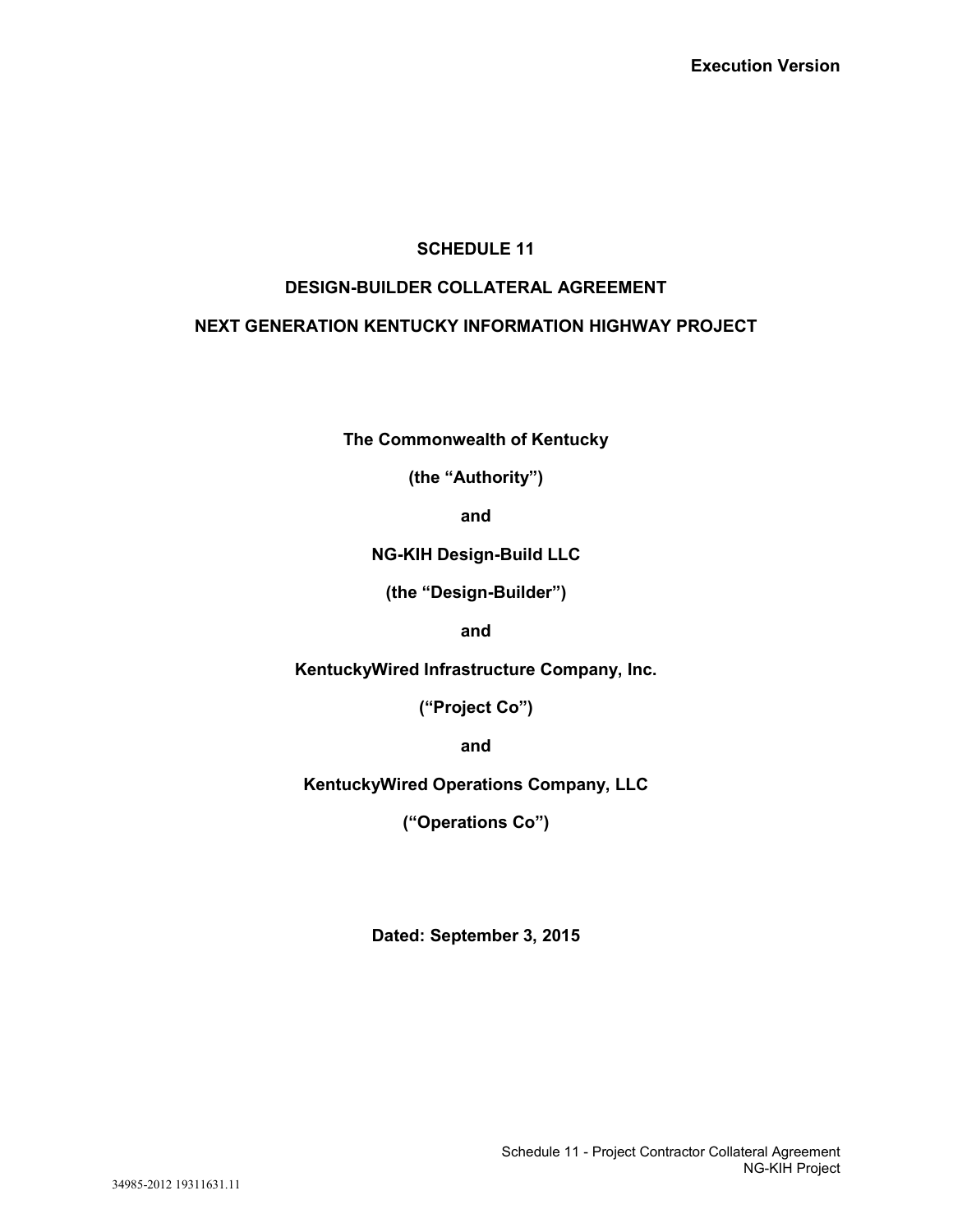# **SCHEDULE 11**

# **DESIGN-BUILDER COLLATERAL AGREEMENT**

# **NEXT GENERATION KENTUCKY INFORMATION HIGHWAY PROJECT**

**The Commonwealth of Kentucky**

**(the "Authority")**

**and**

**NG-KIH Design-Build LLC**

**(the "Design-Builder")**

**and**

**KentuckyWired Infrastructure Company, Inc.**

**("Project Co")**

**and**

**KentuckyWired Operations Company, LLC**

**("Operations Co")**

**Dated: September 3, 2015**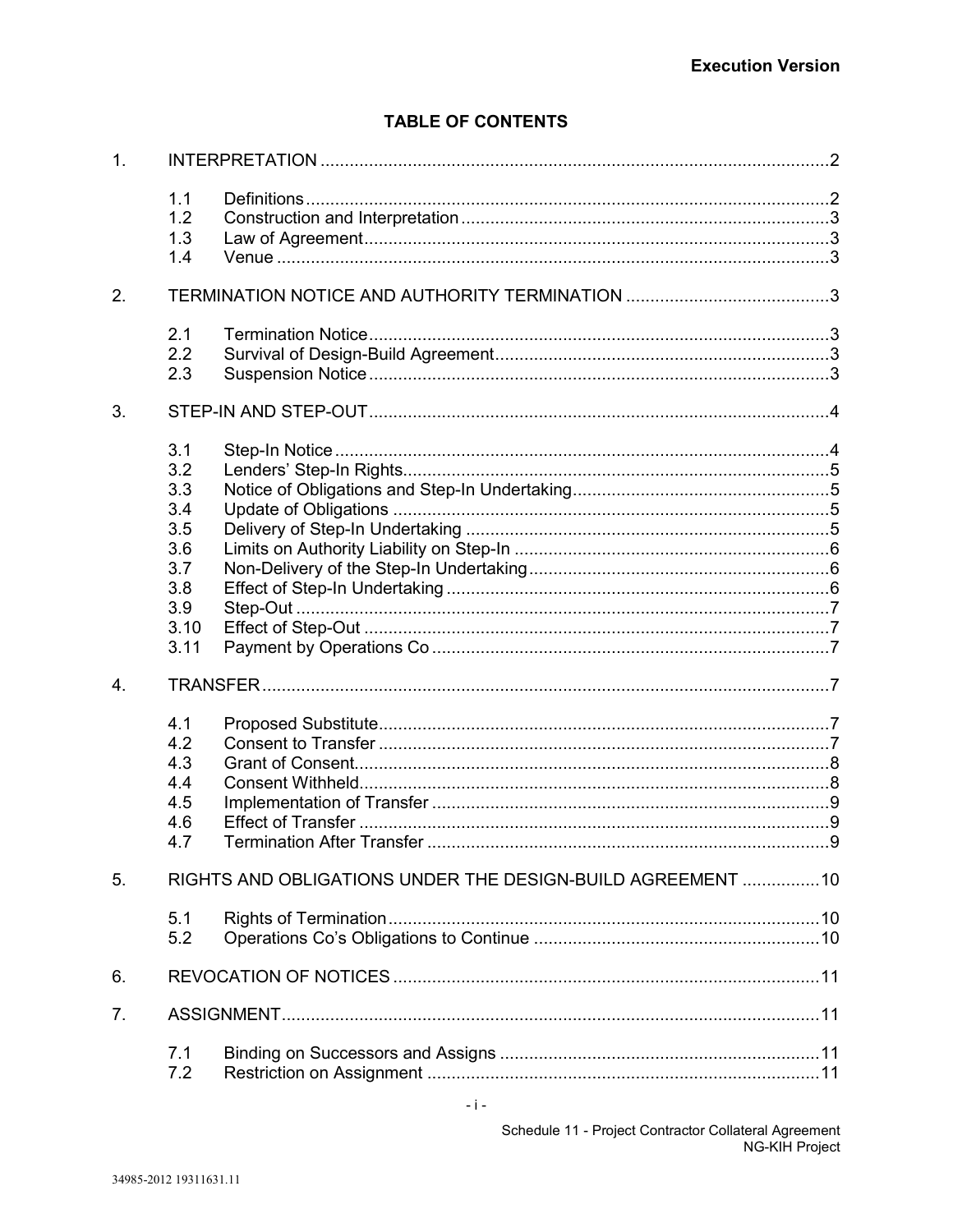# **TABLE OF CONTENTS**

| 1 <sub>1</sub> |                                                                             |  |  |
|----------------|-----------------------------------------------------------------------------|--|--|
|                | 1.1<br>1.2<br>1.3<br>1.4                                                    |  |  |
| 2.             |                                                                             |  |  |
|                | 2.1<br>2.2<br>2.3                                                           |  |  |
| 3.             |                                                                             |  |  |
|                | 3.1<br>3.2<br>3.3<br>3.4<br>3.5<br>3.6<br>3.7<br>3.8<br>3.9<br>3.10<br>3.11 |  |  |
| 4.             |                                                                             |  |  |
|                | 4.1<br>4.2<br>4.3<br>4.4<br>4.5<br>4.6<br>4.7                               |  |  |
| 5.             | RIGHTS AND OBLIGATIONS UNDER THE DESIGN-BUILD AGREEMENT  10                 |  |  |
|                | 5.1<br>5.2                                                                  |  |  |
| 6.             |                                                                             |  |  |
| 7.             |                                                                             |  |  |
|                | 7.1<br>7.2                                                                  |  |  |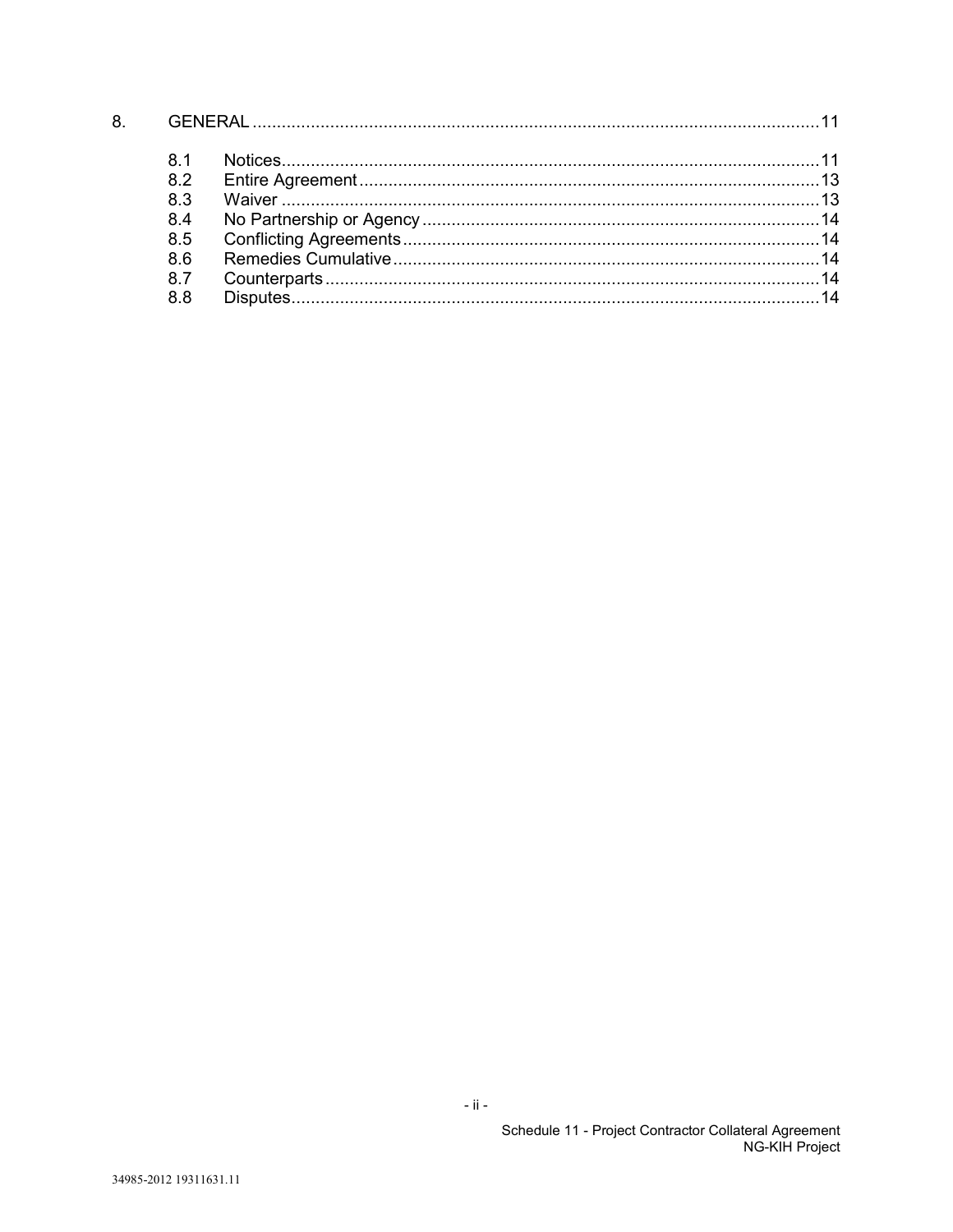| 8. |     |  |  |
|----|-----|--|--|
|    | 81  |  |  |
|    | 82  |  |  |
|    | 83  |  |  |
|    | 84  |  |  |
|    | 8.5 |  |  |
|    | 86  |  |  |
|    | 87  |  |  |
|    | 88  |  |  |

 $\sim$ ii  $\sim$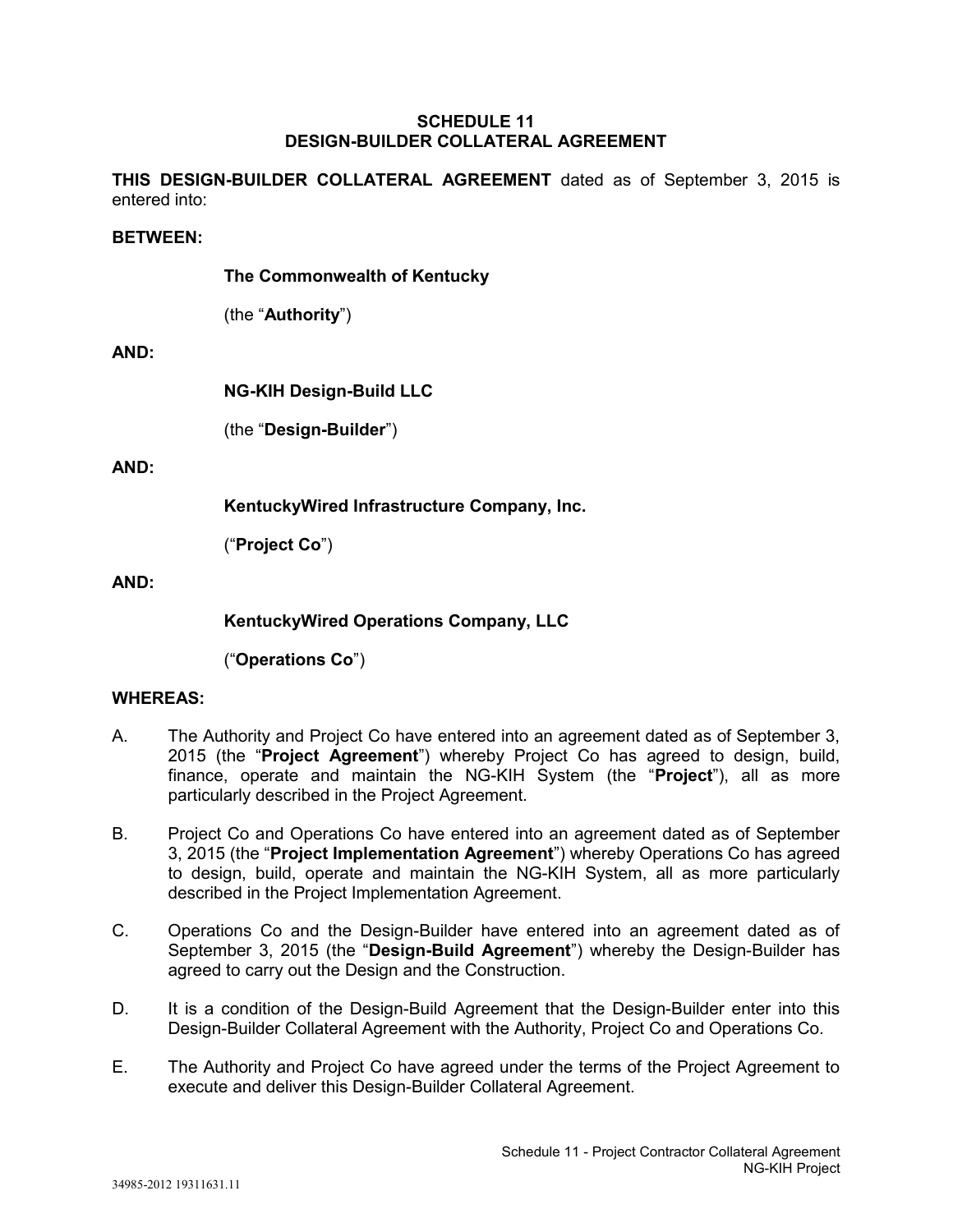### **SCHEDULE 11 DESIGN-BUILDER COLLATERAL AGREEMENT**

**THIS DESIGN-BUILDER COLLATERAL AGREEMENT** dated as of September 3, 2015 is entered into:

#### **BETWEEN:**

**The Commonwealth of Kentucky**

(the "**Authority**")

### **AND:**

**NG-KIH Design-Build LLC**

(the "**Design-Builder**")

### **AND:**

**KentuckyWired Infrastructure Company, Inc.**

("**Project Co**")

### **AND:**

**KentuckyWired Operations Company, LLC**

("**Operations Co**")

# **WHEREAS:**

- A. The Authority and Project Co have entered into an agreement dated as of September 3, 2015 (the "**Project Agreement**") whereby Project Co has agreed to design, build, finance, operate and maintain the NG-KIH System (the "**Project**"), all as more particularly described in the Project Agreement.
- B. Project Co and Operations Co have entered into an agreement dated as of September 3, 2015 (the "**Project Implementation Agreement**") whereby Operations Co has agreed to design, build, operate and maintain the NG-KIH System, all as more particularly described in the Project Implementation Agreement.
- C. Operations Co and the Design-Builder have entered into an agreement dated as of September 3, 2015 (the "**Design-Build Agreement**") whereby the Design-Builder has agreed to carry out the Design and the Construction.
- D. It is a condition of the Design-Build Agreement that the Design-Builder enter into this Design-Builder Collateral Agreement with the Authority, Project Co and Operations Co.
- E. The Authority and Project Co have agreed under the terms of the Project Agreement to execute and deliver this Design-Builder Collateral Agreement.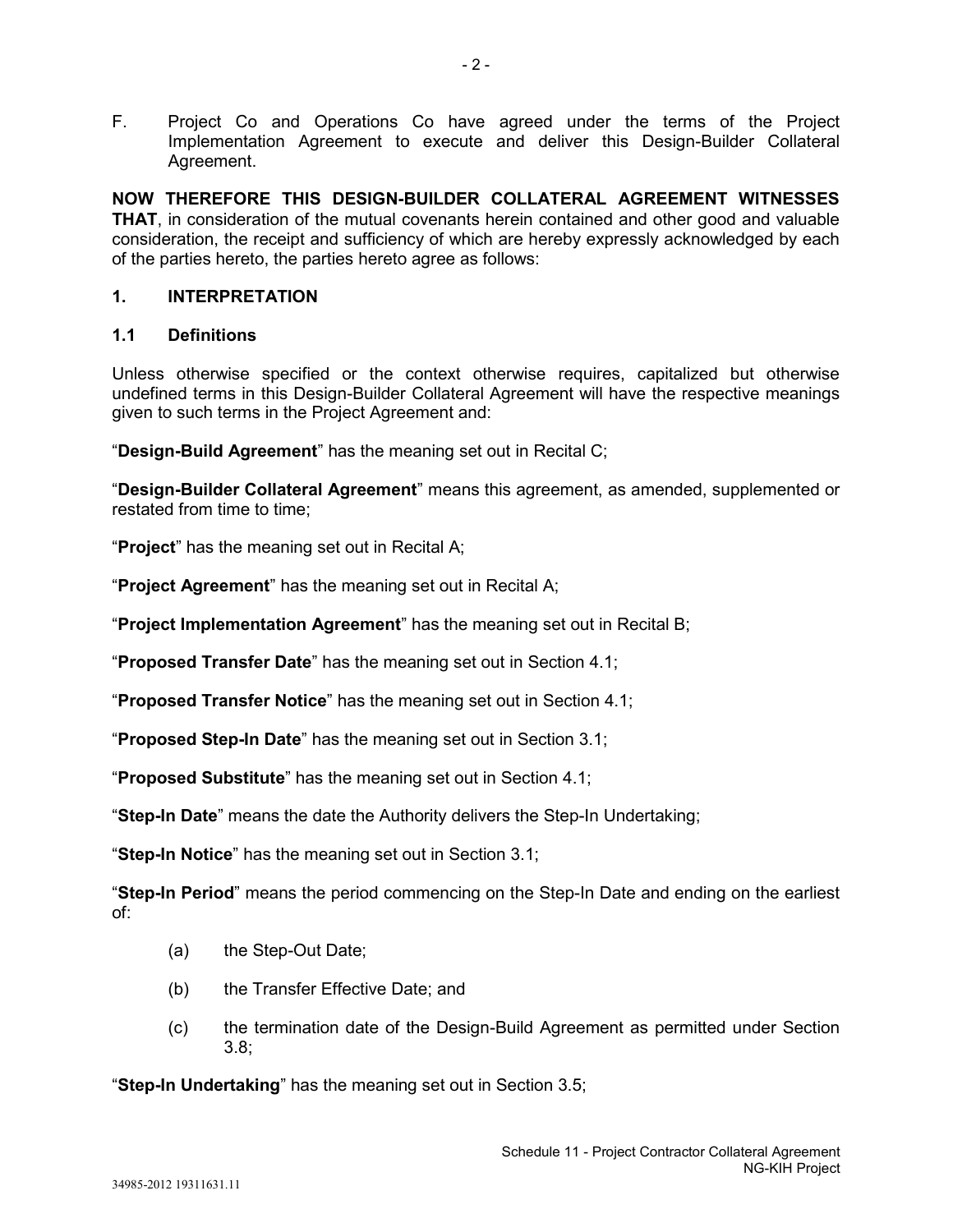F. Project Co and Operations Co have agreed under the terms of the Project Implementation Agreement to execute and deliver this Design-Builder Collateral Agreement.

**NOW THEREFORE THIS DESIGN-BUILDER COLLATERAL AGREEMENT WITNESSES THAT**, in consideration of the mutual covenants herein contained and other good and valuable consideration, the receipt and sufficiency of which are hereby expressly acknowledged by each of the parties hereto, the parties hereto agree as follows:

# **1. INTERPRETATION**

# **1.1 Definitions**

Unless otherwise specified or the context otherwise requires, capitalized but otherwise undefined terms in this Design-Builder Collateral Agreement will have the respective meanings given to such terms in the Project Agreement and:

"**Design-Build Agreement**" has the meaning set out in Recital C;

"**Design-Builder Collateral Agreement**" means this agreement, as amended, supplemented or restated from time to time;

"**Project**" has the meaning set out in Recital A;

"**Project Agreement**" has the meaning set out in Recital A;

"**Project Implementation Agreement**" has the meaning set out in Recital B;

"**Proposed Transfer Date**" has the meaning set out in Section 4.1;

"**Proposed Transfer Notice**" has the meaning set out in Section 4.1;

"**Proposed Step-In Date**" has the meaning set out in Section 3.1;

"**Proposed Substitute**" has the meaning set out in Section 4.1;

"**Step-In Date**" means the date the Authority delivers the Step-In Undertaking;

"**Step-In Notice**" has the meaning set out in Section 3.1;

"**Step-In Period**" means the period commencing on the Step-In Date and ending on the earliest of:

- (a) the Step-Out Date;
- (b) the Transfer Effective Date; and
- (c) the termination date of the Design-Build Agreement as permitted under Section 3.8;

"**Step-In Undertaking**" has the meaning set out in Section 3.5;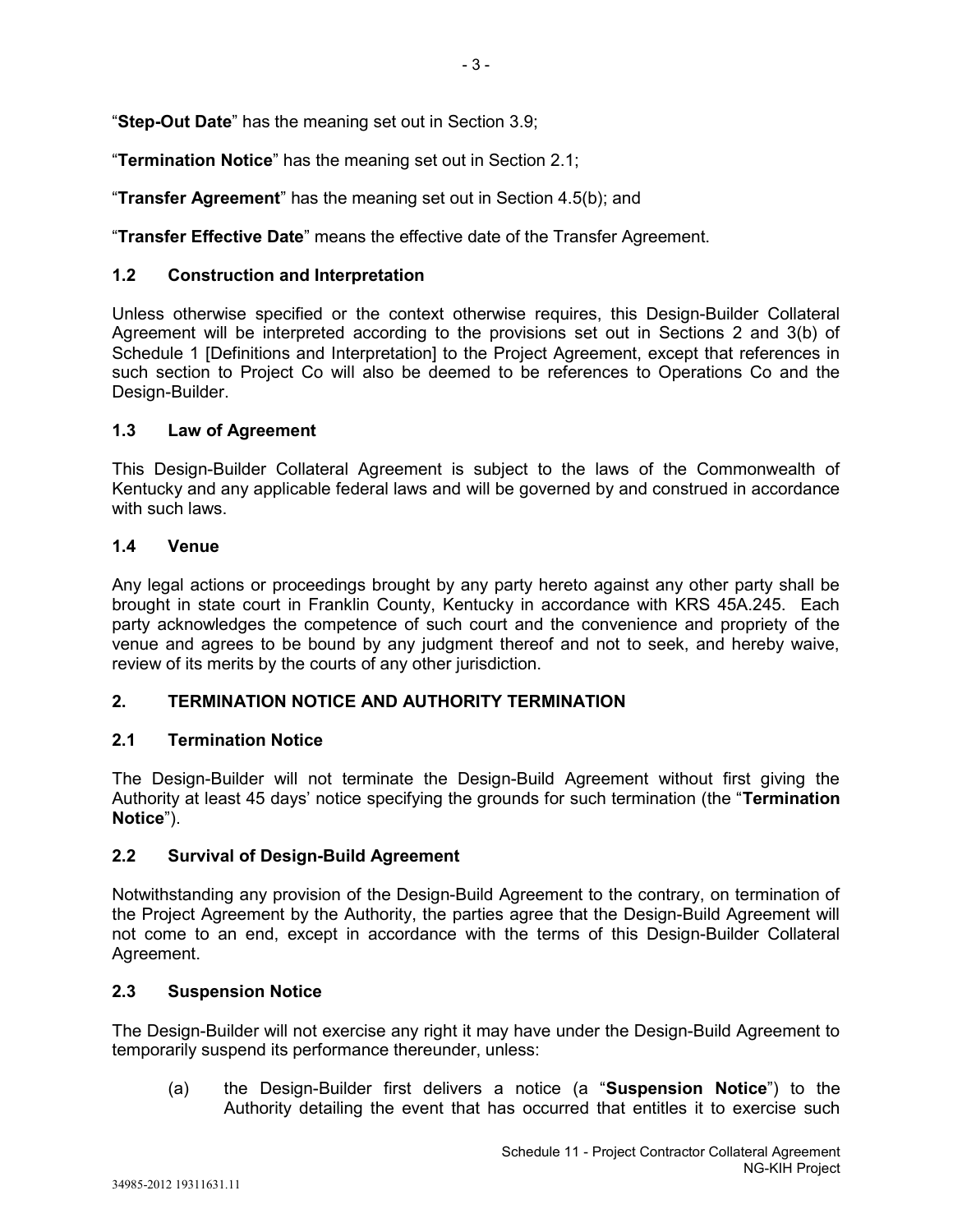"**Step-Out Date**" has the meaning set out in Section 3.9;

"**Termination Notice**" has the meaning set out in Section 2.1;

"**Transfer Agreement**" has the meaning set out in Section 4.5(b); and

"**Transfer Effective Date**" means the effective date of the Transfer Agreement.

# **1.2 Construction and Interpretation**

Unless otherwise specified or the context otherwise requires, this Design-Builder Collateral Agreement will be interpreted according to the provisions set out in Sections 2 and 3(b) of Schedule 1 [Definitions and Interpretation] to the Project Agreement, except that references in such section to Project Co will also be deemed to be references to Operations Co and the Design-Builder.

# **1.3 Law of Agreement**

This Design-Builder Collateral Agreement is subject to the laws of the Commonwealth of Kentucky and any applicable federal laws and will be governed by and construed in accordance with such laws.

### **1.4 Venue**

Any legal actions or proceedings brought by any party hereto against any other party shall be brought in state court in Franklin County, Kentucky in accordance with KRS 45A.245. Each party acknowledges the competence of such court and the convenience and propriety of the venue and agrees to be bound by any judgment thereof and not to seek, and hereby waive, review of its merits by the courts of any other jurisdiction.

# **2. TERMINATION NOTICE AND AUTHORITY TERMINATION**

# **2.1 Termination Notice**

The Design-Builder will not terminate the Design-Build Agreement without first giving the Authority at least 45 days' notice specifying the grounds for such termination (the "**Termination Notice**").

# **2.2 Survival of Design-Build Agreement**

Notwithstanding any provision of the Design-Build Agreement to the contrary, on termination of the Project Agreement by the Authority, the parties agree that the Design-Build Agreement will not come to an end, except in accordance with the terms of this Design-Builder Collateral Agreement.

# **2.3 Suspension Notice**

The Design-Builder will not exercise any right it may have under the Design-Build Agreement to temporarily suspend its performance thereunder, unless:

(a) the Design-Builder first delivers a notice (a "**Suspension Notice**") to the Authority detailing the event that has occurred that entitles it to exercise such

- 3 -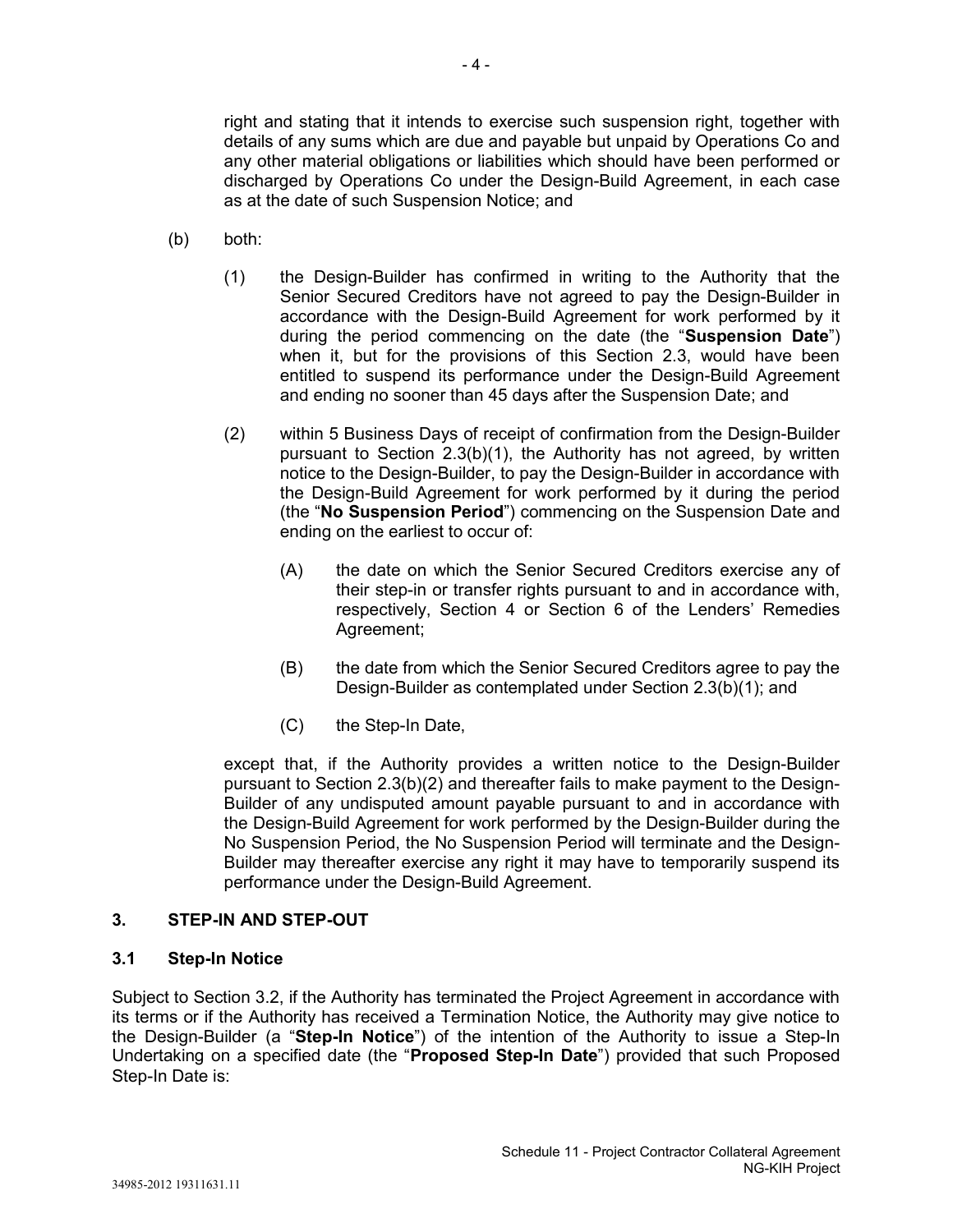right and stating that it intends to exercise such suspension right, together with details of any sums which are due and payable but unpaid by Operations Co and any other material obligations or liabilities which should have been performed or discharged by Operations Co under the Design-Build Agreement, in each case as at the date of such Suspension Notice; and

- (b) both:
	- (1) the Design-Builder has confirmed in writing to the Authority that the Senior Secured Creditors have not agreed to pay the Design-Builder in accordance with the Design-Build Agreement for work performed by it during the period commencing on the date (the "**Suspension Date**") when it, but for the provisions of this Section 2.3, would have been entitled to suspend its performance under the Design-Build Agreement and ending no sooner than 45 days after the Suspension Date; and
	- (2) within 5 Business Days of receipt of confirmation from the Design-Builder pursuant to Section 2.3(b)(1), the Authority has not agreed, by written notice to the Design-Builder, to pay the Design-Builder in accordance with the Design-Build Agreement for work performed by it during the period (the "**No Suspension Period**") commencing on the Suspension Date and ending on the earliest to occur of:
		- (A) the date on which the Senior Secured Creditors exercise any of their step-in or transfer rights pursuant to and in accordance with, respectively, Section 4 or Section 6 of the Lenders' Remedies Agreement;
		- (B) the date from which the Senior Secured Creditors agree to pay the Design-Builder as contemplated under Section 2.3(b)(1); and
		- (C) the Step-In Date,

except that, if the Authority provides a written notice to the Design-Builder pursuant to Section 2.3(b)(2) and thereafter fails to make payment to the Design-Builder of any undisputed amount payable pursuant to and in accordance with the Design-Build Agreement for work performed by the Design-Builder during the No Suspension Period, the No Suspension Period will terminate and the Design-Builder may thereafter exercise any right it may have to temporarily suspend its performance under the Design-Build Agreement.

### **3. STEP-IN AND STEP-OUT**

### **3.1 Step-In Notice**

Subject to Section 3.2, if the Authority has terminated the Project Agreement in accordance with its terms or if the Authority has received a Termination Notice, the Authority may give notice to the Design-Builder (a "**Step-In Notice**") of the intention of the Authority to issue a Step-In Undertaking on a specified date (the "**Proposed Step-In Date**") provided that such Proposed Step-In Date is: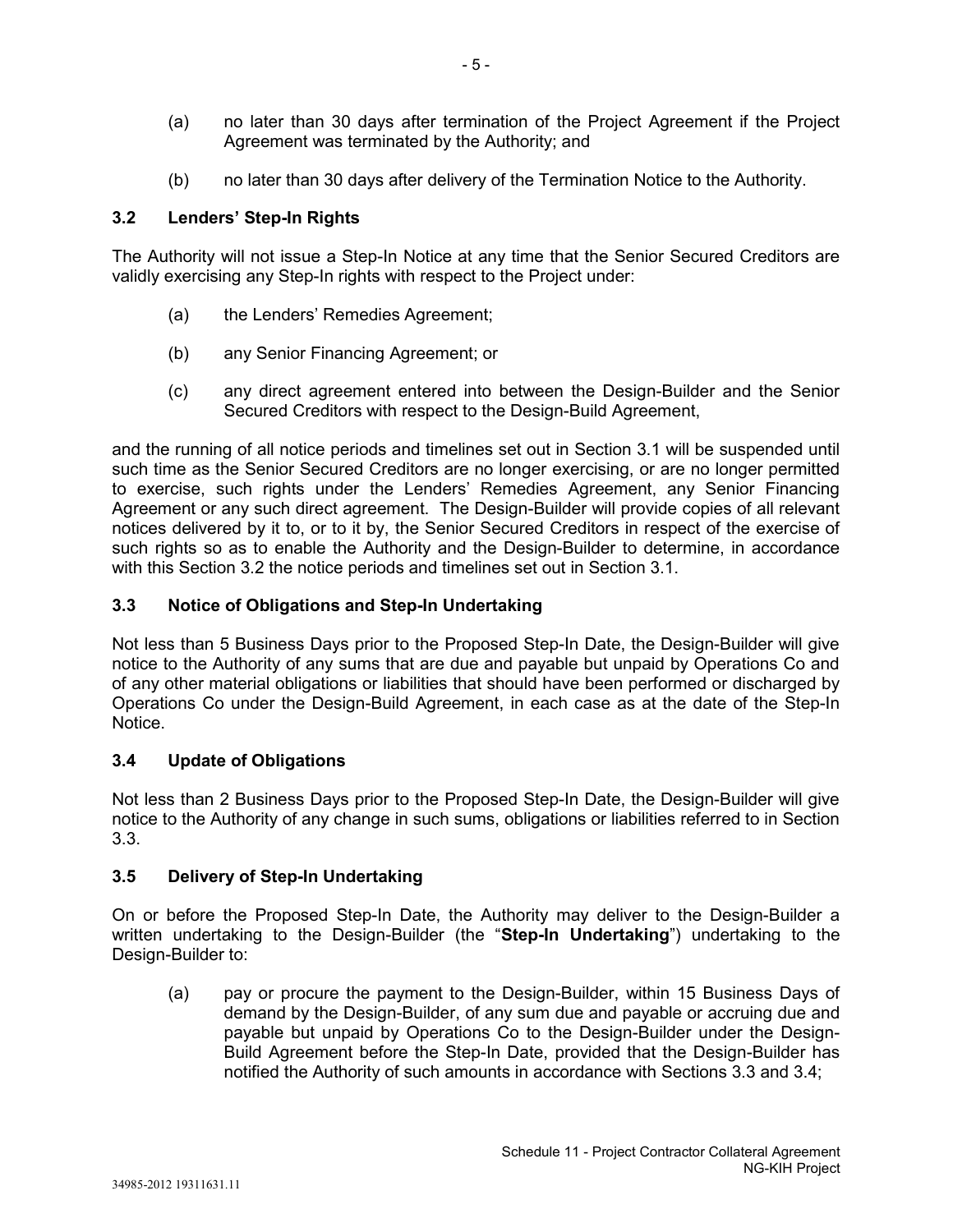- (a) no later than 30 days after termination of the Project Agreement if the Project Agreement was terminated by the Authority; and
- (b) no later than 30 days after delivery of the Termination Notice to the Authority.

# **3.2 Lenders' Step-In Rights**

The Authority will not issue a Step-In Notice at any time that the Senior Secured Creditors are validly exercising any Step-In rights with respect to the Project under:

- (a) the Lenders' Remedies Agreement;
- (b) any Senior Financing Agreement; or
- (c) any direct agreement entered into between the Design-Builder and the Senior Secured Creditors with respect to the Design-Build Agreement,

and the running of all notice periods and timelines set out in Section 3.1 will be suspended until such time as the Senior Secured Creditors are no longer exercising, or are no longer permitted to exercise, such rights under the Lenders' Remedies Agreement, any Senior Financing Agreement or any such direct agreement. The Design-Builder will provide copies of all relevant notices delivered by it to, or to it by, the Senior Secured Creditors in respect of the exercise of such rights so as to enable the Authority and the Design-Builder to determine, in accordance with this Section 3.2 the notice periods and timelines set out in Section 3.1.

# **3.3 Notice of Obligations and Step-In Undertaking**

Not less than 5 Business Days prior to the Proposed Step-In Date, the Design-Builder will give notice to the Authority of any sums that are due and payable but unpaid by Operations Co and of any other material obligations or liabilities that should have been performed or discharged by Operations Co under the Design-Build Agreement, in each case as at the date of the Step-In Notice.

# **3.4 Update of Obligations**

Not less than 2 Business Days prior to the Proposed Step-In Date, the Design-Builder will give notice to the Authority of any change in such sums, obligations or liabilities referred to in Section 3.3.

# **3.5 Delivery of Step-In Undertaking**

On or before the Proposed Step-In Date, the Authority may deliver to the Design-Builder a written undertaking to the Design-Builder (the "**Step-In Undertaking**") undertaking to the Design-Builder to:

(a) pay or procure the payment to the Design-Builder, within 15 Business Days of demand by the Design-Builder, of any sum due and payable or accruing due and payable but unpaid by Operations Co to the Design-Builder under the Design-Build Agreement before the Step-In Date, provided that the Design-Builder has notified the Authority of such amounts in accordance with Sections 3.3 and 3.4;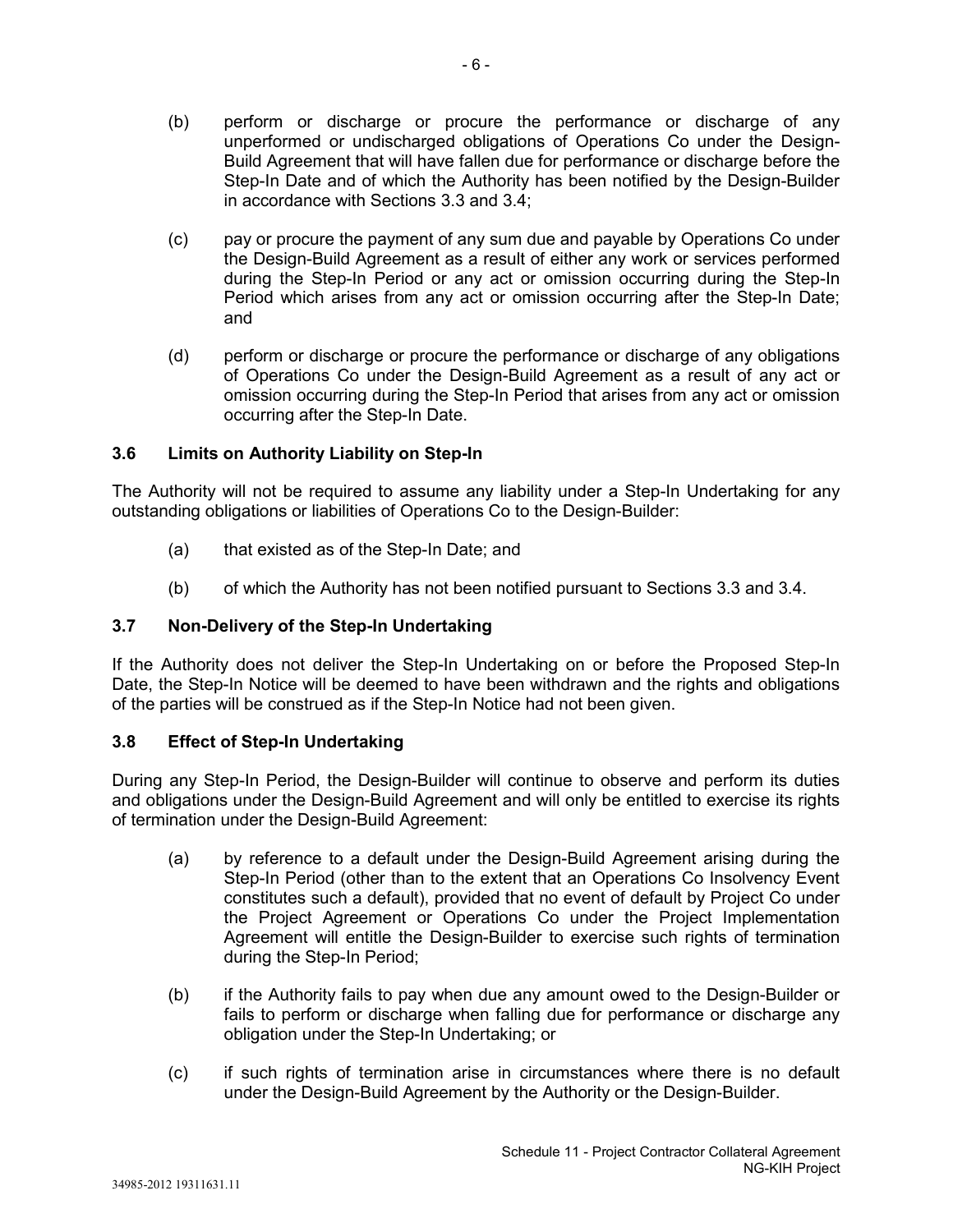- (b) perform or discharge or procure the performance or discharge of any unperformed or undischarged obligations of Operations Co under the Design-Build Agreement that will have fallen due for performance or discharge before the Step-In Date and of which the Authority has been notified by the Design-Builder in accordance with Sections 3.3 and 3.4;
- (c) pay or procure the payment of any sum due and payable by Operations Co under the Design-Build Agreement as a result of either any work or services performed during the Step-In Period or any act or omission occurring during the Step-In Period which arises from any act or omission occurring after the Step-In Date; and
- (d) perform or discharge or procure the performance or discharge of any obligations of Operations Co under the Design-Build Agreement as a result of any act or omission occurring during the Step-In Period that arises from any act or omission occurring after the Step-In Date.

# **3.6 Limits on Authority Liability on Step-In**

The Authority will not be required to assume any liability under a Step-In Undertaking for any outstanding obligations or liabilities of Operations Co to the Design-Builder:

- (a) that existed as of the Step-In Date; and
- (b) of which the Authority has not been notified pursuant to Sections 3.3 and 3.4.

# **3.7 Non-Delivery of the Step-In Undertaking**

If the Authority does not deliver the Step-In Undertaking on or before the Proposed Step-In Date, the Step-In Notice will be deemed to have been withdrawn and the rights and obligations of the parties will be construed as if the Step-In Notice had not been given.

# **3.8 Effect of Step-In Undertaking**

During any Step-In Period, the Design-Builder will continue to observe and perform its duties and obligations under the Design-Build Agreement and will only be entitled to exercise its rights of termination under the Design-Build Agreement:

- (a) by reference to a default under the Design-Build Agreement arising during the Step-In Period (other than to the extent that an Operations Co Insolvency Event constitutes such a default), provided that no event of default by Project Co under the Project Agreement or Operations Co under the Project Implementation Agreement will entitle the Design-Builder to exercise such rights of termination during the Step-In Period;
- (b) if the Authority fails to pay when due any amount owed to the Design-Builder or fails to perform or discharge when falling due for performance or discharge any obligation under the Step-In Undertaking; or
- (c) if such rights of termination arise in circumstances where there is no default under the Design-Build Agreement by the Authority or the Design-Builder.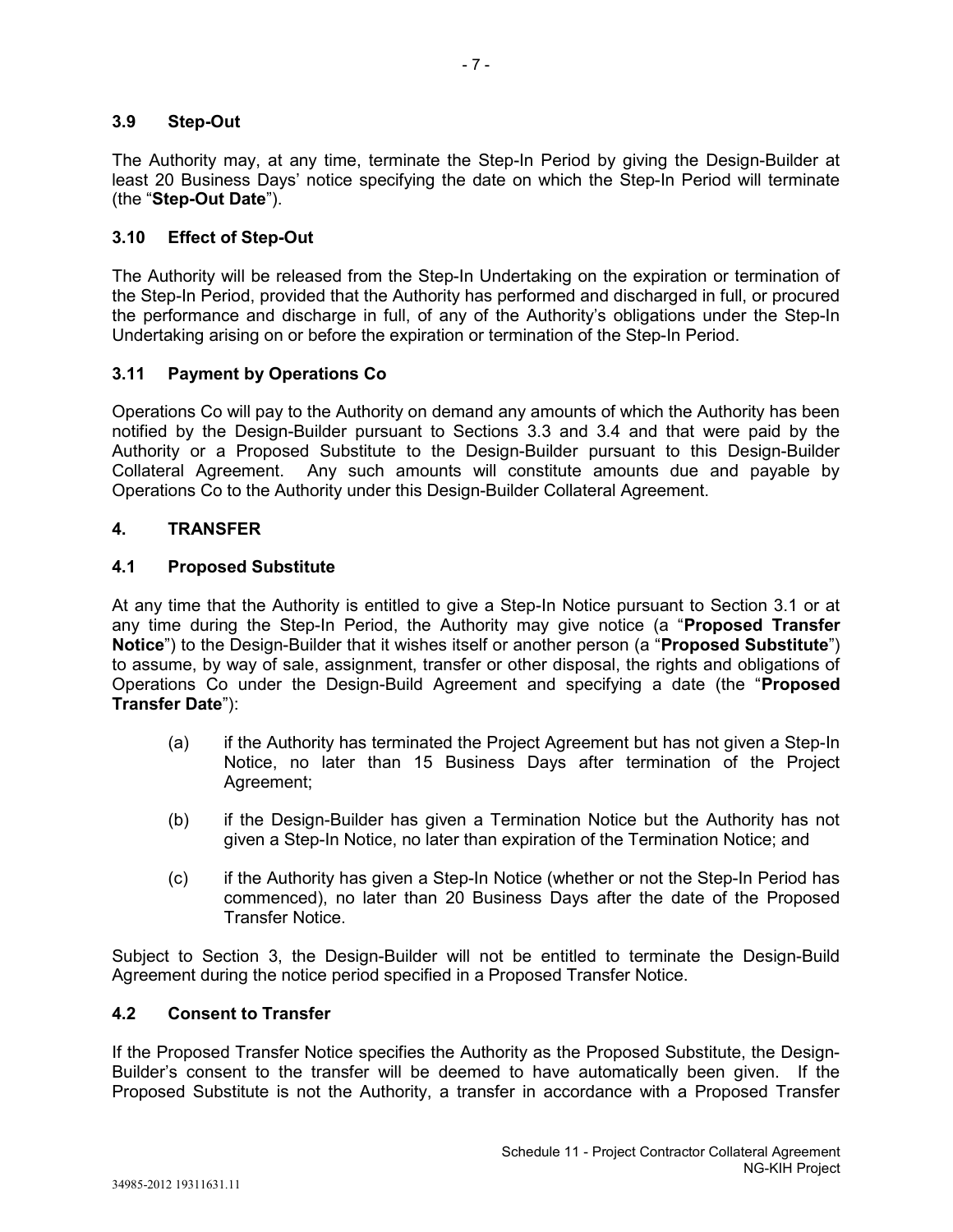### **3.9 Step-Out**

The Authority may, at any time, terminate the Step-In Period by giving the Design-Builder at least 20 Business Days' notice specifying the date on which the Step-In Period will terminate (the "**Step-Out Date**").

- 7 -

### **3.10 Effect of Step-Out**

The Authority will be released from the Step-In Undertaking on the expiration or termination of the Step-In Period, provided that the Authority has performed and discharged in full, or procured the performance and discharge in full, of any of the Authority's obligations under the Step-In Undertaking arising on or before the expiration or termination of the Step-In Period.

### **3.11 Payment by Operations Co**

Operations Co will pay to the Authority on demand any amounts of which the Authority has been notified by the Design-Builder pursuant to Sections 3.3 and 3.4 and that were paid by the Authority or a Proposed Substitute to the Design-Builder pursuant to this Design-Builder Collateral Agreement. Any such amounts will constitute amounts due and payable by Operations Co to the Authority under this Design-Builder Collateral Agreement.

### **4. TRANSFER**

### **4.1 Proposed Substitute**

At any time that the Authority is entitled to give a Step-In Notice pursuant to Section 3.1 or at any time during the Step-In Period, the Authority may give notice (a "**Proposed Transfer Notice**") to the Design-Builder that it wishes itself or another person (a "**Proposed Substitute**") to assume, by way of sale, assignment, transfer or other disposal, the rights and obligations of Operations Co under the Design-Build Agreement and specifying a date (the "**Proposed Transfer Date**"):

- (a) if the Authority has terminated the Project Agreement but has not given a Step-In Notice, no later than 15 Business Days after termination of the Project Agreement;
- (b) if the Design-Builder has given a Termination Notice but the Authority has not given a Step-In Notice, no later than expiration of the Termination Notice; and
- (c) if the Authority has given a Step-In Notice (whether or not the Step-In Period has commenced), no later than 20 Business Days after the date of the Proposed Transfer Notice.

Subject to Section 3, the Design-Builder will not be entitled to terminate the Design-Build Agreement during the notice period specified in a Proposed Transfer Notice.

### **4.2 Consent to Transfer**

If the Proposed Transfer Notice specifies the Authority as the Proposed Substitute, the Design-Builder's consent to the transfer will be deemed to have automatically been given. If the Proposed Substitute is not the Authority, a transfer in accordance with a Proposed Transfer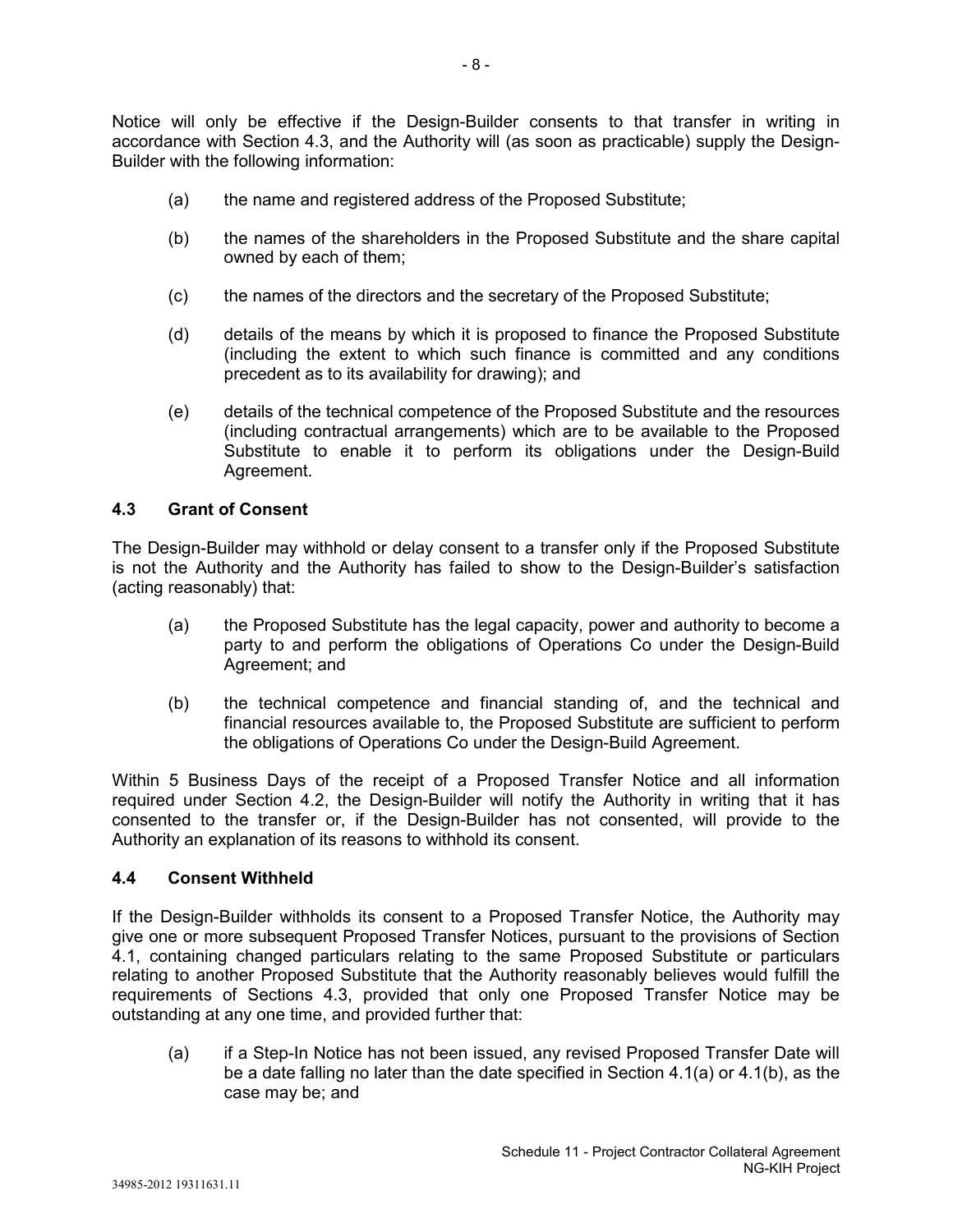Notice will only be effective if the Design-Builder consents to that transfer in writing in accordance with Section 4.3, and the Authority will (as soon as practicable) supply the Design-Builder with the following information:

- (a) the name and registered address of the Proposed Substitute;
- (b) the names of the shareholders in the Proposed Substitute and the share capital owned by each of them;
- (c) the names of the directors and the secretary of the Proposed Substitute;
- (d) details of the means by which it is proposed to finance the Proposed Substitute (including the extent to which such finance is committed and any conditions precedent as to its availability for drawing); and
- (e) details of the technical competence of the Proposed Substitute and the resources (including contractual arrangements) which are to be available to the Proposed Substitute to enable it to perform its obligations under the Design-Build Agreement.

### **4.3 Grant of Consent**

The Design-Builder may withhold or delay consent to a transfer only if the Proposed Substitute is not the Authority and the Authority has failed to show to the Design-Builder's satisfaction (acting reasonably) that:

- (a) the Proposed Substitute has the legal capacity, power and authority to become a party to and perform the obligations of Operations Co under the Design-Build Agreement; and
- (b) the technical competence and financial standing of, and the technical and financial resources available to, the Proposed Substitute are sufficient to perform the obligations of Operations Co under the Design-Build Agreement.

Within 5 Business Days of the receipt of a Proposed Transfer Notice and all information required under Section 4.2, the Design-Builder will notify the Authority in writing that it has consented to the transfer or, if the Design-Builder has not consented, will provide to the Authority an explanation of its reasons to withhold its consent.

### **4.4 Consent Withheld**

If the Design-Builder withholds its consent to a Proposed Transfer Notice, the Authority may give one or more subsequent Proposed Transfer Notices, pursuant to the provisions of Section 4.1, containing changed particulars relating to the same Proposed Substitute or particulars relating to another Proposed Substitute that the Authority reasonably believes would fulfill the requirements of Sections 4.3, provided that only one Proposed Transfer Notice may be outstanding at any one time, and provided further that:

(a) if a Step-In Notice has not been issued, any revised Proposed Transfer Date will be a date falling no later than the date specified in Section 4.1(a) or 4.1(b), as the case may be; and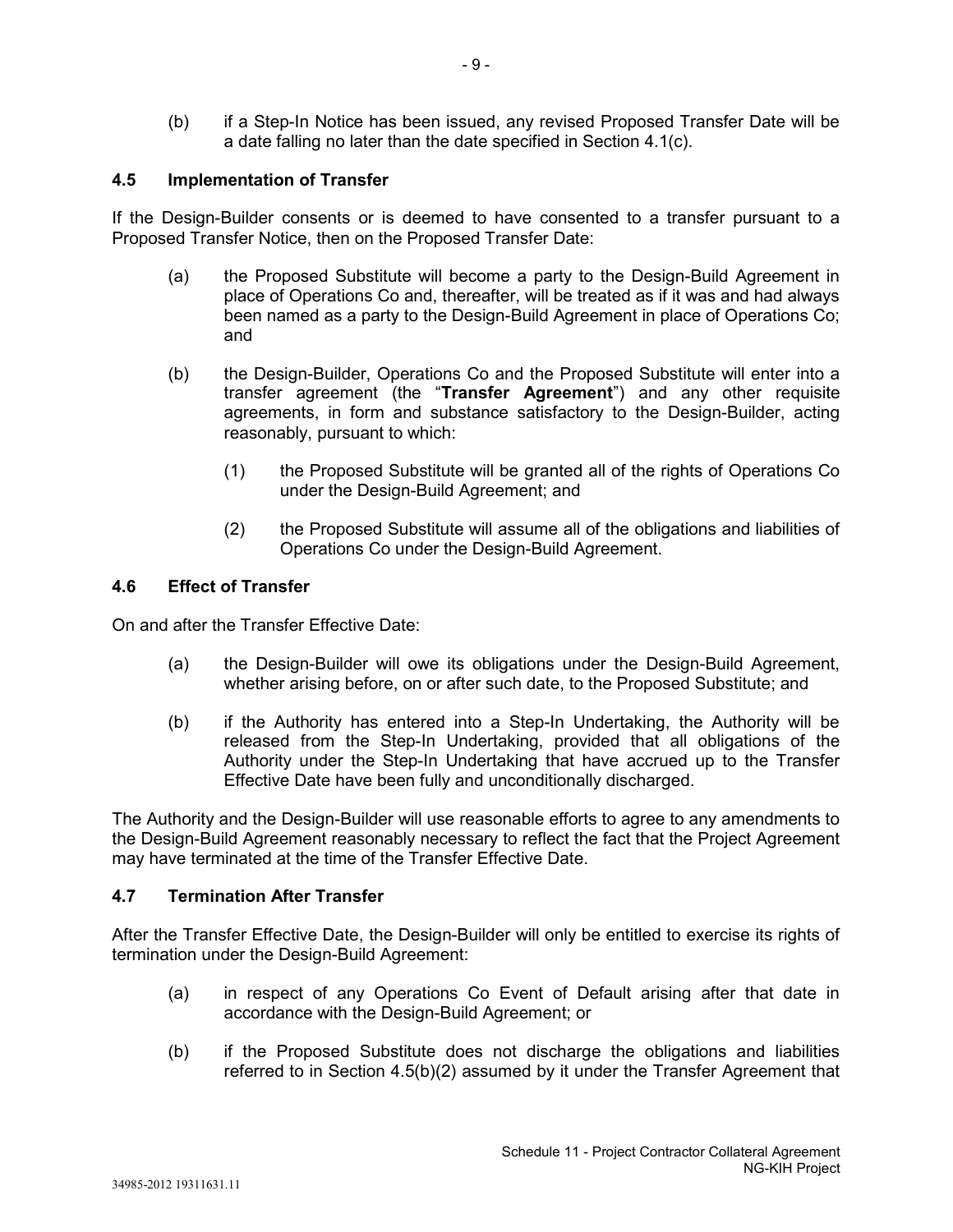(b) if a Step-In Notice has been issued, any revised Proposed Transfer Date will be a date falling no later than the date specified in Section 4.1(c).

## **4.5 Implementation of Transfer**

If the Design-Builder consents or is deemed to have consented to a transfer pursuant to a Proposed Transfer Notice, then on the Proposed Transfer Date:

- (a) the Proposed Substitute will become a party to the Design-Build Agreement in place of Operations Co and, thereafter, will be treated as if it was and had always been named as a party to the Design-Build Agreement in place of Operations Co; and
- (b) the Design-Builder, Operations Co and the Proposed Substitute will enter into a transfer agreement (the "**Transfer Agreement**") and any other requisite agreements, in form and substance satisfactory to the Design-Builder, acting reasonably, pursuant to which:
	- (1) the Proposed Substitute will be granted all of the rights of Operations Co under the Design-Build Agreement; and
	- (2) the Proposed Substitute will assume all of the obligations and liabilities of Operations Co under the Design-Build Agreement.

### **4.6 Effect of Transfer**

On and after the Transfer Effective Date:

- (a) the Design-Builder will owe its obligations under the Design-Build Agreement, whether arising before, on or after such date, to the Proposed Substitute; and
- (b) if the Authority has entered into a Step-In Undertaking, the Authority will be released from the Step-In Undertaking, provided that all obligations of the Authority under the Step-In Undertaking that have accrued up to the Transfer Effective Date have been fully and unconditionally discharged.

The Authority and the Design-Builder will use reasonable efforts to agree to any amendments to the Design-Build Agreement reasonably necessary to reflect the fact that the Project Agreement may have terminated at the time of the Transfer Effective Date.

### **4.7 Termination After Transfer**

After the Transfer Effective Date, the Design-Builder will only be entitled to exercise its rights of termination under the Design-Build Agreement:

- (a) in respect of any Operations Co Event of Default arising after that date in accordance with the Design-Build Agreement; or
- (b) if the Proposed Substitute does not discharge the obligations and liabilities referred to in Section 4.5(b)(2) assumed by it under the Transfer Agreement that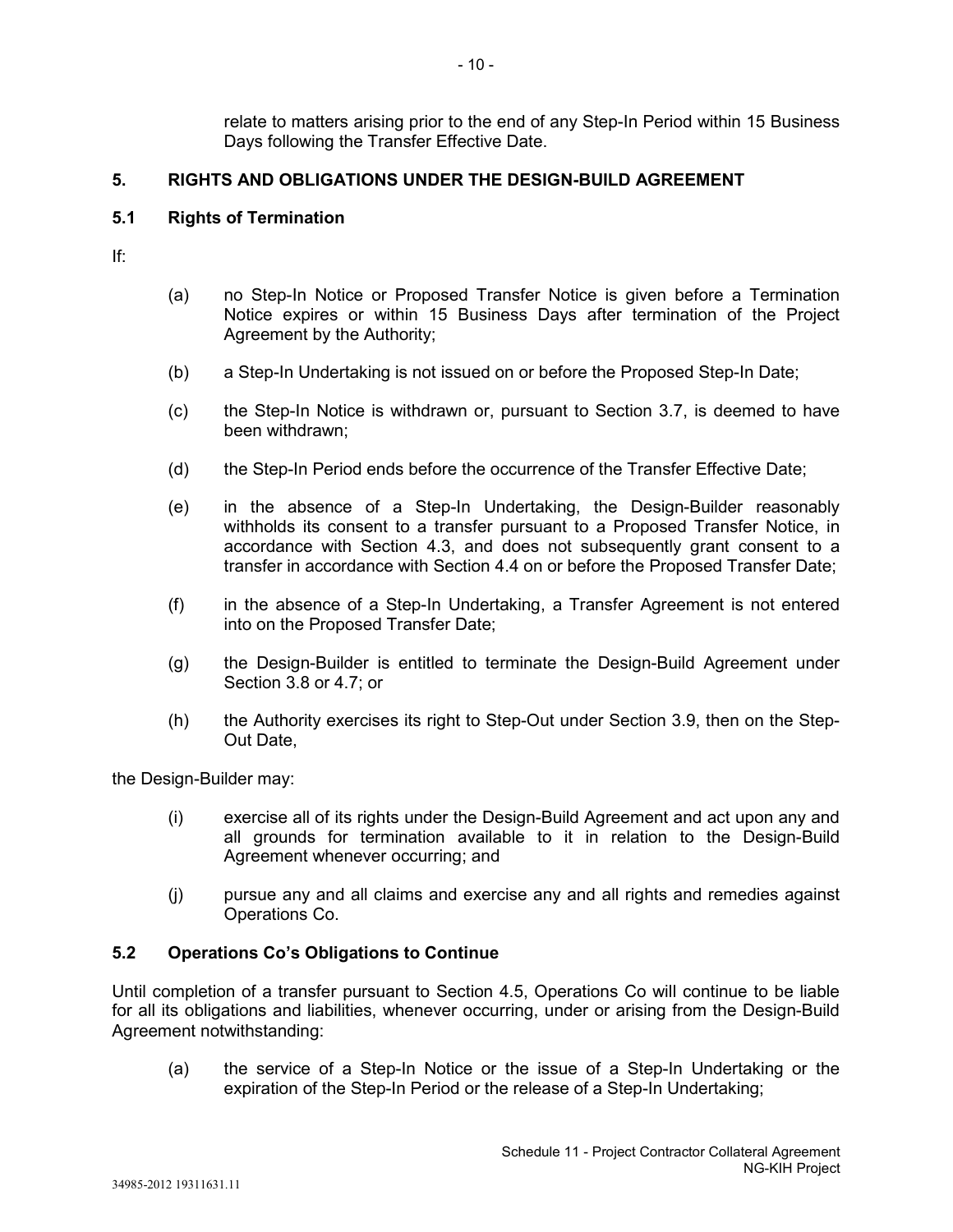relate to matters arising prior to the end of any Step-In Period within 15 Business Days following the Transfer Effective Date.

# **5. RIGHTS AND OBLIGATIONS UNDER THE DESIGN-BUILD AGREEMENT**

### **5.1 Rights of Termination**

If:

- (a) no Step-In Notice or Proposed Transfer Notice is given before a Termination Notice expires or within 15 Business Days after termination of the Project Agreement by the Authority;
- (b) a Step-In Undertaking is not issued on or before the Proposed Step-In Date;
- (c) the Step-In Notice is withdrawn or, pursuant to Section 3.7, is deemed to have been withdrawn;
- (d) the Step-In Period ends before the occurrence of the Transfer Effective Date;
- (e) in the absence of a Step-In Undertaking, the Design-Builder reasonably withholds its consent to a transfer pursuant to a Proposed Transfer Notice, in accordance with Section 4.3, and does not subsequently grant consent to a transfer in accordance with Section 4.4 on or before the Proposed Transfer Date;
- (f) in the absence of a Step-In Undertaking, a Transfer Agreement is not entered into on the Proposed Transfer Date;
- (g) the Design-Builder is entitled to terminate the Design-Build Agreement under Section 3.8 or 4.7; or
- (h) the Authority exercises its right to Step-Out under Section 3.9, then on the Step-Out Date,

the Design-Builder may:

- (i) exercise all of its rights under the Design-Build Agreement and act upon any and all grounds for termination available to it in relation to the Design-Build Agreement whenever occurring; and
- (j) pursue any and all claims and exercise any and all rights and remedies against Operations Co.

### **5.2 Operations Co's Obligations to Continue**

Until completion of a transfer pursuant to Section 4.5, Operations Co will continue to be liable for all its obligations and liabilities, whenever occurring, under or arising from the Design-Build Agreement notwithstanding:

(a) the service of a Step-In Notice or the issue of a Step-In Undertaking or the expiration of the Step-In Period or the release of a Step-In Undertaking;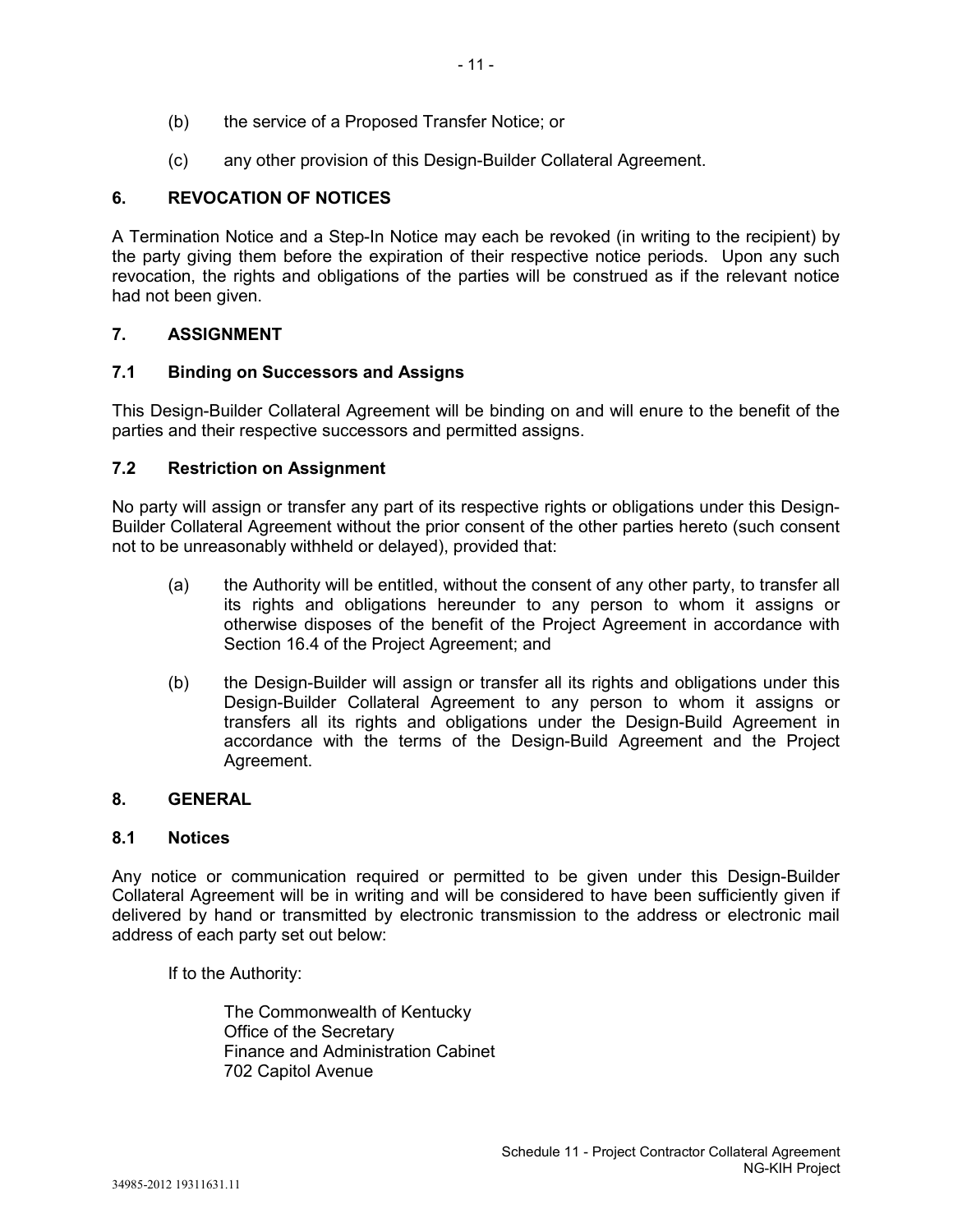- (b) the service of a Proposed Transfer Notice; or
- (c) any other provision of this Design-Builder Collateral Agreement.

# **6. REVOCATION OF NOTICES**

A Termination Notice and a Step-In Notice may each be revoked (in writing to the recipient) by the party giving them before the expiration of their respective notice periods. Upon any such revocation, the rights and obligations of the parties will be construed as if the relevant notice had not been given.

# **7. ASSIGNMENT**

# **7.1 Binding on Successors and Assigns**

This Design-Builder Collateral Agreement will be binding on and will enure to the benefit of the parties and their respective successors and permitted assigns.

# **7.2 Restriction on Assignment**

No party will assign or transfer any part of its respective rights or obligations under this Design-Builder Collateral Agreement without the prior consent of the other parties hereto (such consent not to be unreasonably withheld or delayed), provided that:

- (a) the Authority will be entitled, without the consent of any other party, to transfer all its rights and obligations hereunder to any person to whom it assigns or otherwise disposes of the benefit of the Project Agreement in accordance with Section 16.4 of the Project Agreement; and
- (b) the Design-Builder will assign or transfer all its rights and obligations under this Design-Builder Collateral Agreement to any person to whom it assigns or transfers all its rights and obligations under the Design-Build Agreement in accordance with the terms of the Design-Build Agreement and the Project Agreement.

# **8. GENERAL**

### **8.1 Notices**

Any notice or communication required or permitted to be given under this Design-Builder Collateral Agreement will be in writing and will be considered to have been sufficiently given if delivered by hand or transmitted by electronic transmission to the address or electronic mail address of each party set out below:

If to the Authority:

The Commonwealth of Kentucky Office of the Secretary Finance and Administration Cabinet 702 Capitol Avenue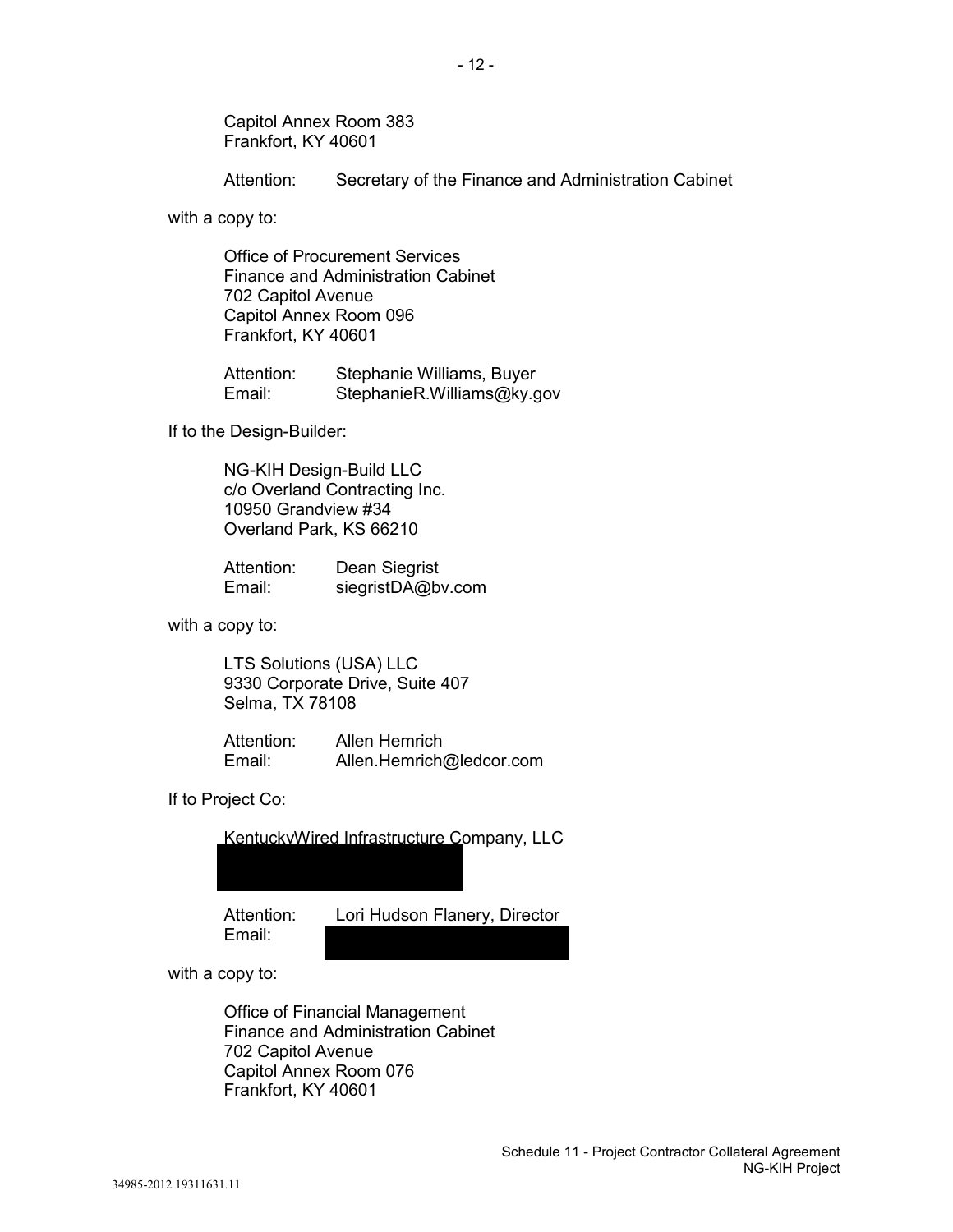Capitol Annex Room 383 Frankfort, KY 40601

Attention: Secretary of the Finance and Administration Cabinet

with a copy to:

Office of Procurement Services Finance and Administration Cabinet 702 Capitol Avenue Capitol Annex Room 096 Frankfort, KY 40601

Attention: Stephanie Williams, Buyer<br>Email: StephanieR.Williams@kv.o StephanieR.Williams@ky.gov

If to the Design-Builder:

NG-KIH Design-Build LLC c/o Overland Contracting Inc. 10950 Grandview #34 Overland Park, KS 66210

Attention: Dean Siegrist<br>Email: siegristDA@by siegristDA@bv.com

with a copy to:

LTS Solutions (USA) LLC 9330 Corporate Drive, Suite 407 Selma, TX 78108

Attention: Allen Hemrich<br>Fmail: Allen Hemrich Allen.Hemrich@ledcor.com

If to Project Co:

KentuckyWired Infrastructure Company, LLC

Email:

Attention: Lori Hudson Flanery, Director

with a copy to:

Office of Financial Management Finance and Administration Cabinet 702 Capitol Avenue Capitol Annex Room 076 Frankfort, KY 40601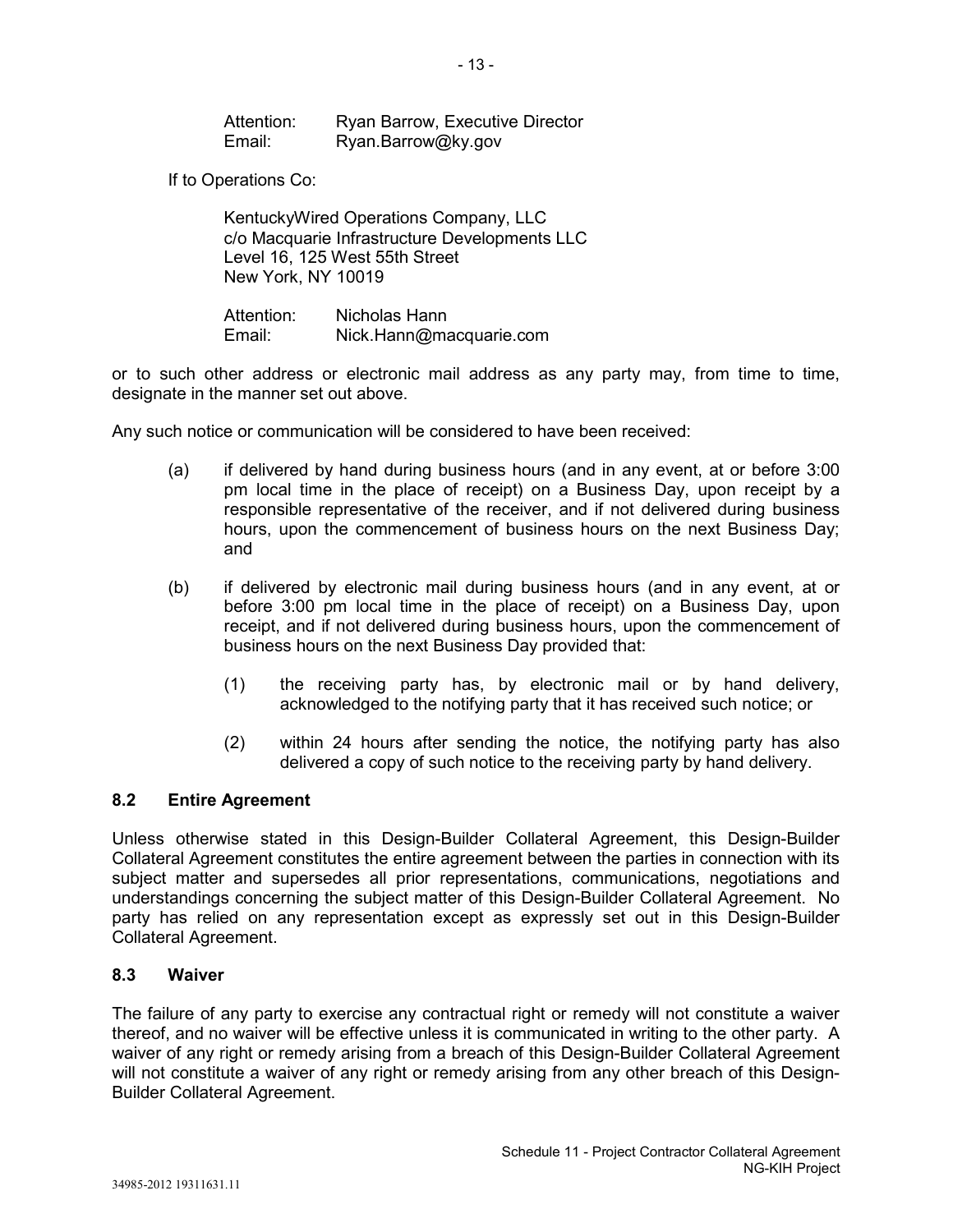Attention: Ryan Barrow, Executive Director<br>
Fmail: Ryan Barrow@ky.gov Ryan.Barrow@ky.gov

If to Operations Co:

KentuckyWired Operations Company, LLC c/o Macquarie Infrastructure Developments LLC Level 16, 125 West 55th Street New York, NY 10019

Attention: Nicholas Hann<br>Fmail: Nick Hann@ma Nick.Hann@macquarie.com

or to such other address or electronic mail address as any party may, from time to time, designate in the manner set out above.

Any such notice or communication will be considered to have been received:

- (a) if delivered by hand during business hours (and in any event, at or before 3:00 pm local time in the place of receipt) on a Business Day, upon receipt by a responsible representative of the receiver, and if not delivered during business hours, upon the commencement of business hours on the next Business Day; and
- (b) if delivered by electronic mail during business hours (and in any event, at or before 3:00 pm local time in the place of receipt) on a Business Day, upon receipt, and if not delivered during business hours, upon the commencement of business hours on the next Business Day provided that:
	- (1) the receiving party has, by electronic mail or by hand delivery, acknowledged to the notifying party that it has received such notice; or
	- (2) within 24 hours after sending the notice, the notifying party has also delivered a copy of such notice to the receiving party by hand delivery.

### **8.2 Entire Agreement**

Unless otherwise stated in this Design-Builder Collateral Agreement, this Design-Builder Collateral Agreement constitutes the entire agreement between the parties in connection with its subject matter and supersedes all prior representations, communications, negotiations and understandings concerning the subject matter of this Design-Builder Collateral Agreement. No party has relied on any representation except as expressly set out in this Design-Builder Collateral Agreement.

### **8.3 Waiver**

The failure of any party to exercise any contractual right or remedy will not constitute a waiver thereof, and no waiver will be effective unless it is communicated in writing to the other party. A waiver of any right or remedy arising from a breach of this Design-Builder Collateral Agreement will not constitute a waiver of any right or remedy arising from any other breach of this Design-Builder Collateral Agreement.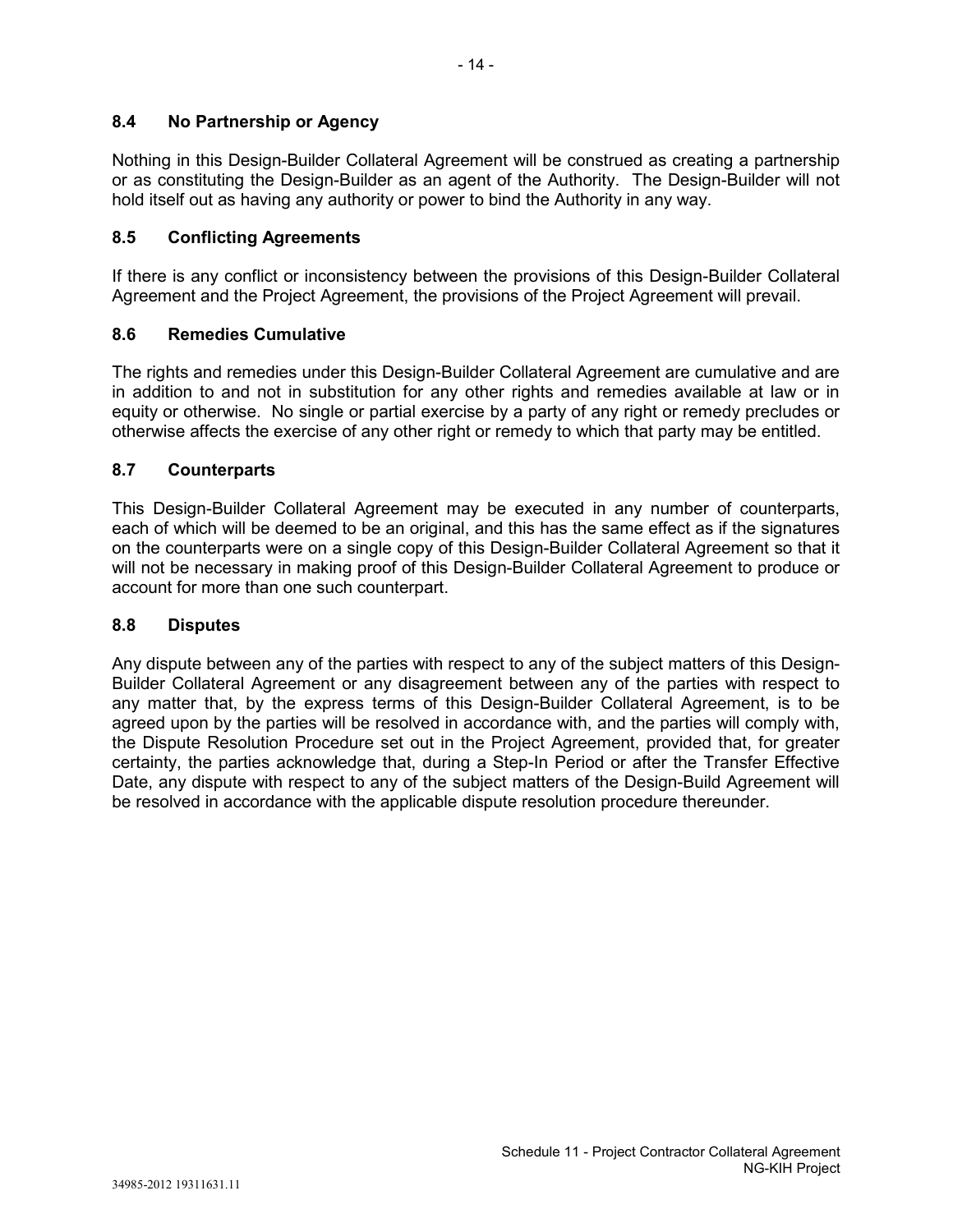# **8.4 No Partnership or Agency**

Nothing in this Design-Builder Collateral Agreement will be construed as creating a partnership or as constituting the Design-Builder as an agent of the Authority. The Design-Builder will not hold itself out as having any authority or power to bind the Authority in any way.

### **8.5 Conflicting Agreements**

If there is any conflict or inconsistency between the provisions of this Design-Builder Collateral Agreement and the Project Agreement, the provisions of the Project Agreement will prevail.

# **8.6 Remedies Cumulative**

The rights and remedies under this Design-Builder Collateral Agreement are cumulative and are in addition to and not in substitution for any other rights and remedies available at law or in equity or otherwise. No single or partial exercise by a party of any right or remedy precludes or otherwise affects the exercise of any other right or remedy to which that party may be entitled.

### **8.7 Counterparts**

This Design-Builder Collateral Agreement may be executed in any number of counterparts, each of which will be deemed to be an original, and this has the same effect as if the signatures on the counterparts were on a single copy of this Design-Builder Collateral Agreement so that it will not be necessary in making proof of this Design-Builder Collateral Agreement to produce or account for more than one such counterpart.

### **8.8 Disputes**

Any dispute between any of the parties with respect to any of the subject matters of this Design-Builder Collateral Agreement or any disagreement between any of the parties with respect to any matter that, by the express terms of this Design-Builder Collateral Agreement, is to be agreed upon by the parties will be resolved in accordance with, and the parties will comply with, the Dispute Resolution Procedure set out in the Project Agreement, provided that, for greater certainty, the parties acknowledge that, during a Step-In Period or after the Transfer Effective Date, any dispute with respect to any of the subject matters of the Design-Build Agreement will be resolved in accordance with the applicable dispute resolution procedure thereunder.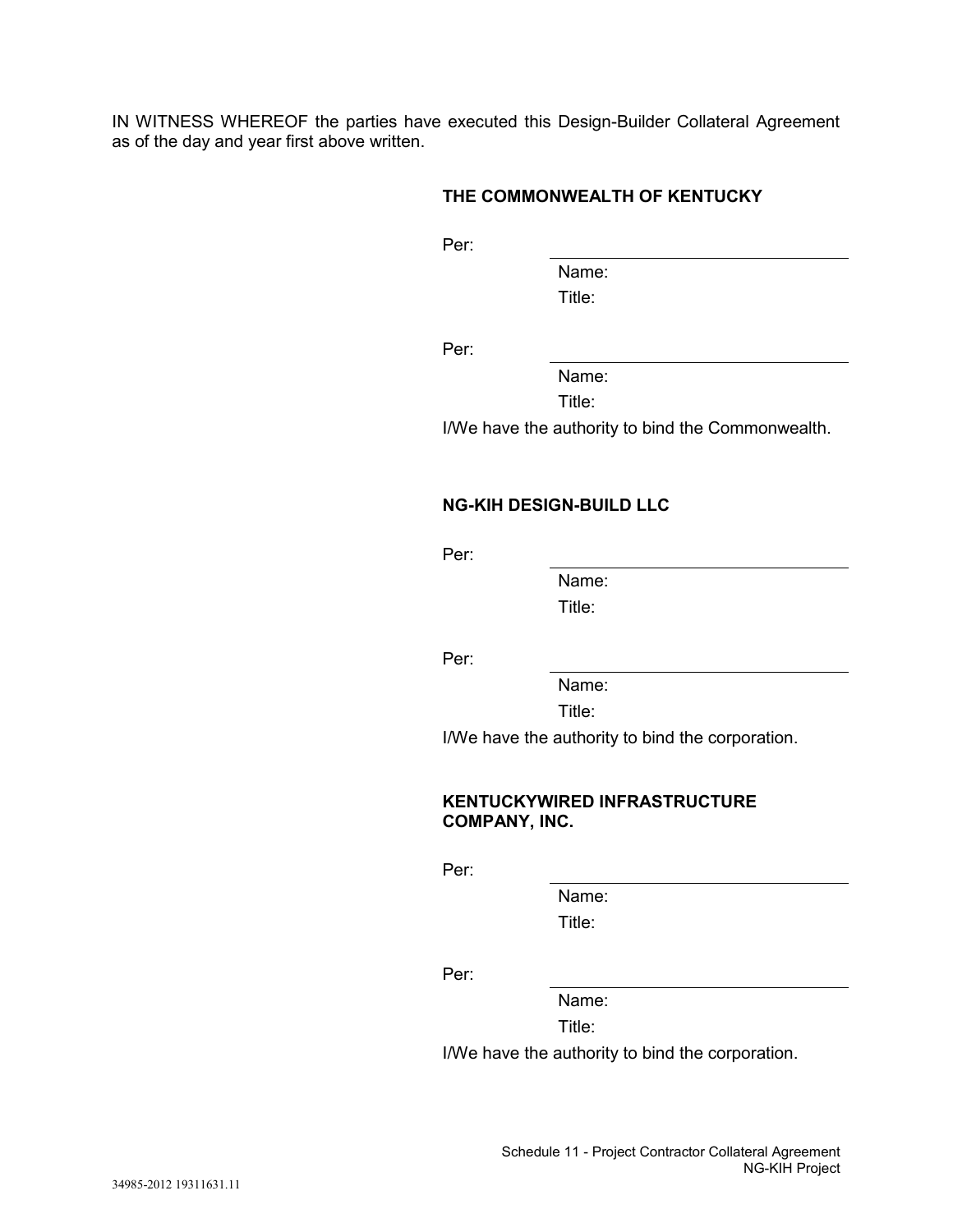IN WITNESS WHEREOF the parties have executed this Design-Builder Collateral Agreement as of the day and year first above written.

# **THE COMMONWEALTH OF KENTUCKY**

Per:

Name: Title:

Per:

Name:

Title:

I/We have the authority to bind the Commonwealth.

## **NG-KIH DESIGN-BUILD LLC**

Per:

Name: Title:

Per:

Name:

Title:

I/We have the authority to bind the corporation.

### **KENTUCKYWIRED INFRASTRUCTURE COMPANY, INC.**

Per:

Name: Title:

Per:

Name:

Title:

I/We have the authority to bind the corporation.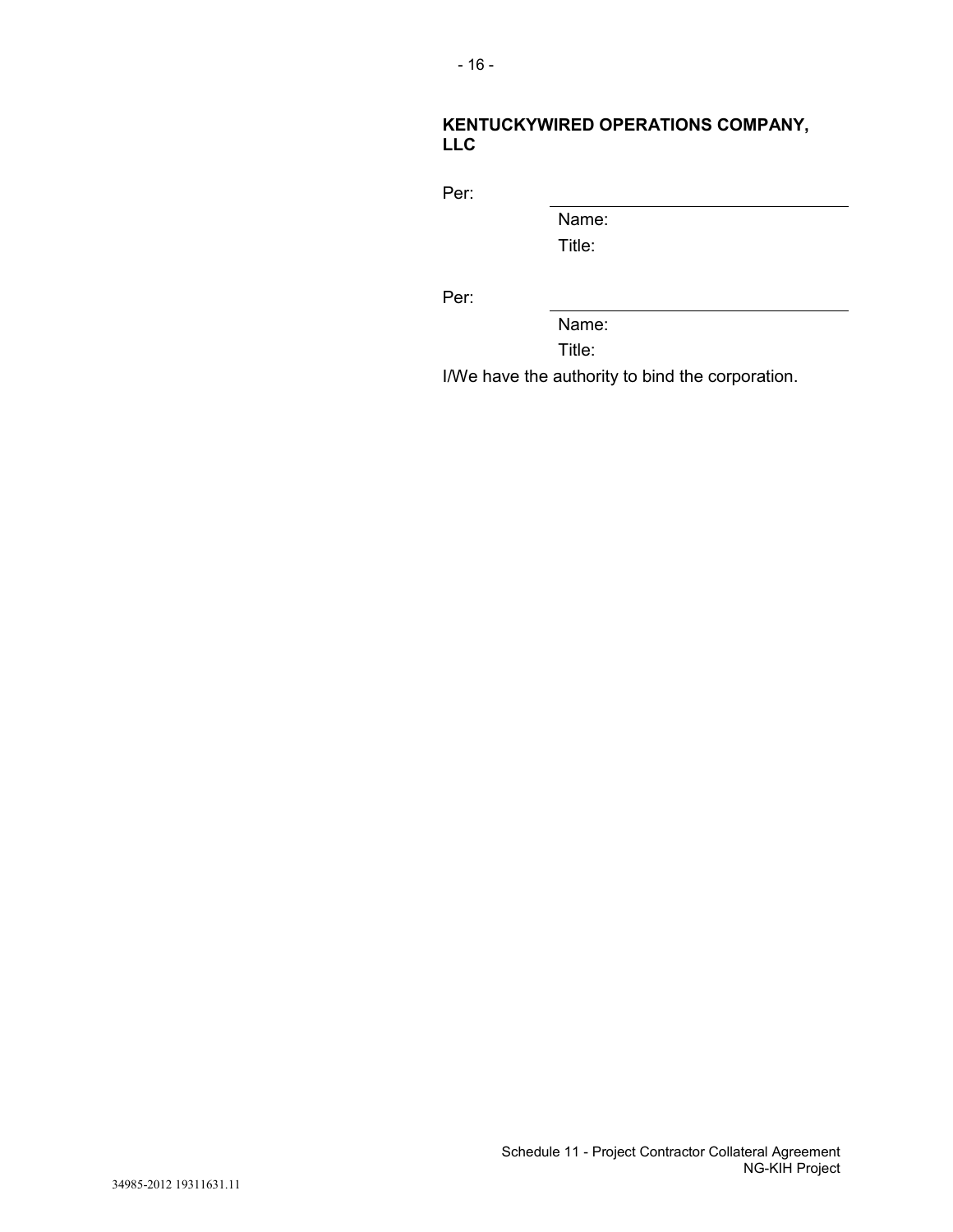# **KENTUCKYWIRED OPERATIONS COMPANY, LLC**

Per:

Name:

Title:

Per:

Name:

Title:

I/We have the authority to bind the corporation.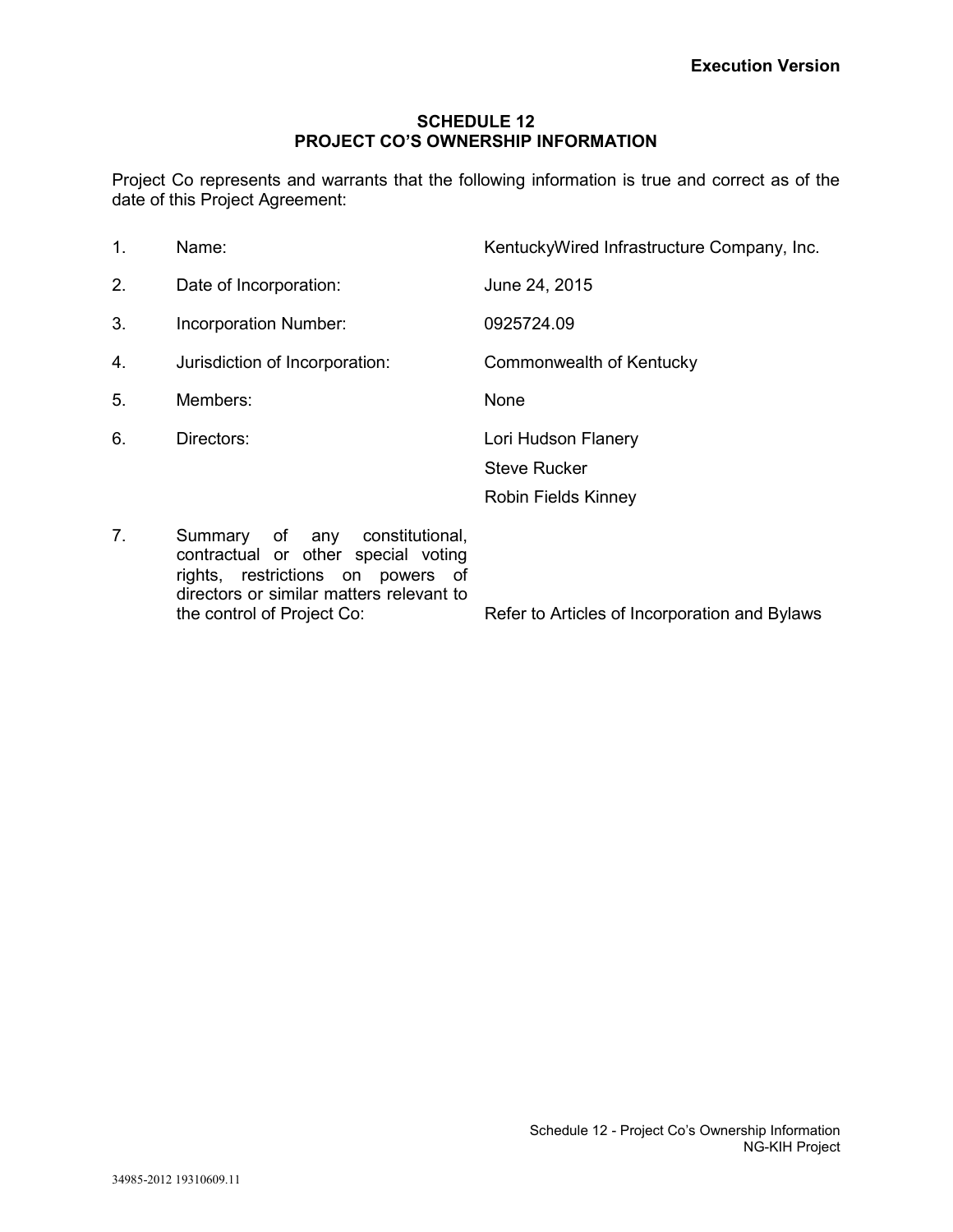### **SCHEDULE 12 PROJECT CO'S OWNERSHIP INFORMATION**

Project Co represents and warrants that the following information is true and correct as of the date of this Project Agreement:

| 1. | Name:                                                                                                                                                                                   | KentuckyWired Infrastructure Company, Inc.    |
|----|-----------------------------------------------------------------------------------------------------------------------------------------------------------------------------------------|-----------------------------------------------|
| 2. | Date of Incorporation:                                                                                                                                                                  | June 24, 2015                                 |
| 3. | Incorporation Number:                                                                                                                                                                   | 0925724.09                                    |
| 4. | Jurisdiction of Incorporation:                                                                                                                                                          | Commonwealth of Kentucky                      |
| 5. | Members:                                                                                                                                                                                | None                                          |
| 6. | Directors:                                                                                                                                                                              | Lori Hudson Flanery                           |
|    |                                                                                                                                                                                         | <b>Steve Rucker</b>                           |
|    |                                                                                                                                                                                         | Robin Fields Kinney                           |
| 7. | Summary<br>of any constitutional,<br>contractual or other special voting<br>rights, restrictions on powers of<br>directors or similar matters relevant to<br>the control of Project Co: | Refer to Articles of Incorporation and Bylaws |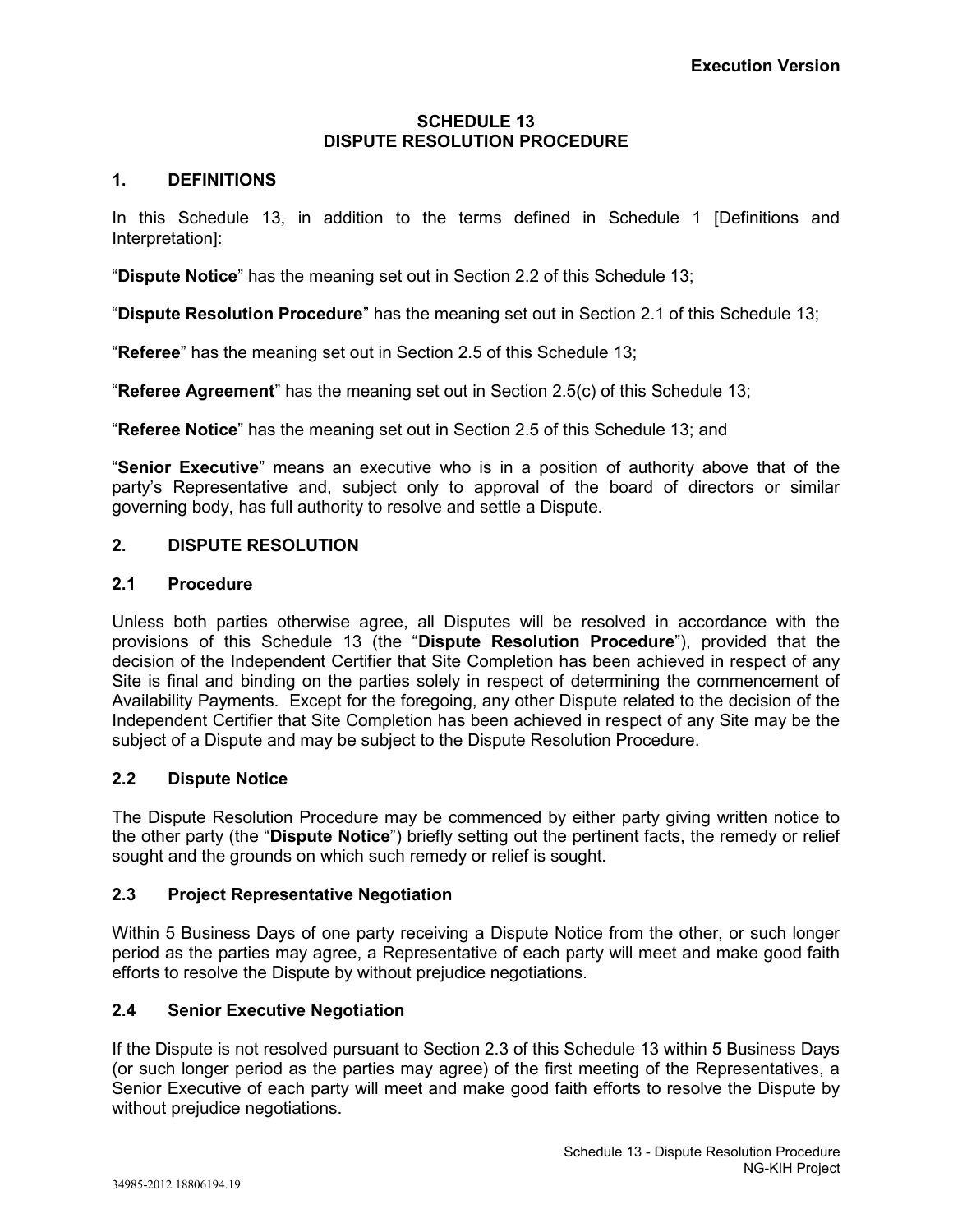### **SCHEDULE 13 DISPUTE RESOLUTION PROCEDURE**

# **1. DEFINITIONS**

In this Schedule 13, in addition to the terms defined in Schedule 1 [Definitions and Interpretation]:

"**Dispute Notice**" has the meaning set out in Section 2.2 of this Schedule 13;

"**Dispute Resolution Procedure**" has the meaning set out in Section 2.1 of this Schedule 13;

"**Referee**" has the meaning set out in Section 2.5 of this Schedule 13;

"**Referee Agreement**" has the meaning set out in Section 2.5(c) of this Schedule 13;

"**Referee Notice**" has the meaning set out in Section 2.5 of this Schedule 13; and

"**Senior Executive**" means an executive who is in a position of authority above that of the party's Representative and, subject only to approval of the board of directors or similar governing body, has full authority to resolve and settle a Dispute.

# **2. DISPUTE RESOLUTION**

# **2.1 Procedure**

Unless both parties otherwise agree, all Disputes will be resolved in accordance with the provisions of this Schedule 13 (the "**Dispute Resolution Procedure**"), provided that the decision of the Independent Certifier that Site Completion has been achieved in respect of any Site is final and binding on the parties solely in respect of determining the commencement of Availability Payments. Except for the foregoing, any other Dispute related to the decision of the Independent Certifier that Site Completion has been achieved in respect of any Site may be the subject of a Dispute and may be subject to the Dispute Resolution Procedure.

# **2.2 Dispute Notice**

The Dispute Resolution Procedure may be commenced by either party giving written notice to the other party (the "**Dispute Notice**") briefly setting out the pertinent facts, the remedy or relief sought and the grounds on which such remedy or relief is sought.

# **2.3 Project Representative Negotiation**

Within 5 Business Days of one party receiving a Dispute Notice from the other, or such longer period as the parties may agree, a Representative of each party will meet and make good faith efforts to resolve the Dispute by without prejudice negotiations.

# **2.4 Senior Executive Negotiation**

If the Dispute is not resolved pursuant to Section 2.3 of this Schedule 13 within 5 Business Days (or such longer period as the parties may agree) of the first meeting of the Representatives, a Senior Executive of each party will meet and make good faith efforts to resolve the Dispute by without prejudice negotiations.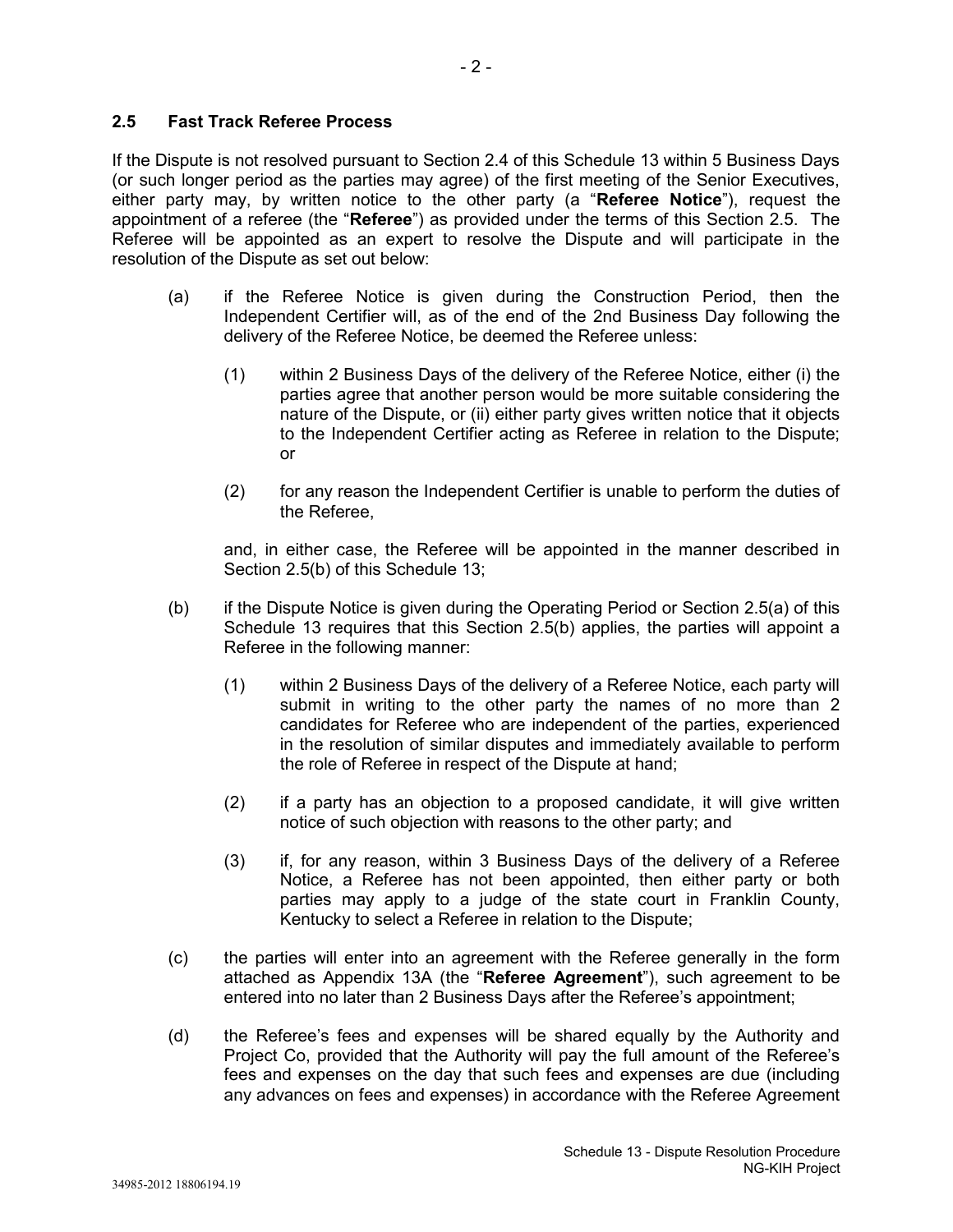### **2.5 Fast Track Referee Process**

If the Dispute is not resolved pursuant to Section 2.4 of this Schedule 13 within 5 Business Days (or such longer period as the parties may agree) of the first meeting of the Senior Executives, either party may, by written notice to the other party (a "**Referee Notice**"), request the appointment of a referee (the "**Referee**") as provided under the terms of this Section 2.5. The Referee will be appointed as an expert to resolve the Dispute and will participate in the resolution of the Dispute as set out below:

- (a) if the Referee Notice is given during the Construction Period, then the Independent Certifier will, as of the end of the 2nd Business Day following the delivery of the Referee Notice, be deemed the Referee unless:
	- (1) within 2 Business Days of the delivery of the Referee Notice, either (i) the parties agree that another person would be more suitable considering the nature of the Dispute, or (ii) either party gives written notice that it objects to the Independent Certifier acting as Referee in relation to the Dispute; or
	- (2) for any reason the Independent Certifier is unable to perform the duties of the Referee,

and, in either case, the Referee will be appointed in the manner described in Section 2.5(b) of this Schedule 13;

- (b) if the Dispute Notice is given during the Operating Period or Section 2.5(a) of this Schedule 13 requires that this Section 2.5(b) applies, the parties will appoint a Referee in the following manner:
	- (1) within 2 Business Days of the delivery of a Referee Notice, each party will submit in writing to the other party the names of no more than 2 candidates for Referee who are independent of the parties, experienced in the resolution of similar disputes and immediately available to perform the role of Referee in respect of the Dispute at hand;
	- (2) if a party has an objection to a proposed candidate, it will give written notice of such objection with reasons to the other party; and
	- (3) if, for any reason, within 3 Business Days of the delivery of a Referee Notice, a Referee has not been appointed, then either party or both parties may apply to a judge of the state court in Franklin County, Kentucky to select a Referee in relation to the Dispute;
- (c) the parties will enter into an agreement with the Referee generally in the form attached as Appendix 13A (the "**Referee Agreement**"), such agreement to be entered into no later than 2 Business Days after the Referee's appointment;
- (d) the Referee's fees and expenses will be shared equally by the Authority and Project Co, provided that the Authority will pay the full amount of the Referee's fees and expenses on the day that such fees and expenses are due (including any advances on fees and expenses) in accordance with the Referee Agreement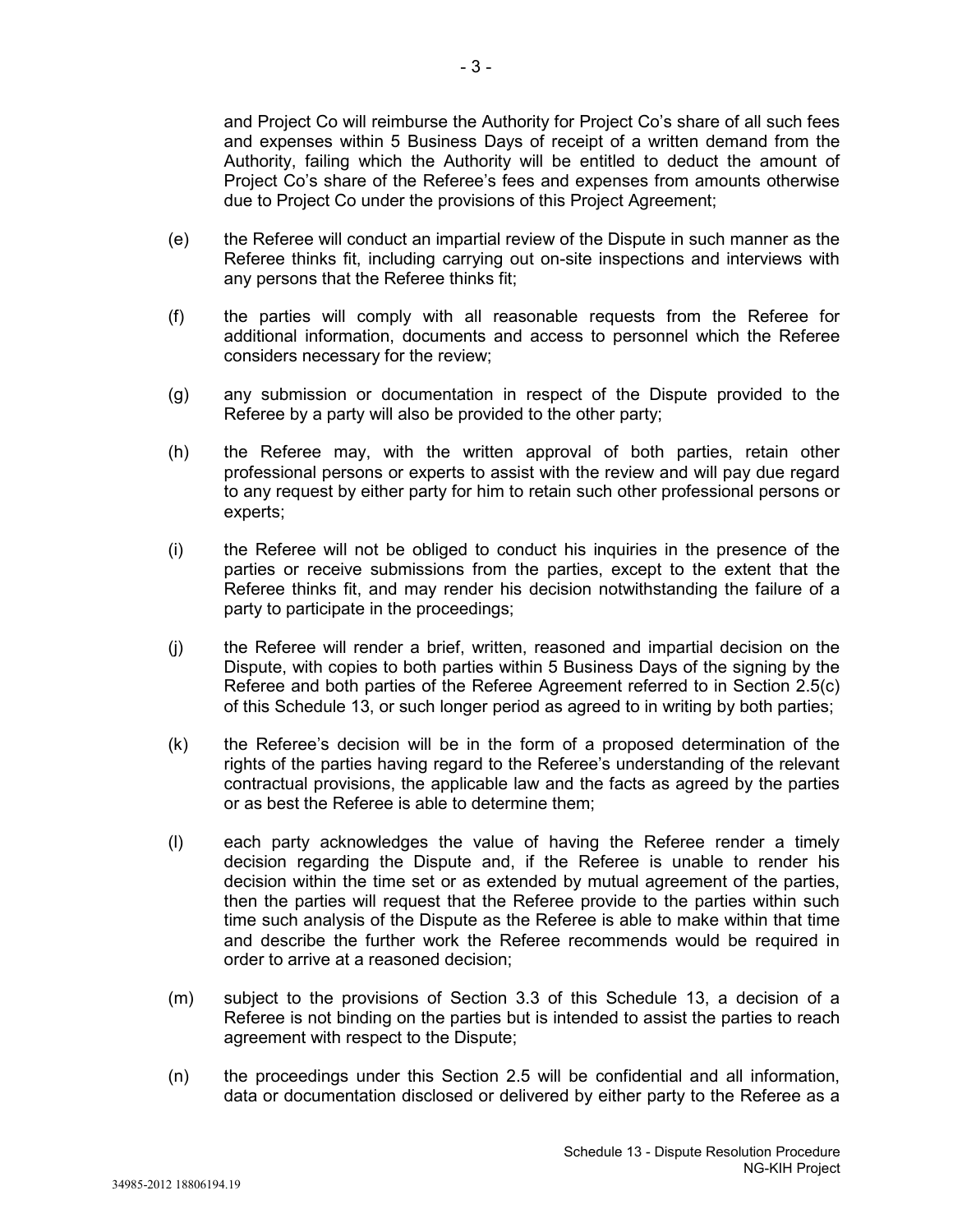and Project Co will reimburse the Authority for Project Co's share of all such fees and expenses within 5 Business Days of receipt of a written demand from the Authority, failing which the Authority will be entitled to deduct the amount of Project Co's share of the Referee's fees and expenses from amounts otherwise due to Project Co under the provisions of this Project Agreement;

- (e) the Referee will conduct an impartial review of the Dispute in such manner as the Referee thinks fit, including carrying out on-site inspections and interviews with any persons that the Referee thinks fit;
- (f) the parties will comply with all reasonable requests from the Referee for additional information, documents and access to personnel which the Referee considers necessary for the review;
- (g) any submission or documentation in respect of the Dispute provided to the Referee by a party will also be provided to the other party;
- (h) the Referee may, with the written approval of both parties, retain other professional persons or experts to assist with the review and will pay due regard to any request by either party for him to retain such other professional persons or experts;
- (i) the Referee will not be obliged to conduct his inquiries in the presence of the parties or receive submissions from the parties, except to the extent that the Referee thinks fit, and may render his decision notwithstanding the failure of a party to participate in the proceedings;
- (j) the Referee will render a brief, written, reasoned and impartial decision on the Dispute, with copies to both parties within 5 Business Days of the signing by the Referee and both parties of the Referee Agreement referred to in Section 2.5(c) of this Schedule 13, or such longer period as agreed to in writing by both parties;
- (k) the Referee's decision will be in the form of a proposed determination of the rights of the parties having regard to the Referee's understanding of the relevant contractual provisions, the applicable law and the facts as agreed by the parties or as best the Referee is able to determine them;
- (l) each party acknowledges the value of having the Referee render a timely decision regarding the Dispute and, if the Referee is unable to render his decision within the time set or as extended by mutual agreement of the parties, then the parties will request that the Referee provide to the parties within such time such analysis of the Dispute as the Referee is able to make within that time and describe the further work the Referee recommends would be required in order to arrive at a reasoned decision;
- (m) subject to the provisions of Section 3.3 of this Schedule 13, a decision of a Referee is not binding on the parties but is intended to assist the parties to reach agreement with respect to the Dispute;
- (n) the proceedings under this Section 2.5 will be confidential and all information, data or documentation disclosed or delivered by either party to the Referee as a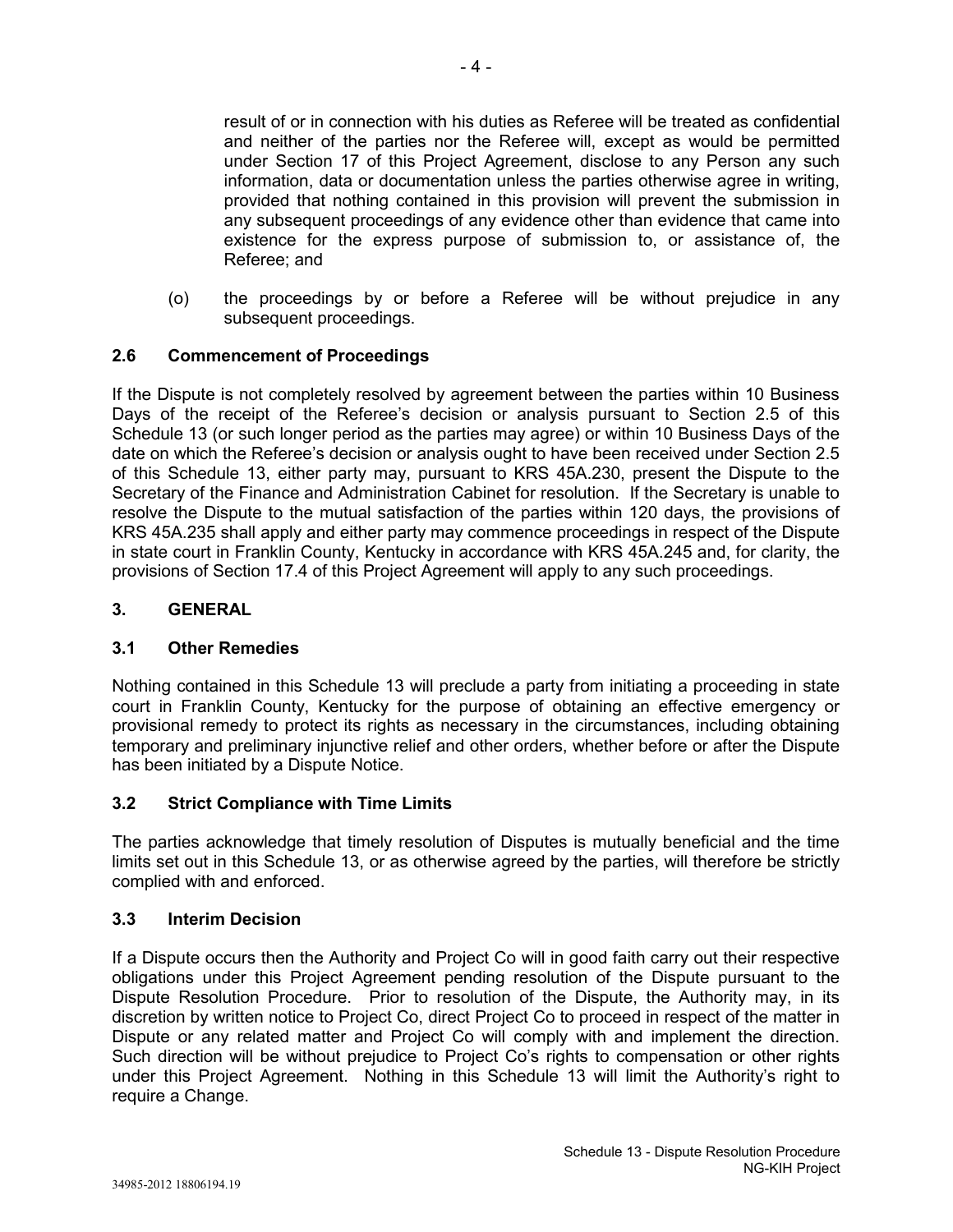result of or in connection with his duties as Referee will be treated as confidential and neither of the parties nor the Referee will, except as would be permitted under Section 17 of this Project Agreement, disclose to any Person any such information, data or documentation unless the parties otherwise agree in writing, provided that nothing contained in this provision will prevent the submission in any subsequent proceedings of any evidence other than evidence that came into existence for the express purpose of submission to, or assistance of, the Referee; and

(o) the proceedings by or before a Referee will be without prejudice in any subsequent proceedings.

# **2.6 Commencement of Proceedings**

If the Dispute is not completely resolved by agreement between the parties within 10 Business Days of the receipt of the Referee's decision or analysis pursuant to Section 2.5 of this Schedule 13 (or such longer period as the parties may agree) or within 10 Business Days of the date on which the Referee's decision or analysis ought to have been received under Section 2.5 of this Schedule 13, either party may, pursuant to KRS 45A.230, present the Dispute to the Secretary of the Finance and Administration Cabinet for resolution. If the Secretary is unable to resolve the Dispute to the mutual satisfaction of the parties within 120 days, the provisions of KRS 45A.235 shall apply and either party may commence proceedings in respect of the Dispute in state court in Franklin County, Kentucky in accordance with KRS 45A.245 and, for clarity, the provisions of Section 17.4 of this Project Agreement will apply to any such proceedings.

### **3. GENERAL**

### **3.1 Other Remedies**

Nothing contained in this Schedule 13 will preclude a party from initiating a proceeding in state court in Franklin County, Kentucky for the purpose of obtaining an effective emergency or provisional remedy to protect its rights as necessary in the circumstances, including obtaining temporary and preliminary injunctive relief and other orders, whether before or after the Dispute has been initiated by a Dispute Notice.

### **3.2 Strict Compliance with Time Limits**

The parties acknowledge that timely resolution of Disputes is mutually beneficial and the time limits set out in this Schedule 13, or as otherwise agreed by the parties, will therefore be strictly complied with and enforced.

### **3.3 Interim Decision**

If a Dispute occurs then the Authority and Project Co will in good faith carry out their respective obligations under this Project Agreement pending resolution of the Dispute pursuant to the Dispute Resolution Procedure. Prior to resolution of the Dispute, the Authority may, in its discretion by written notice to Project Co, direct Project Co to proceed in respect of the matter in Dispute or any related matter and Project Co will comply with and implement the direction. Such direction will be without prejudice to Project Co's rights to compensation or other rights under this Project Agreement. Nothing in this Schedule 13 will limit the Authority's right to require a Change.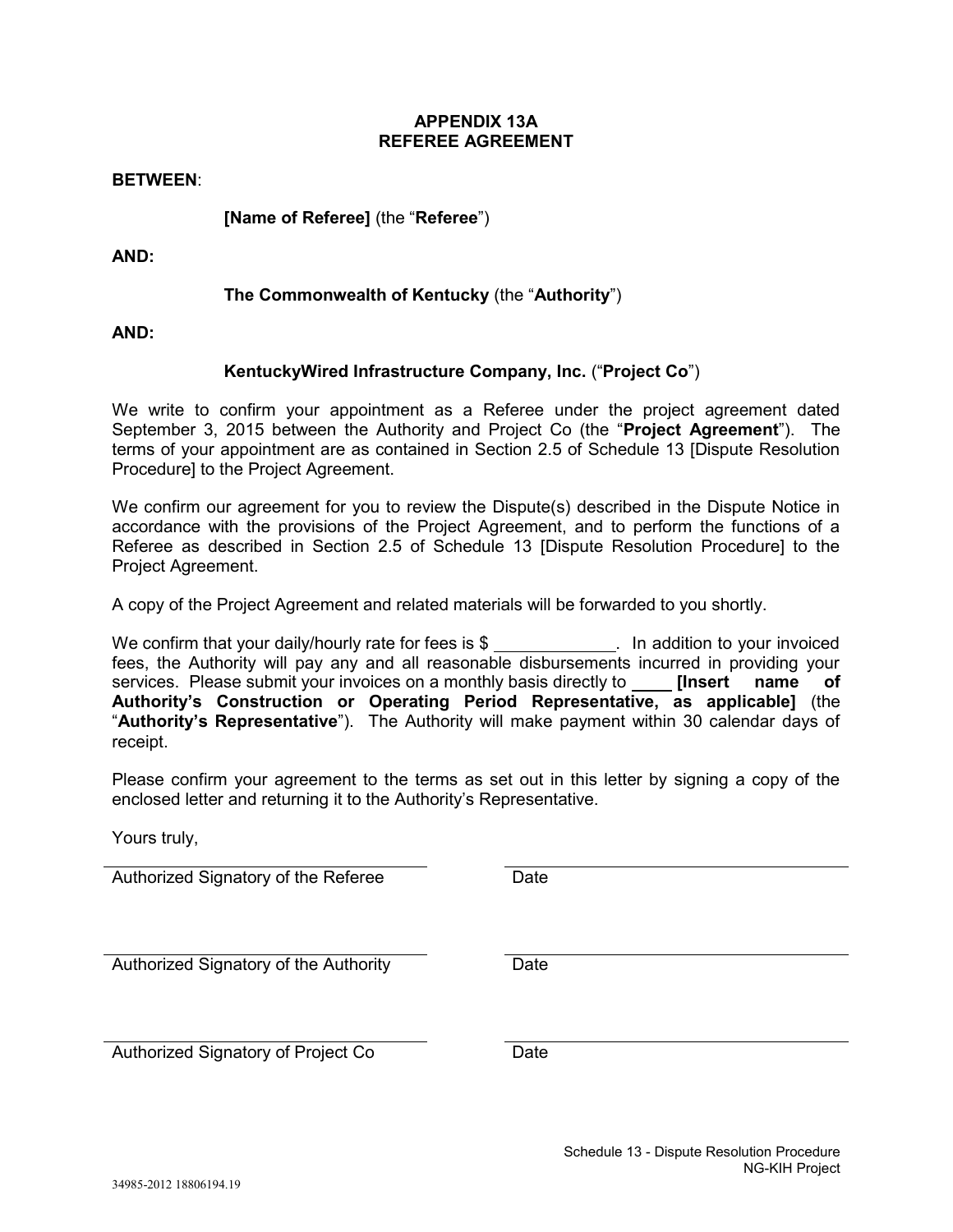### **APPENDIX 13A REFEREE AGREEMENT**

**BETWEEN**:

**[Name of Referee]** (the "**Referee**")

**AND:**

# **The Commonwealth of Kentucky** (the "**Authority**")

**AND:**

# **KentuckyWired Infrastructure Company, Inc.** ("**Project Co**")

We write to confirm your appointment as a Referee under the project agreement dated September 3, 2015 between the Authority and Project Co (the "**Project Agreement**"). The terms of your appointment are as contained in Section 2.5 of Schedule 13 [Dispute Resolution Procedure] to the Project Agreement.

We confirm our agreement for you to review the Dispute(s) described in the Dispute Notice in accordance with the provisions of the Project Agreement, and to perform the functions of a Referee as described in Section 2.5 of Schedule 13 [Dispute Resolution Procedure] to the Project Agreement.

A copy of the Project Agreement and related materials will be forwarded to you shortly.

We confirm that your daily/hourly rate for fees is \$ . In addition to your invoiced fees, the Authority will pay any and all reasonable disbursements incurred in providing your services. Please submit your invoices on a monthly basis directly to **[Insert name of Authority's Construction or Operating Period Representative, as applicable]** (the "**Authority's Representative**"). The Authority will make payment within 30 calendar days of receipt.

Please confirm your agreement to the terms as set out in this letter by signing a copy of the enclosed letter and returning it to the Authority's Representative.

Yours truly,

Authorized Signatory of the Referee Date

Authorized Signatory of the Authority Date

Authorized Signatory of Project Co Date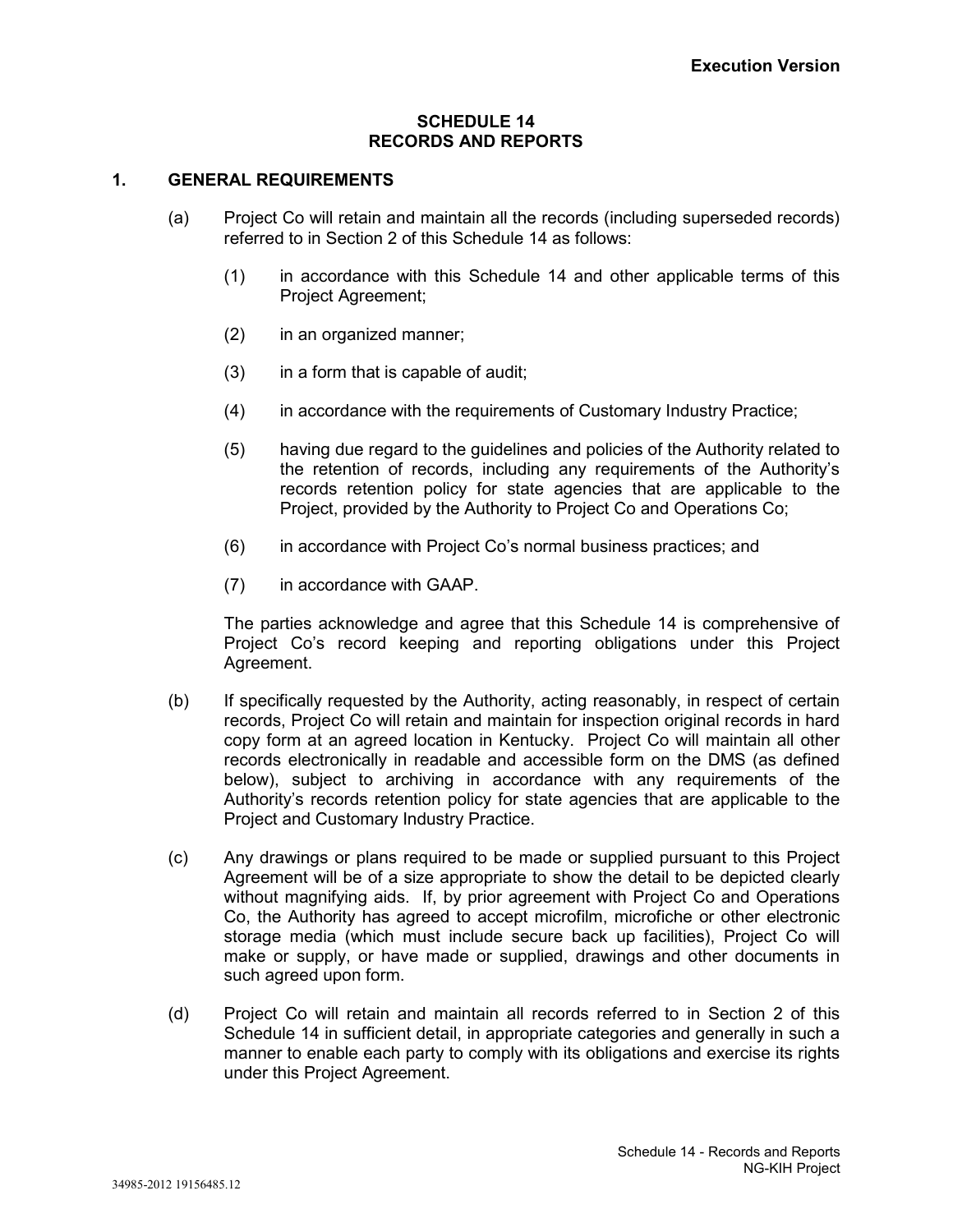### **SCHEDULE 14 RECORDS AND REPORTS**

# **1. GENERAL REQUIREMENTS**

- (a) Project Co will retain and maintain all the records (including superseded records) referred to in Section 2 of this Schedule 14 as follows:
	- (1) in accordance with this Schedule 14 and other applicable terms of this Project Agreement;
	- (2) in an organized manner;
	- (3) in a form that is capable of audit;
	- (4) in accordance with the requirements of Customary Industry Practice;
	- (5) having due regard to the guidelines and policies of the Authority related to the retention of records, including any requirements of the Authority's records retention policy for state agencies that are applicable to the Project, provided by the Authority to Project Co and Operations Co;
	- (6) in accordance with Project Co's normal business practices; and
	- (7) in accordance with GAAP.

The parties acknowledge and agree that this Schedule 14 is comprehensive of Project Co's record keeping and reporting obligations under this Project Agreement.

- (b) If specifically requested by the Authority, acting reasonably, in respect of certain records, Project Co will retain and maintain for inspection original records in hard copy form at an agreed location in Kentucky. Project Co will maintain all other records electronically in readable and accessible form on the DMS (as defined below), subject to archiving in accordance with any requirements of the Authority's records retention policy for state agencies that are applicable to the Project and Customary Industry Practice.
- (c) Any drawings or plans required to be made or supplied pursuant to this Project Agreement will be of a size appropriate to show the detail to be depicted clearly without magnifying aids. If, by prior agreement with Project Co and Operations Co, the Authority has agreed to accept microfilm, microfiche or other electronic storage media (which must include secure back up facilities), Project Co will make or supply, or have made or supplied, drawings and other documents in such agreed upon form.
- (d) Project Co will retain and maintain all records referred to in Section 2 of this Schedule 14 in sufficient detail, in appropriate categories and generally in such a manner to enable each party to comply with its obligations and exercise its rights under this Project Agreement.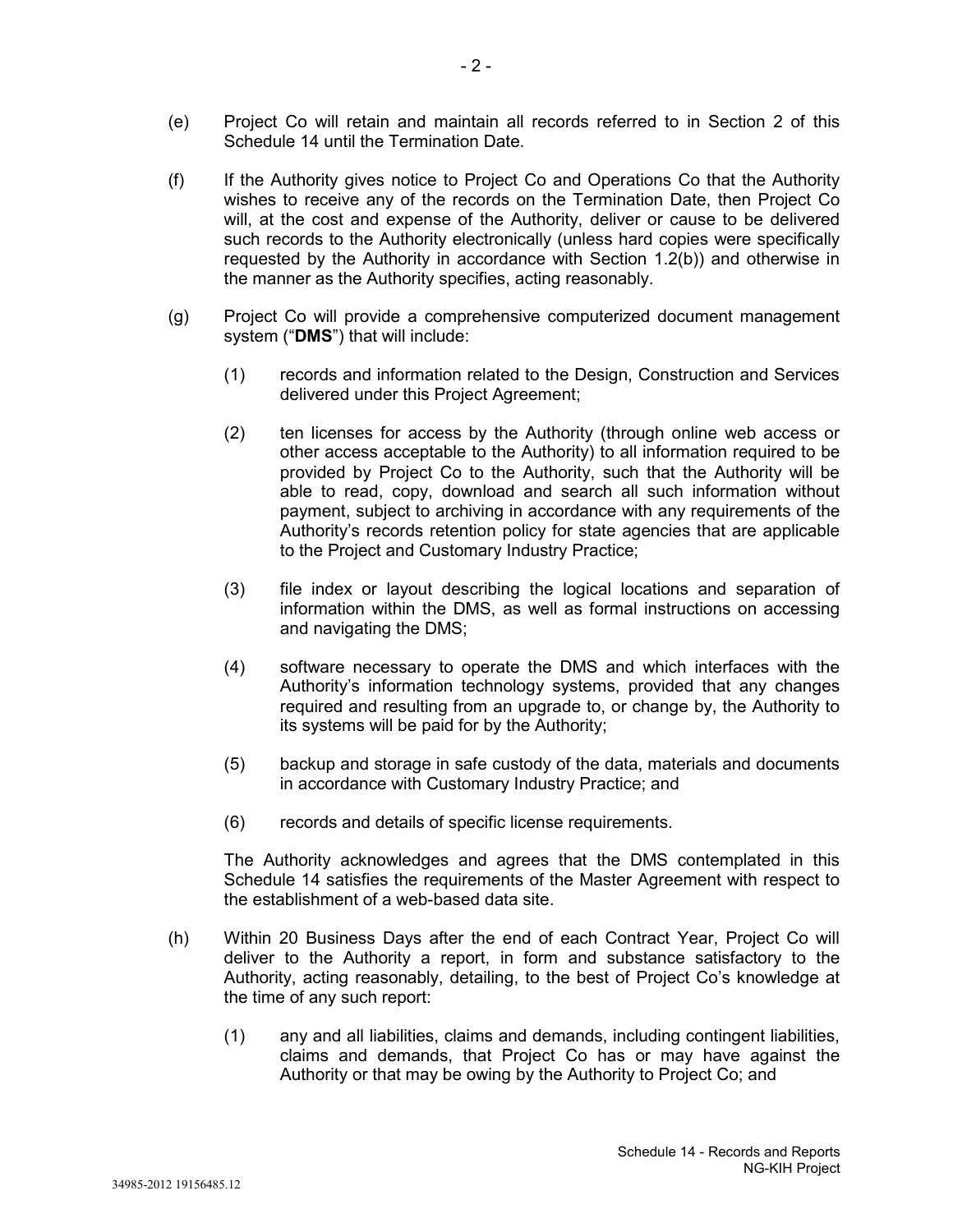- (e) Project Co will retain and maintain all records referred to in Section 2 of this Schedule 14 until the Termination Date.
- (f) If the Authority gives notice to Project Co and Operations Co that the Authority wishes to receive any of the records on the Termination Date, then Project Co will, at the cost and expense of the Authority, deliver or cause to be delivered such records to the Authority electronically (unless hard copies were specifically requested by the Authority in accordance with Section 1.2(b)) and otherwise in the manner as the Authority specifies, acting reasonably.
- (g) Project Co will provide a comprehensive computerized document management system ("**DMS**") that will include:
	- (1) records and information related to the Design, Construction and Services delivered under this Project Agreement;
	- (2) ten licenses for access by the Authority (through online web access or other access acceptable to the Authority) to all information required to be provided by Project Co to the Authority, such that the Authority will be able to read, copy, download and search all such information without payment, subject to archiving in accordance with any requirements of the Authority's records retention policy for state agencies that are applicable to the Project and Customary Industry Practice;
	- (3) file index or layout describing the logical locations and separation of information within the DMS, as well as formal instructions on accessing and navigating the DMS;
	- (4) software necessary to operate the DMS and which interfaces with the Authority's information technology systems, provided that any changes required and resulting from an upgrade to, or change by, the Authority to its systems will be paid for by the Authority;
	- (5) backup and storage in safe custody of the data, materials and documents in accordance with Customary Industry Practice; and
	- (6) records and details of specific license requirements.

The Authority acknowledges and agrees that the DMS contemplated in this Schedule 14 satisfies the requirements of the Master Agreement with respect to the establishment of a web-based data site.

- (h) Within 20 Business Days after the end of each Contract Year, Project Co will deliver to the Authority a report, in form and substance satisfactory to the Authority, acting reasonably, detailing, to the best of Project Co's knowledge at the time of any such report:
	- (1) any and all liabilities, claims and demands, including contingent liabilities, claims and demands, that Project Co has or may have against the Authority or that may be owing by the Authority to Project Co; and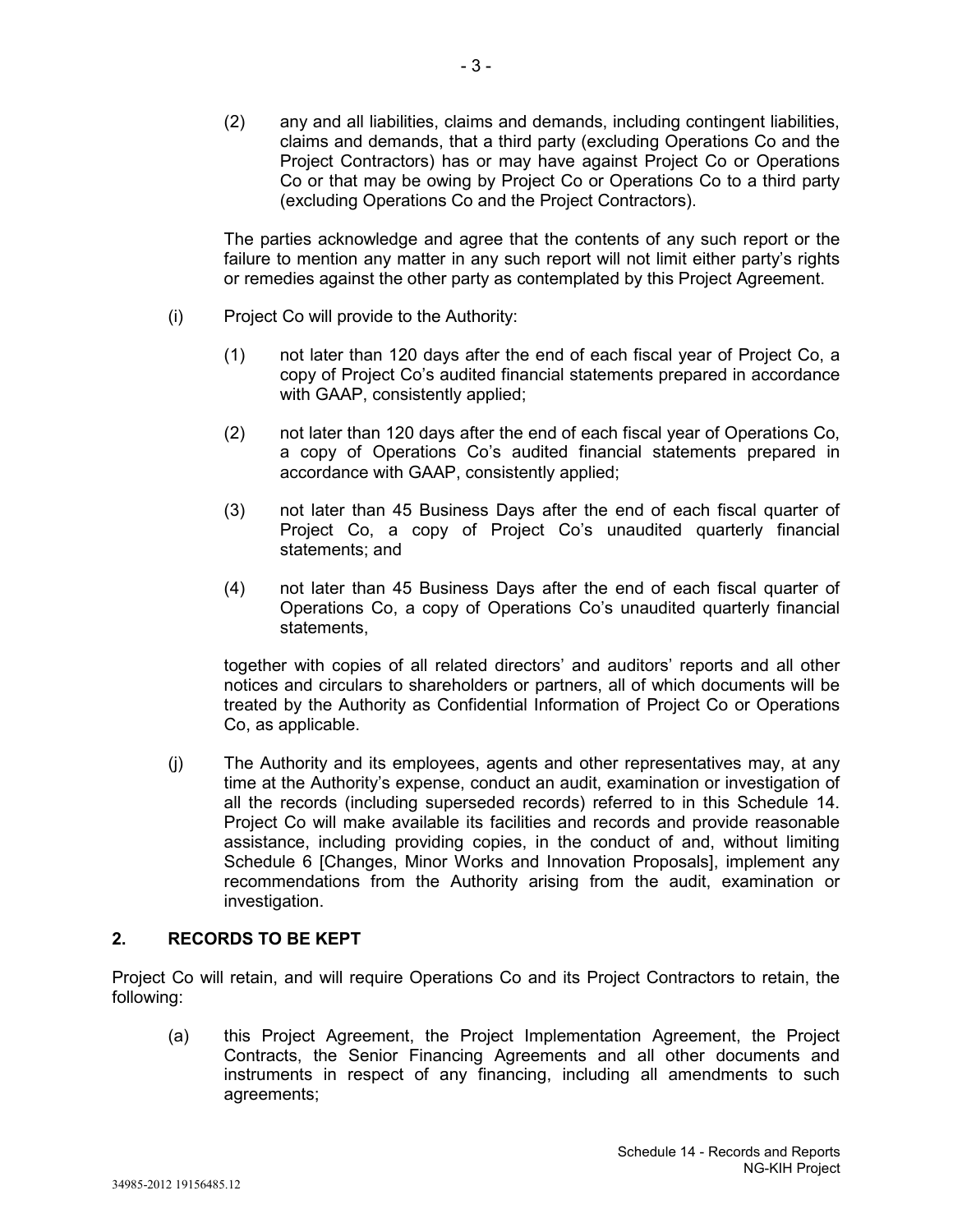(2) any and all liabilities, claims and demands, including contingent liabilities, claims and demands, that a third party (excluding Operations Co and the Project Contractors) has or may have against Project Co or Operations Co or that may be owing by Project Co or Operations Co to a third party (excluding Operations Co and the Project Contractors).

The parties acknowledge and agree that the contents of any such report or the failure to mention any matter in any such report will not limit either party's rights or remedies against the other party as contemplated by this Project Agreement.

- (i) Project Co will provide to the Authority:
	- (1) not later than 120 days after the end of each fiscal year of Project Co, a copy of Project Co's audited financial statements prepared in accordance with GAAP, consistently applied;
	- (2) not later than 120 days after the end of each fiscal year of Operations Co, a copy of Operations Co's audited financial statements prepared in accordance with GAAP, consistently applied;
	- (3) not later than 45 Business Days after the end of each fiscal quarter of Project Co, a copy of Project Co's unaudited quarterly financial statements; and
	- (4) not later than 45 Business Days after the end of each fiscal quarter of Operations Co, a copy of Operations Co's unaudited quarterly financial statements,

together with copies of all related directors' and auditors' reports and all other notices and circulars to shareholders or partners, all of which documents will be treated by the Authority as Confidential Information of Project Co or Operations Co, as applicable.

(j) The Authority and its employees, agents and other representatives may, at any time at the Authority's expense, conduct an audit, examination or investigation of all the records (including superseded records) referred to in this Schedule 14. Project Co will make available its facilities and records and provide reasonable assistance, including providing copies, in the conduct of and, without limiting Schedule 6 [Changes, Minor Works and Innovation Proposals], implement any recommendations from the Authority arising from the audit, examination or investigation.

# **2. RECORDS TO BE KEPT**

Project Co will retain, and will require Operations Co and its Project Contractors to retain, the following:

(a) this Project Agreement, the Project Implementation Agreement, the Project Contracts, the Senior Financing Agreements and all other documents and instruments in respect of any financing, including all amendments to such agreements;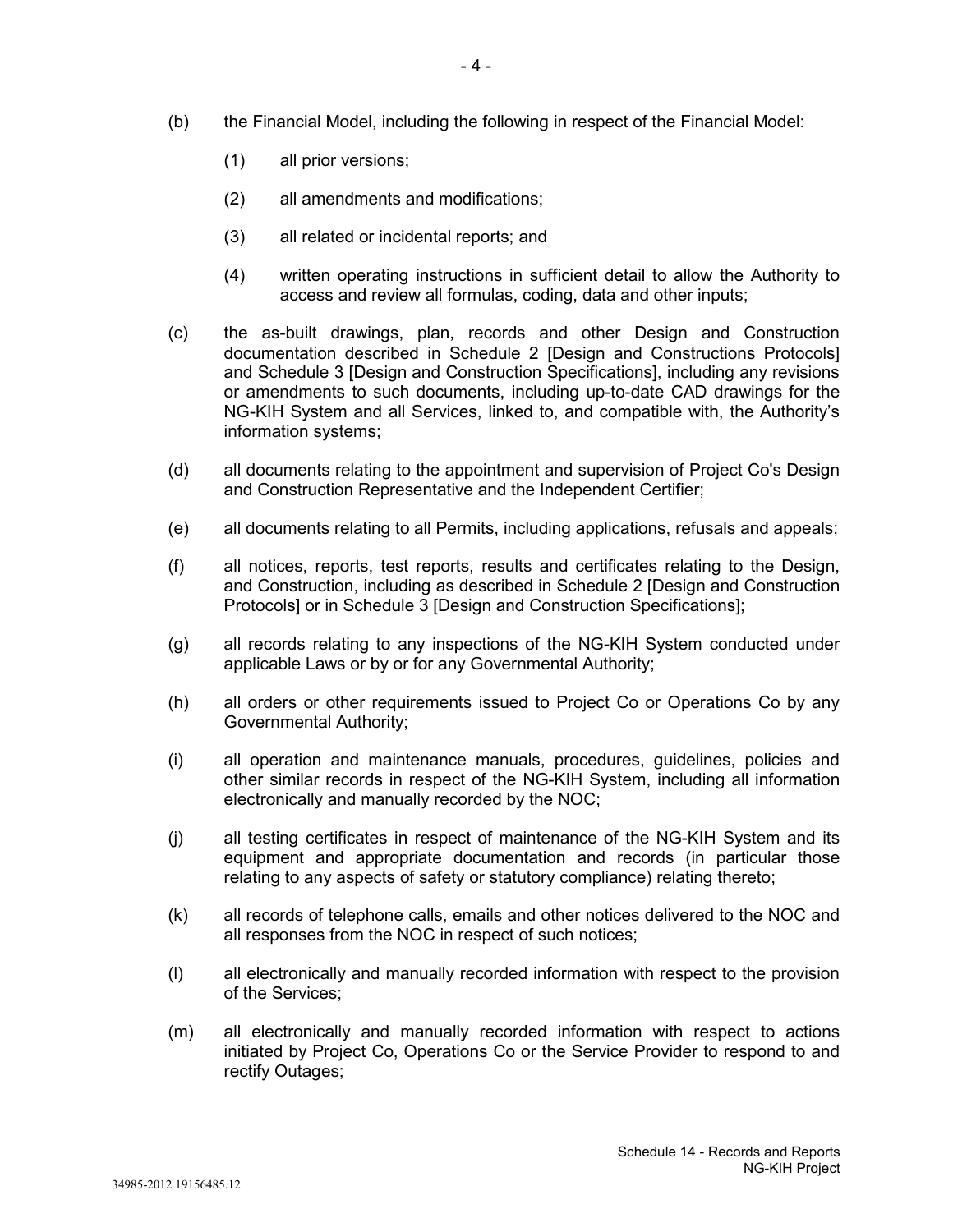- (b) the Financial Model, including the following in respect of the Financial Model:
	- (1) all prior versions;
	- (2) all amendments and modifications;
	- (3) all related or incidental reports; and
	- (4) written operating instructions in sufficient detail to allow the Authority to access and review all formulas, coding, data and other inputs;
- (c) the as-built drawings, plan, records and other Design and Construction documentation described in Schedule 2 [Design and Constructions Protocols] and Schedule 3 [Design and Construction Specifications], including any revisions or amendments to such documents, including up-to-date CAD drawings for the NG-KIH System and all Services, linked to, and compatible with, the Authority's information systems;
- (d) all documents relating to the appointment and supervision of Project Co's Design and Construction Representative and the Independent Certifier;
- (e) all documents relating to all Permits, including applications, refusals and appeals;
- (f) all notices, reports, test reports, results and certificates relating to the Design, and Construction, including as described in Schedule 2 [Design and Construction Protocols] or in Schedule 3 [Design and Construction Specifications];
- (g) all records relating to any inspections of the NG-KIH System conducted under applicable Laws or by or for any Governmental Authority;
- (h) all orders or other requirements issued to Project Co or Operations Co by any Governmental Authority;
- (i) all operation and maintenance manuals, procedures, guidelines, policies and other similar records in respect of the NG-KIH System, including all information electronically and manually recorded by the NOC;
- (j) all testing certificates in respect of maintenance of the NG-KIH System and its equipment and appropriate documentation and records (in particular those relating to any aspects of safety or statutory compliance) relating thereto;
- (k) all records of telephone calls, emails and other notices delivered to the NOC and all responses from the NOC in respect of such notices;
- (l) all electronically and manually recorded information with respect to the provision of the Services;
- (m) all electronically and manually recorded information with respect to actions initiated by Project Co, Operations Co or the Service Provider to respond to and rectify Outages;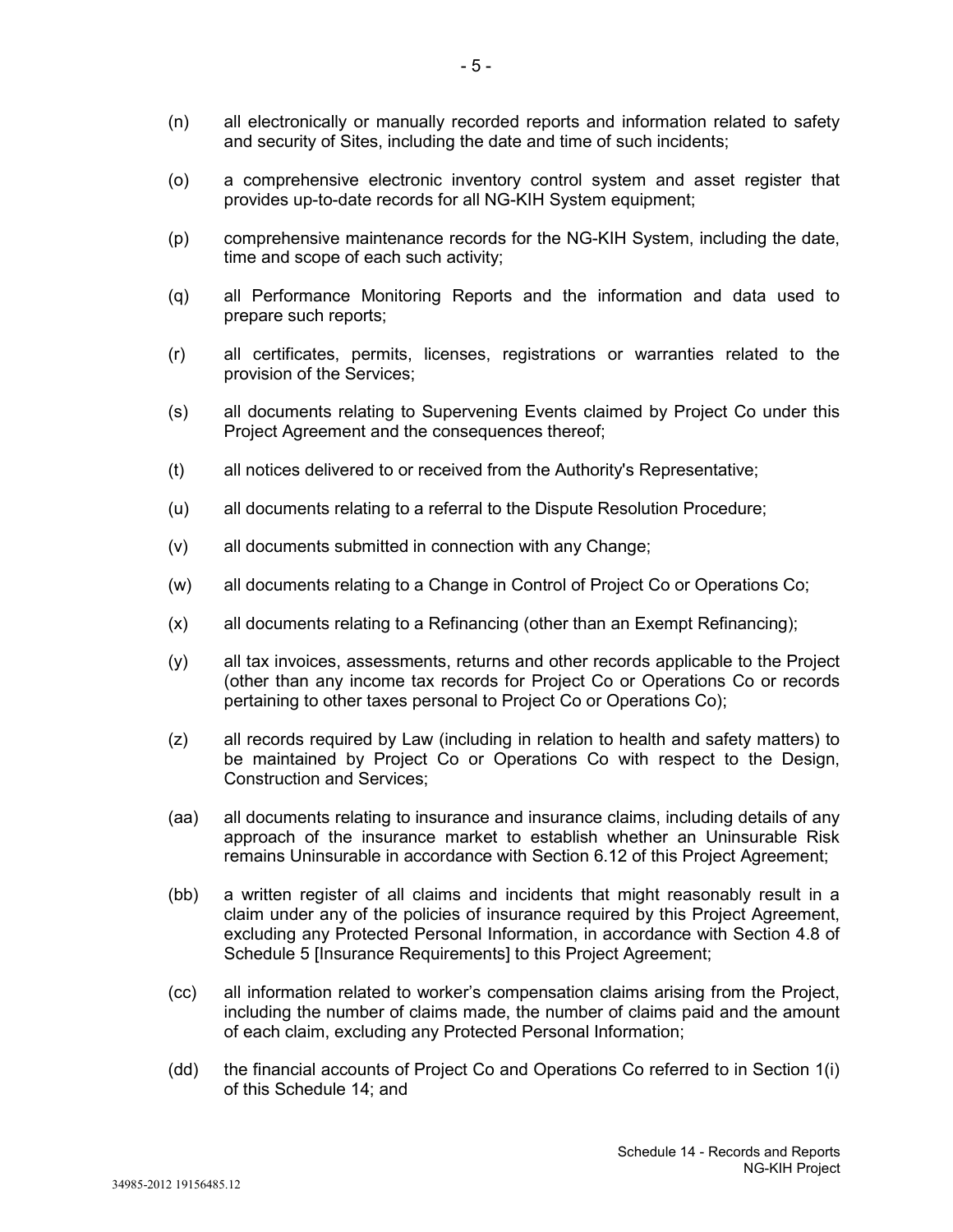- (n) all electronically or manually recorded reports and information related to safety and security of Sites, including the date and time of such incidents;
- (o) a comprehensive electronic inventory control system and asset register that provides up-to-date records for all NG-KIH System equipment;
- (p) comprehensive maintenance records for the NG-KIH System, including the date, time and scope of each such activity;
- (q) all Performance Monitoring Reports and the information and data used to prepare such reports;
- (r) all certificates, permits, licenses, registrations or warranties related to the provision of the Services;
- (s) all documents relating to Supervening Events claimed by Project Co under this Project Agreement and the consequences thereof;
- (t) all notices delivered to or received from the Authority's Representative;
- (u) all documents relating to a referral to the Dispute Resolution Procedure;
- (v) all documents submitted in connection with any Change;
- (w) all documents relating to a Change in Control of Project Co or Operations Co;
- (x) all documents relating to a Refinancing (other than an Exempt Refinancing);
- (y) all tax invoices, assessments, returns and other records applicable to the Project (other than any income tax records for Project Co or Operations Co or records pertaining to other taxes personal to Project Co or Operations Co);
- (z) all records required by Law (including in relation to health and safety matters) to be maintained by Project Co or Operations Co with respect to the Design, Construction and Services;
- (aa) all documents relating to insurance and insurance claims, including details of any approach of the insurance market to establish whether an Uninsurable Risk remains Uninsurable in accordance with Section 6.12 of this Project Agreement;
- (bb) a written register of all claims and incidents that might reasonably result in a claim under any of the policies of insurance required by this Project Agreement, excluding any Protected Personal Information, in accordance with Section 4.8 of Schedule 5 [Insurance Requirements] to this Project Agreement;
- (cc) all information related to worker's compensation claims arising from the Project, including the number of claims made, the number of claims paid and the amount of each claim, excluding any Protected Personal Information;
- (dd) the financial accounts of Project Co and Operations Co referred to in Section 1(i) of this Schedule 14; and